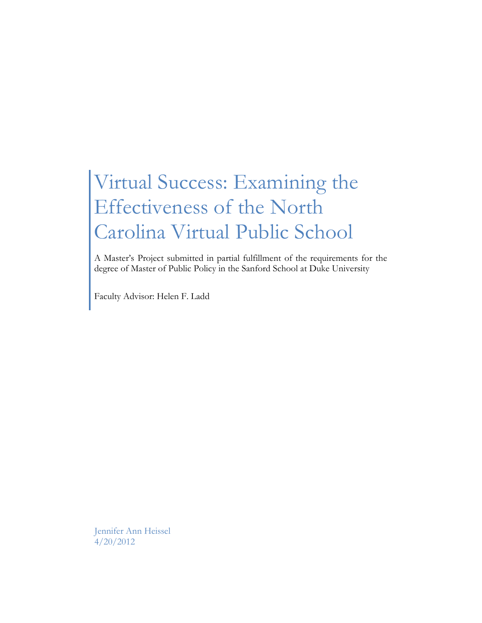# Virtual Success: Examining the Effectiveness of the North Carolina Virtual Public School

A Master's Project submitted in partial fulfillment of the requirements for the degree of Master of Public Policy in the Sanford School at Duke University

Faculty Advisor: Helen F. Ladd

Jennifer Ann Heissel 4/20/2012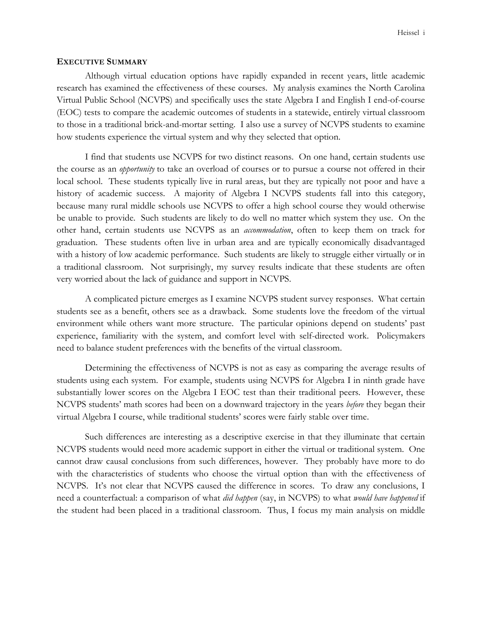#### **EXECUTIVE SUMMARY**

Although virtual education options have rapidly expanded in recent years, little academic research has examined the effectiveness of these courses. My analysis examines the North Carolina Virtual Public School (NCVPS) and specifically uses the state Algebra I and English I end-of-course (EOC) tests to compare the academic outcomes of students in a statewide, entirely virtual classroom to those in a traditional brick-and-mortar setting. I also use a survey of NCVPS students to examine how students experience the virtual system and why they selected that option.

I find that students use NCVPS for two distinct reasons. On one hand, certain students use the course as an *opportunity* to take an overload of courses or to pursue a course not offered in their local school. These students typically live in rural areas, but they are typically not poor and have a history of academic success. A majority of Algebra I NCVPS students fall into this category, because many rural middle schools use NCVPS to offer a high school course they would otherwise be unable to provide. Such students are likely to do well no matter which system they use. On the other hand, certain students use NCVPS as an *accommodation*, often to keep them on track for graduation. These students often live in urban area and are typically economically disadvantaged with a history of low academic performance. Such students are likely to struggle either virtually or in a traditional classroom. Not surprisingly, my survey results indicate that these students are often very worried about the lack of guidance and support in NCVPS.

A complicated picture emerges as I examine NCVPS student survey responses. What certain students see as a benefit, others see as a drawback. Some students love the freedom of the virtual environment while others want more structure. The particular opinions depend on students' past experience, familiarity with the system, and comfort level with self-directed work. Policymakers need to balance student preferences with the benefits of the virtual classroom.

Determining the effectiveness of NCVPS is not as easy as comparing the average results of students using each system. For example, students using NCVPS for Algebra I in ninth grade have substantially lower scores on the Algebra I EOC test than their traditional peers. However, these NCVPS students' math scores had been on a downward trajectory in the years *before* they began their virtual Algebra I course, while traditional students' scores were fairly stable over time.

Such differences are interesting as a descriptive exercise in that they illuminate that certain NCVPS students would need more academic support in either the virtual or traditional system. One cannot draw causal conclusions from such differences, however. They probably have more to do with the characteristics of students who choose the virtual option than with the effectiveness of NCVPS. It's not clear that NCVPS caused the difference in scores. To draw any conclusions, I need a counterfactual: a comparison of what *did happen* (say, in NCVPS) to what *would have happened* if the student had been placed in a traditional classroom. Thus, I focus my main analysis on middle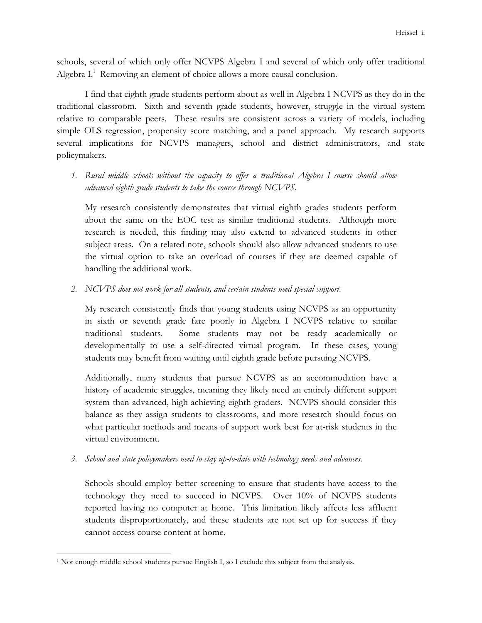schools, several of which only offer NCVPS Algebra I and several of which only offer traditional Algebra I.<sup>1</sup> Removing an element of choice allows a more causal conclusion.

I find that eighth grade students perform about as well in Algebra I NCVPS as they do in the traditional classroom. Sixth and seventh grade students, however, struggle in the virtual system relative to comparable peers. These results are consistent across a variety of models, including simple OLS regression, propensity score matching, and a panel approach. My research supports several implications for NCVPS managers, school and district administrators, and state policymakers.

*1. Rural middle schools without the capacity to offer a traditional Algebra I course should allow advanced eighth grade students to take the course through NCVPS.* 

My research consistently demonstrates that virtual eighth grades students perform about the same on the EOC test as similar traditional students. Although more research is needed, this finding may also extend to advanced students in other subject areas. On a related note, schools should also allow advanced students to use the virtual option to take an overload of courses if they are deemed capable of handling the additional work.

*2. NCVPS does not work for all students, and certain students need special support.* 

My research consistently finds that young students using NCVPS as an opportunity in sixth or seventh grade fare poorly in Algebra I NCVPS relative to similar traditional students. Some students may not be ready academically or developmentally to use a self-directed virtual program. In these cases, young students may benefit from waiting until eighth grade before pursuing NCVPS.

Additionally, many students that pursue NCVPS as an accommodation have a history of academic struggles, meaning they likely need an entirely different support system than advanced, high-achieving eighth graders. NCVPS should consider this balance as they assign students to classrooms, and more research should focus on what particular methods and means of support work best for at-risk students in the virtual environment.

*3. School and state policymakers need to stay up-to-date with technology needs and advances.* 

Schools should employ better screening to ensure that students have access to the technology they need to succeed in NCVPS. Over 10% of NCVPS students reported having no computer at home. This limitation likely affects less affluent students disproportionately, and these students are not set up for success if they cannot access course content at home.

<sup>&</sup>lt;sup>1</sup> Not enough middle school students pursue English I, so I exclude this subject from the analysis.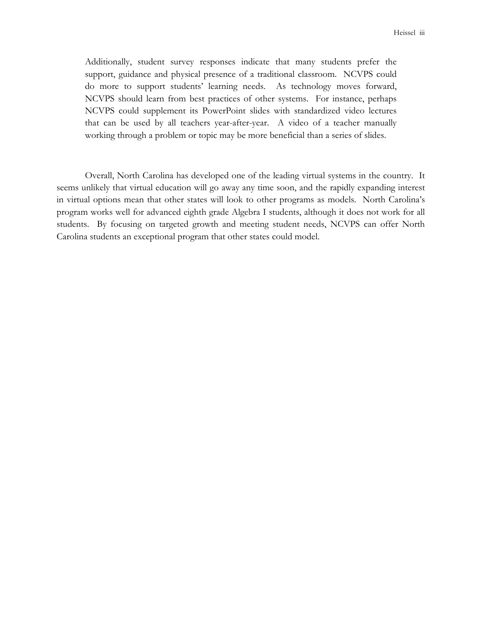Additionally, student survey responses indicate that many students prefer the support, guidance and physical presence of a traditional classroom. NCVPS could do more to support students' learning needs. As technology moves forward, NCVPS should learn from best practices of other systems. For instance, perhaps NCVPS could supplement its PowerPoint slides with standardized video lectures that can be used by all teachers year-after-year. A video of a teacher manually working through a problem or topic may be more beneficial than a series of slides.

Overall, North Carolina has developed one of the leading virtual systems in the country. It seems unlikely that virtual education will go away any time soon, and the rapidly expanding interest in virtual options mean that other states will look to other programs as models. North Carolina's program works well for advanced eighth grade Algebra I students, although it does not work for all students. By focusing on targeted growth and meeting student needs, NCVPS can offer North Carolina students an exceptional program that other states could model.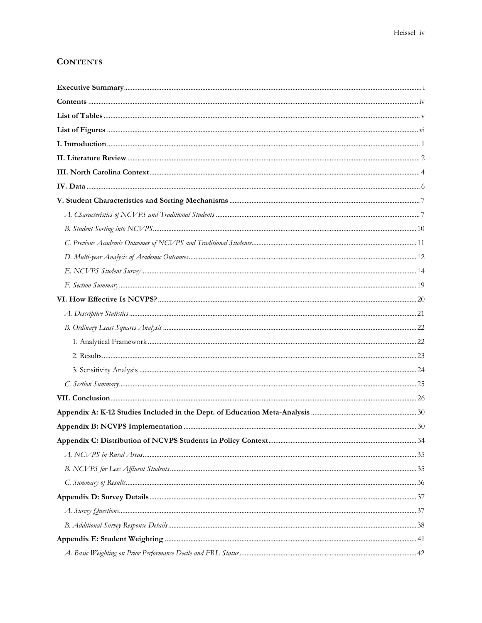# **CONTENTS**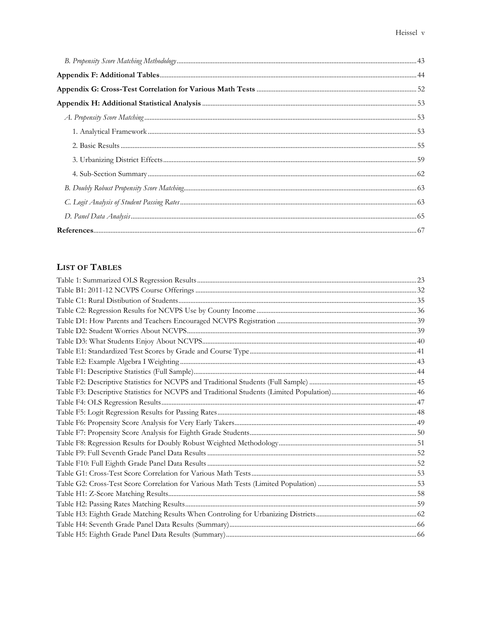# **LIST OF TABLES**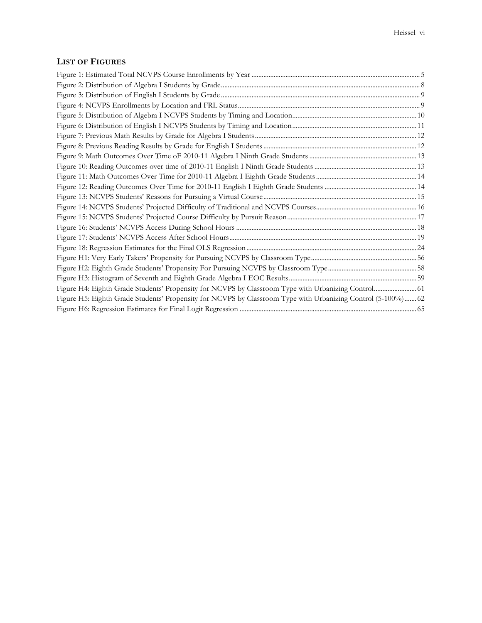# **LIST OF FIGURES**

| Figure H4: Eighth Grade Students' Propensity for NCVPS by Classroom Type with Urbanizing Control 61          |  |
|--------------------------------------------------------------------------------------------------------------|--|
| Figure H5: Eighth Grade Students' Propensity for NCVPS by Classroom Type with Urbanizing Control (5-100%) 62 |  |
|                                                                                                              |  |
|                                                                                                              |  |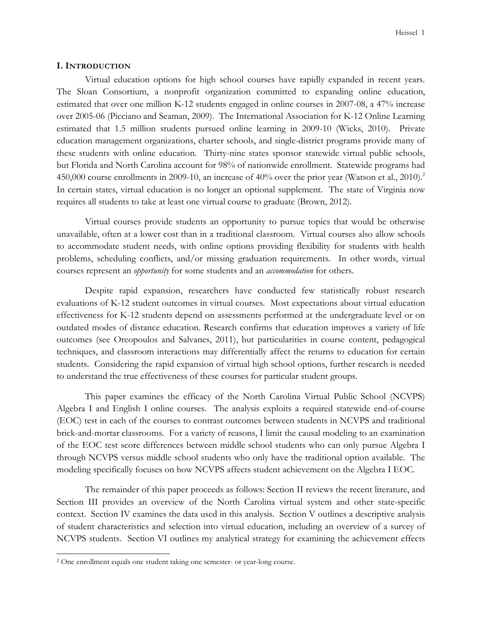#### **I. INTRODUCTION**

Virtual education options for high school courses have rapidly expanded in recent years. The Sloan Consortium, a nonprofit organization committed to expanding online education, estimated that over one million K-12 students engaged in online courses in 2007-08, a 47% increase over 2005-06 (Picciano and Seaman, 2009). The International Association for K-12 Online Learning estimated that 1.5 million students pursued online learning in 2009-10 (Wicks, 2010). Private education management organizations, charter schools, and single-district programs provide many of these students with online education. Thirty-nine states sponsor statewide virtual public schools, but Florida and North Carolina account for 98% of nationwide enrollment. Statewide programs had 450,000 course enrollments in 2009-10, an increase of 40% over the prior year (Watson et al., 2010).<sup>2</sup> In certain states, virtual education is no longer an optional supplement. The state of Virginia now requires all students to take at least one virtual course to graduate (Brown, 2012).

Virtual courses provide students an opportunity to pursue topics that would be otherwise unavailable, often at a lower cost than in a traditional classroom. Virtual courses also allow schools to accommodate student needs, with online options providing flexibility for students with health problems, scheduling conflicts, and/or missing graduation requirements. In other words, virtual courses represent an *opportunity* for some students and an *accommodation* for others.

Despite rapid expansion, researchers have conducted few statistically robust research evaluations of K-12 student outcomes in virtual courses. Most expectations about virtual education effectiveness for K-12 students depend on assessments performed at the undergraduate level or on outdated modes of distance education. Research confirms that education improves a variety of life outcomes (see Oreopoulos and Salvanes, 2011), but particularities in course content, pedagogical techniques, and classroom interactions may differentially affect the returns to education for certain students. Considering the rapid expansion of virtual high school options, further research is needed to understand the true effectiveness of these courses for particular student groups.

This paper examines the efficacy of the North Carolina Virtual Public School (NCVPS) Algebra I and English I online courses. The analysis exploits a required statewide end-of-course (EOC) test in each of the courses to contrast outcomes between students in NCVPS and traditional brick-and-mortar classrooms. For a variety of reasons, I limit the causal modeling to an examination of the EOC test score differences between middle school students who can only pursue Algebra I through NCVPS versus middle school students who only have the traditional option available. The modeling specifically focuses on how NCVPS affects student achievement on the Algebra I EOC.

The remainder of this paper proceeds as follows: Section II reviews the recent literature, and Section III provides an overview of the North Carolina virtual system and other state-specific context. Section IV examines the data used in this analysis. Section V outlines a descriptive analysis of student characteristics and selection into virtual education, including an overview of a survey of NCVPS students. Section VI outlines my analytical strategy for examining the achievement effects

<sup>2</sup> One enrollment equals one student taking one semester- or year-long course.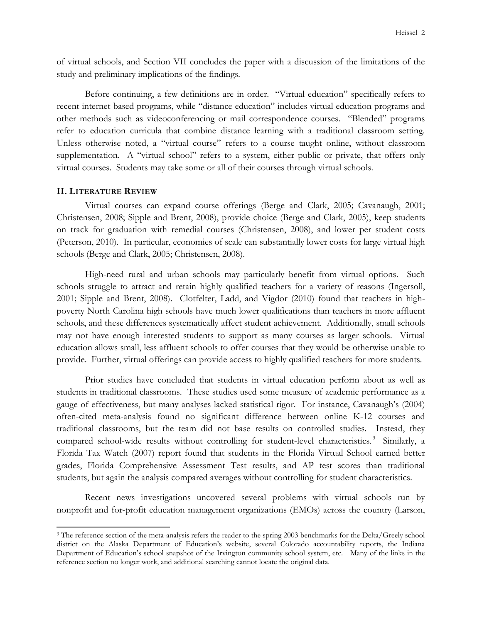of virtual schools, and Section VII concludes the paper with a discussion of the limitations of the study and preliminary implications of the findings.

Before continuing, a few definitions are in order. "Virtual education" specifically refers to recent internet-based programs, while "distance education" includes virtual education programs and other methods such as videoconferencing or mail correspondence courses. "Blended" programs refer to education curricula that combine distance learning with a traditional classroom setting. Unless otherwise noted, a "virtual course" refers to a course taught online, without classroom supplementation. A "virtual school" refers to a system, either public or private, that offers only virtual courses. Students may take some or all of their courses through virtual schools.

#### **II. LITERATURE REVIEW**

 $\overline{a}$ 

 Virtual courses can expand course offerings (Berge and Clark, 2005; Cavanaugh, 2001; Christensen, 2008; Sipple and Brent, 2008), provide choice (Berge and Clark, 2005), keep students on track for graduation with remedial courses (Christensen, 2008), and lower per student costs (Peterson, 2010). In particular, economies of scale can substantially lower costs for large virtual high schools (Berge and Clark, 2005; Christensen, 2008).

High-need rural and urban schools may particularly benefit from virtual options. Such schools struggle to attract and retain highly qualified teachers for a variety of reasons (Ingersoll, 2001; Sipple and Brent, 2008). Clotfelter, Ladd, and Vigdor (2010) found that teachers in highpoverty North Carolina high schools have much lower qualifications than teachers in more affluent schools, and these differences systematically affect student achievement. Additionally, small schools may not have enough interested students to support as many courses as larger schools. Virtual education allows small, less affluent schools to offer courses that they would be otherwise unable to provide. Further, virtual offerings can provide access to highly qualified teachers for more students.

Prior studies have concluded that students in virtual education perform about as well as students in traditional classrooms. These studies used some measure of academic performance as a gauge of effectiveness, but many analyses lacked statistical rigor. For instance, Cavanaugh's (2004) often-cited meta-analysis found no significant difference between online K-12 courses and traditional classrooms, but the team did not base results on controlled studies. Instead, they compared school-wide results without controlling for student-level characteristics.<sup>3</sup> Similarly, a Florida Tax Watch (2007) report found that students in the Florida Virtual School earned better grades, Florida Comprehensive Assessment Test results, and AP test scores than traditional students, but again the analysis compared averages without controlling for student characteristics.

Recent news investigations uncovered several problems with virtual schools run by nonprofit and for-profit education management organizations (EMOs) across the country (Larson,

<sup>&</sup>lt;sup>3</sup> The reference section of the meta-analysis refers the reader to the spring 2003 benchmarks for the Delta/Greely school district on the Alaska Department of Education's website, several Colorado accountability reports, the Indiana Department of Education's school snapshot of the Irvington community school system, etc. Many of the links in the reference section no longer work, and additional searching cannot locate the original data.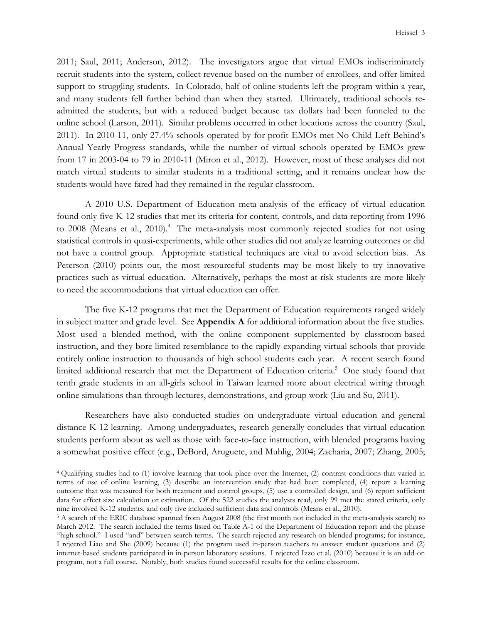2011; Saul, 2011; Anderson, 2012). The investigators argue that virtual EMOs indiscriminately recruit students into the system, collect revenue based on the number of enrollees, and offer limited support to struggling students. In Colorado, half of online students left the program within a year, and many students fell further behind than when they started. Ultimately, traditional schools readmitted the students, but with a reduced budget because tax dollars had been funneled to the online school (Larson, 2011). Similar problems occurred in other locations across the country (Saul, 2011). In 2010-11, only 27.4% schools operated by for-profit EMOs met No Child Left Behind's Annual Yearly Progress standards, while the number of virtual schools operated by EMOs grew from 17 in 2003-04 to 79 in 2010-11 (Miron et al., 2012). However, most of these analyses did not match virtual students to similar students in a traditional setting, and it remains unclear how the students would have fared had they remained in the regular classroom.

A 2010 U.S. Department of Education meta-analysis of the efficacy of virtual education found only five K-12 studies that met its criteria for content, controls, and data reporting from 1996 to 2008 (Means et al., 2010).<sup>4</sup> The meta-analysis most commonly rejected studies for not using statistical controls in quasi-experiments, while other studies did not analyze learning outcomes or did not have a control group. Appropriate statistical techniques are vital to avoid selection bias. As Peterson (2010) points out, the most resourceful students may be most likely to try innovative practices such as virtual education. Alternatively, perhaps the most at-risk students are more likely to need the accommodations that virtual education can offer.

The five K-12 programs that met the Department of Education requirements ranged widely in subject matter and grade level. See **Appendix A** for additional information about the five studies. Most used a blended method, with the online component supplemented by classroom-based instruction, and they bore limited resemblance to the rapidly expanding virtual schools that provide entirely online instruction to thousands of high school students each year. A recent search found limited additional research that met the Department of Education criteria.<sup>5</sup> One study found that tenth grade students in an all-girls school in Taiwan learned more about electrical wiring through online simulations than through lectures, demonstrations, and group work (Liu and Su, 2011).

Researchers have also conducted studies on undergraduate virtual education and general distance K-12 learning. Among undergraduates, research generally concludes that virtual education students perform about as well as those with face-to-face instruction, with blended programs having a somewhat positive effect (e.g., DeBord, Aruguete, and Muhlig, 2004; Zacharia, 2007; Zhang, 2005;

<sup>4</sup> Qualifying studies had to (1) involve learning that took place over the Internet, (2) contrast conditions that varied in terms of use of online learning, (3) describe an intervention study that had been completed, (4) report a learning outcome that was measured for both treatment and control groups, (5) use a controlled design, and (6) report sufficient data for effect size calculation or estimation. Of the 522 studies the analysts read, only 99 met the stated criteria, only nine involved K-12 students, and only five included sufficient data and controls (Means et al., 2010).

<sup>&</sup>lt;sup>5</sup> A search of the ERIC database spanned from August 2008 (the first month not included in the meta-analysis search) to March 2012. The search included the terms listed on Table A-1 of the Department of Education report and the phrase "high school." I used "and" between search terms. The search rejected any research on blended programs; for instance, I rejected Liao and She (2009) because (1) the program used in-person teachers to answer student questions and (2) internet-based students participated in in-person laboratory sessions. I rejected Izzo et al. (2010) because it is an add-on program, not a full course. Notably, both studies found successful results for the online classroom.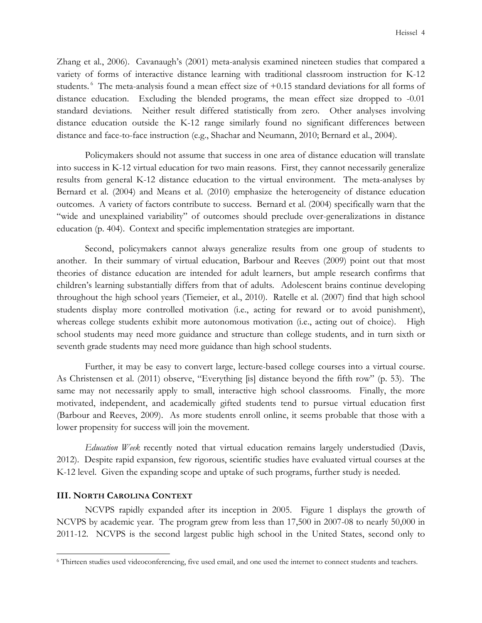Zhang et al., 2006). Cavanaugh's (2001) meta-analysis examined nineteen studies that compared a variety of forms of interactive distance learning with traditional classroom instruction for K-12 students.<sup>6</sup> The meta-analysis found a mean effect size of  $+0.15$  standard deviations for all forms of distance education. Excluding the blended programs, the mean effect size dropped to -0.01 standard deviations. Neither result differed statistically from zero. Other analyses involving distance education outside the K-12 range similarly found no significant differences between distance and face-to-face instruction (e.g., Shachar and Neumann, 2010; Bernard et al., 2004).

Policymakers should not assume that success in one area of distance education will translate into success in K-12 virtual education for two main reasons. First, they cannot necessarily generalize results from general K-12 distance education to the virtual environment. The meta-analyses by Bernard et al. (2004) and Means et al. (2010) emphasize the heterogeneity of distance education outcomes. A variety of factors contribute to success. Bernard et al. (2004) specifically warn that the "wide and unexplained variability" of outcomes should preclude over-generalizations in distance education (p. 404). Context and specific implementation strategies are important.

Second, policymakers cannot always generalize results from one group of students to another. In their summary of virtual education, Barbour and Reeves (2009) point out that most theories of distance education are intended for adult learners, but ample research confirms that children's learning substantially differs from that of adults. Adolescent brains continue developing throughout the high school years (Tiemeier, et al., 2010). Ratelle et al. (2007) find that high school students display more controlled motivation (i.e., acting for reward or to avoid punishment), whereas college students exhibit more autonomous motivation (i.e., acting out of choice). High school students may need more guidance and structure than college students, and in turn sixth or seventh grade students may need more guidance than high school students.

Further, it may be easy to convert large, lecture-based college courses into a virtual course. As Christensen et al. (2011) observe, "Everything [is] distance beyond the fifth row" (p. 53). The same may not necessarily apply to small, interactive high school classrooms. Finally, the more motivated, independent, and academically gifted students tend to pursue virtual education first (Barbour and Reeves, 2009). As more students enroll online, it seems probable that those with a lower propensity for success will join the movement.

*Education Week* recently noted that virtual education remains largely understudied (Davis, 2012). Despite rapid expansion, few rigorous, scientific studies have evaluated virtual courses at the K-12 level. Given the expanding scope and uptake of such programs, further study is needed.

#### **III. NORTH CAROLINA CONTEXT**

 $\overline{a}$ 

NCVPS rapidly expanded after its inception in 2005. Figure 1 displays the growth of NCVPS by academic year. The program grew from less than 17,500 in 2007-08 to nearly 50,000 in 2011-12. NCVPS is the second largest public high school in the United States, second only to

<sup>6</sup> Thirteen studies used videoconferencing, five used email, and one used the internet to connect students and teachers.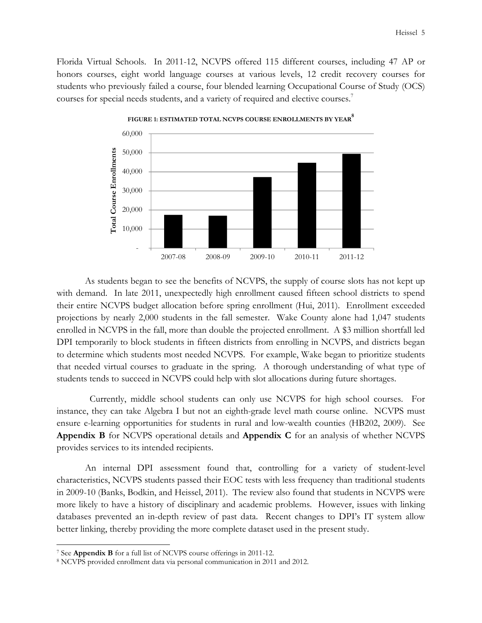Florida Virtual Schools. In 2011-12, NCVPS offered 115 different courses, including 47 AP or honors courses, eight world language courses at various levels, 12 credit recovery courses for students who previously failed a course, four blended learning Occupational Course of Study (OCS) courses for special needs students, and a variety of required and elective courses.<sup>7</sup>



**FIGURE 1: ESTIMATED TOTAL NCVPS COURSE ENROLLMENTS BY YEAR<sup>8</sup>**

As students began to see the benefits of NCVPS, the supply of course slots has not kept up with demand. In late 2011, unexpectedly high enrollment caused fifteen school districts to spend their entire NCVPS budget allocation before spring enrollment (Hui, 2011). Enrollment exceeded projections by nearly 2,000 students in the fall semester. Wake County alone had 1,047 students enrolled in NCVPS in the fall, more than double the projected enrollment. A \$3 million shortfall led DPI temporarily to block students in fifteen districts from enrolling in NCVPS, and districts began to determine which students most needed NCVPS. For example, Wake began to prioritize students that needed virtual courses to graduate in the spring. A thorough understanding of what type of students tends to succeed in NCVPS could help with slot allocations during future shortages.

 Currently, middle school students can only use NCVPS for high school courses. For instance, they can take Algebra I but not an eighth-grade level math course online. NCVPS must ensure e-learning opportunities for students in rural and low-wealth counties (HB202, 2009). See **Appendix B** for NCVPS operational details and **Appendix C** for an analysis of whether NCVPS provides services to its intended recipients.

An internal DPI assessment found that, controlling for a variety of student-level characteristics, NCVPS students passed their EOC tests with less frequency than traditional students in 2009-10 (Banks, Bodkin, and Heissel, 2011). The review also found that students in NCVPS were more likely to have a history of disciplinary and academic problems. However, issues with linking databases prevented an in-depth review of past data. Recent changes to DPI's IT system allow better linking, thereby providing the more complete dataset used in the present study.

<sup>7</sup> See **Appendix B** for a full list of NCVPS course offerings in 2011-12.

<sup>8</sup> NCVPS provided enrollment data via personal communication in 2011 and 2012.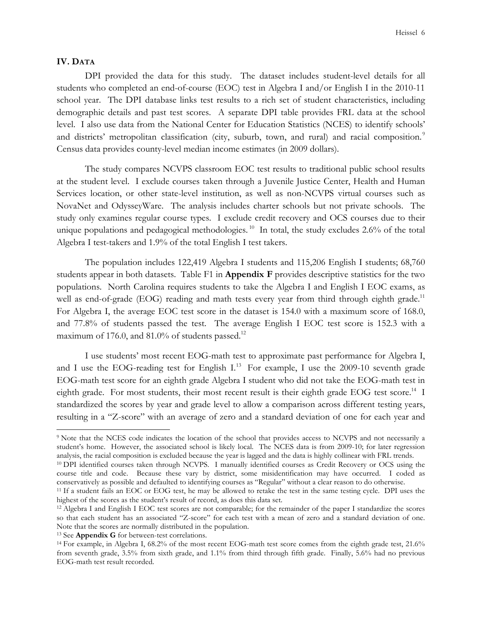#### **IV. DATA**

 $\overline{a}$ 

 DPI provided the data for this study. The dataset includes student-level details for all students who completed an end-of-course (EOC) test in Algebra I and/or English I in the 2010-11 school year. The DPI database links test results to a rich set of student characteristics, including demographic details and past test scores. A separate DPI table provides FRL data at the school level. I also use data from the National Center for Education Statistics (NCES) to identify schools' and districts' metropolitan classification (city, suburb, town, and rural) and racial composition.<sup>9</sup> Census data provides county-level median income estimates (in 2009 dollars).

 The study compares NCVPS classroom EOC test results to traditional public school results at the student level. I exclude courses taken through a Juvenile Justice Center, Health and Human Services location, or other state-level institution, as well as non-NCVPS virtual courses such as NovaNet and OdysseyWare. The analysis includes charter schools but not private schools. The study only examines regular course types. I exclude credit recovery and OCS courses due to their unique populations and pedagogical methodologies.<sup>10</sup> In total, the study excludes 2.6% of the total Algebra I test-takers and 1.9% of the total English I test takers.

 The population includes 122,419 Algebra I students and 115,206 English I students; 68,760 students appear in both datasets. Table F1 in **Appendix F** provides descriptive statistics for the two populations. North Carolina requires students to take the Algebra I and English I EOC exams, as well as end-of-grade (EOG) reading and math tests every year from third through eighth grade.<sup>11</sup> For Algebra I, the average EOC test score in the dataset is 154.0 with a maximum score of 168.0, and 77.8% of students passed the test. The average English I EOC test score is 152.3 with a maximum of 176.0, and 81.0% of students passed.<sup>12</sup>

I use students' most recent EOG-math test to approximate past performance for Algebra I, and I use the EOG-reading test for English  $I<sup>13</sup>$  For example, I use the 2009-10 seventh grade EOG-math test score for an eighth grade Algebra I student who did not take the EOG-math test in eighth grade. For most students, their most recent result is their eighth grade EOG test score.<sup>14</sup> I standardized the scores by year and grade level to allow a comparison across different testing years, resulting in a "Z-score" with an average of zero and a standard deviation of one for each year and

<sup>&</sup>lt;sup>9</sup> Note that the NCES code indicates the location of the school that provides access to NCVPS and not necessarily a student's home. However, the associated school is likely local. The NCES data is from 2009-10; for later regression analysis, the racial composition is excluded because the year is lagged and the data is highly collinear with FRL trends.

<sup>&</sup>lt;sup>10</sup> DPI identified courses taken through NCVPS. I manually identified courses as Credit Recovery or OCS using the course title and code. Because these vary by district, some misidentification may have occurred. I coded as conservatively as possible and defaulted to identifying courses as "Regular" without a clear reason to do otherwise.

<sup>11</sup> If a student fails an EOC or EOG test, he may be allowed to retake the test in the same testing cycle. DPI uses the highest of the scores as the student's result of record, as does this data set.

<sup>12</sup> Algebra I and English I EOC test scores are not comparable; for the remainder of the paper I standardize the scores so that each student has an associated "Z-score" for each test with a mean of zero and a standard deviation of one. Note that the scores are normally distributed in the population.

<sup>13</sup> See **Appendix G** for between-test correlations.

<sup>&</sup>lt;sup>14</sup> For example, in Algebra I, 68.2% of the most recent EOG-math test score comes from the eighth grade test, 21.6% from seventh grade, 3.5% from sixth grade, and 1.1% from third through fifth grade. Finally, 5.6% had no previous EOG-math test result recorded.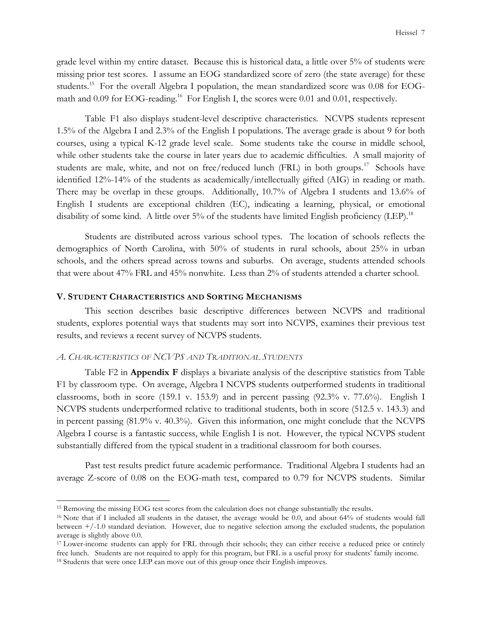grade level within my entire dataset. Because this is historical data, a little over 5% of students were missing prior test scores. I assume an EOG standardized score of zero (the state average) for these students.<sup>15</sup> For the overall Algebra I population, the mean standardized score was 0.08 for EOGmath and 0.09 for EOG-reading.<sup>16</sup> For English I, the scores were 0.01 and 0.01, respectively.

Table F1 also displays student-level descriptive characteristics. NCVPS students represent 1.5% of the Algebra I and 2.3% of the English I populations. The average grade is about 9 for both courses, using a typical K-12 grade level scale. Some students take the course in middle school, while other students take the course in later years due to academic difficulties. A small majority of students are male, white, and not on free/reduced lunch (FRL) in both groups.<sup>17</sup> Schools have identified 12%-14% of the students as academically/intellectually gifted (AIG) in reading or math. There may be overlap in these groups. Additionally, 10.7% of Algebra I students and 13.6% of English I students are exceptional children (EC), indicating a learning, physical, or emotional disability of some kind. A little over 5% of the students have limited English proficiency (LEP).<sup>18</sup>

Students are distributed across various school types. The location of schools reflects the demographics of North Carolina, with 50% of students in rural schools, about 25% in urban schools, and the others spread across towns and suburbs. On average, students attended schools that were about 47% FRL and 45% nonwhite. Less than 2% of students attended a charter school.

#### **V. STUDENT CHARACTERISTICS AND SORTING MECHANISMS**

 This section describes basic descriptive differences between NCVPS and traditional students, explores potential ways that students may sort into NCVPS, examines their previous test results, and reviews a recent survey of NCVPS students.

## *A. CHARACTERISTICS OF NCVPS AND TRADITIONAL STUDENTS*

 $\overline{a}$ 

Table F2 in **Appendix F** displays a bivariate analysis of the descriptive statistics from Table F1 by classroom type. On average, Algebra I NCVPS students outperformed students in traditional classrooms, both in score (159.1 v. 153.9) and in percent passing  $(92.3\% \text{ v. } 77.6\%)$ . English I NCVPS students underperformed relative to traditional students, both in score (512.5 v. 143.3) and in percent passing (81.9% v. 40.3%). Given this information, one might conclude that the NCVPS Algebra I course is a fantastic success, while English I is not. However, the typical NCVPS student substantially differed from the typical student in a traditional classroom for both courses.

Past test results predict future academic performance. Traditional Algebra I students had an average Z-score of 0.08 on the EOG-math test, compared to 0.79 for NCVPS students. Similar

<sup>15</sup> Removing the missing EOG test scores from the calculation does not change substantially the results.

<sup>&</sup>lt;sup>16</sup> Note that if I included all students in the dataset, the average would be 0.0, and about 64% of students would fall between +/-1.0 standard deviation. However, due to negative selection among the excluded students, the population average is slightly above 0.0.

<sup>&</sup>lt;sup>17</sup> Lower-income students can apply for FRL through their schools; they can either receive a reduced price or entirely free lunch. Students are not required to apply for this program, but FRL is a useful proxy for students' family income. <sup>18</sup> Students that were once LEP can move out of this group once their English improves.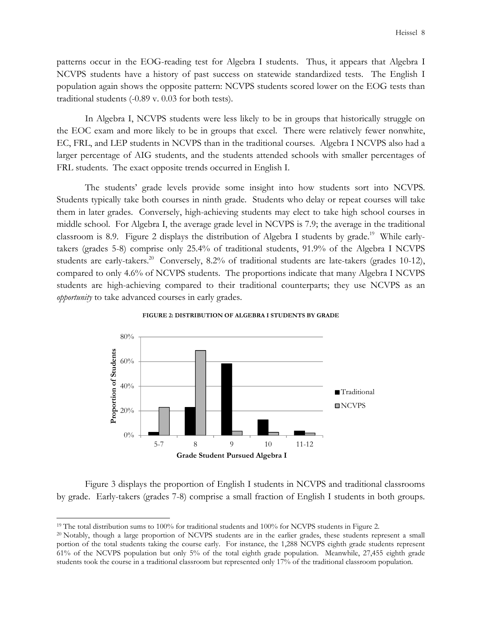patterns occur in the EOG-reading test for Algebra I students. Thus, it appears that Algebra I NCVPS students have a history of past success on statewide standardized tests. The English I population again shows the opposite pattern: NCVPS students scored lower on the EOG tests than traditional students (-0.89 v. 0.03 for both tests).

In Algebra I, NCVPS students were less likely to be in groups that historically struggle on the EOC exam and more likely to be in groups that excel. There were relatively fewer nonwhite, EC, FRL, and LEP students in NCVPS than in the traditional courses. Algebra I NCVPS also had a larger percentage of AIG students, and the students attended schools with smaller percentages of FRL students. The exact opposite trends occurred in English I.

The students' grade levels provide some insight into how students sort into NCVPS. Students typically take both courses in ninth grade. Students who delay or repeat courses will take them in later grades. Conversely, high-achieving students may elect to take high school courses in middle school. For Algebra I, the average grade level in NCVPS is 7.9; the average in the traditional classroom is 8.9. Figure 2 displays the distribution of Algebra I students by grade.<sup>19</sup> While earlytakers (grades 5-8) comprise only 25.4% of traditional students, 91.9% of the Algebra I NCVPS students are early-takers.<sup>20</sup> Conversely, 8.2% of traditional students are late-takers (grades 10-12), compared to only 4.6% of NCVPS students. The proportions indicate that many Algebra I NCVPS students are high-achieving compared to their traditional counterparts; they use NCVPS as an *opportunity* to take advanced courses in early grades.



**FIGURE 2: DISTRIBUTION OF ALGEBRA I STUDENTS BY GRADE**

Figure 3 displays the proportion of English I students in NCVPS and traditional classrooms by grade. Early-takers (grades 7-8) comprise a small fraction of English I students in both groups.

<sup>19</sup> The total distribution sums to 100% for traditional students and 100% for NCVPS students in Figure 2.

<sup>&</sup>lt;sup>20</sup> Notably, though a large proportion of NCVPS students are in the earlier grades, these students represent a small portion of the total students taking the course early. For instance, the 1,288 NCVPS eighth grade students represent 61% of the NCVPS population but only 5% of the total eighth grade population. Meanwhile, 27,455 eighth grade students took the course in a traditional classroom but represented only 17% of the traditional classroom population.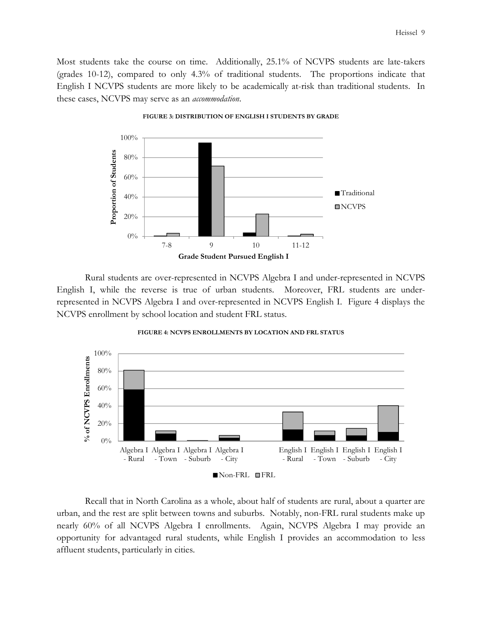Most students take the course on time. Additionally, 25.1% of NCVPS students are late-takers (grades 10-12), compared to only 4.3% of traditional students. The proportions indicate that English I NCVPS students are more likely to be academically at-risk than traditional students. In these cases, NCVPS may serve as an *accommodation*.



**FIGURE 3: DISTRIBUTION OF ENGLISH I STUDENTS BY GRADE**

Rural students are over-represented in NCVPS Algebra I and under-represented in NCVPS English I, while the reverse is true of urban students. Moreover, FRL students are underrepresented in NCVPS Algebra I and over-represented in NCVPS English I. Figure 4 displays the NCVPS enrollment by school location and student FRL status.



**FIGURE 4: NCVPS ENROLLMENTS BY LOCATION AND FRL STATUS** 

Recall that in North Carolina as a whole, about half of students are rural, about a quarter are urban, and the rest are split between towns and suburbs. Notably, non-FRL rural students make up nearly 60% of all NCVPS Algebra I enrollments. Again, NCVPS Algebra I may provide an opportunity for advantaged rural students, while English I provides an accommodation to less affluent students, particularly in cities.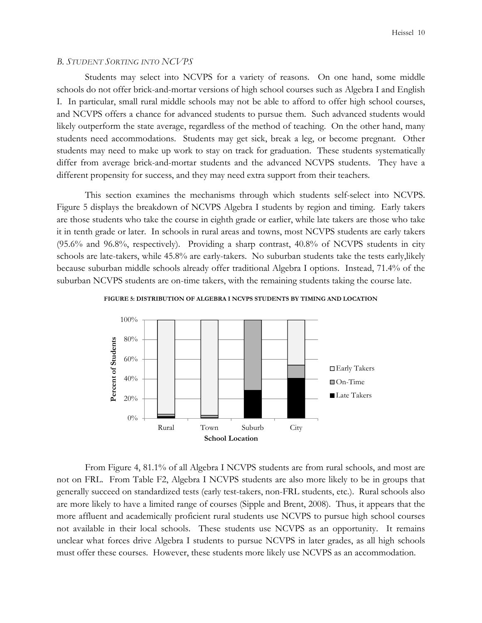#### *B. STUDENT SORTING INTO NCVPS*

Students may select into NCVPS for a variety of reasons. On one hand, some middle schools do not offer brick-and-mortar versions of high school courses such as Algebra I and English I. In particular, small rural middle schools may not be able to afford to offer high school courses, and NCVPS offers a chance for advanced students to pursue them. Such advanced students would likely outperform the state average, regardless of the method of teaching. On the other hand, many students need accommodations. Students may get sick, break a leg, or become pregnant. Other students may need to make up work to stay on track for graduation. These students systematically differ from average brick-and-mortar students and the advanced NCVPS students. They have a different propensity for success, and they may need extra support from their teachers.

This section examines the mechanisms through which students self-select into NCVPS. Figure 5 displays the breakdown of NCVPS Algebra I students by region and timing. Early takers are those students who take the course in eighth grade or earlier, while late takers are those who take it in tenth grade or later. In schools in rural areas and towns, most NCVPS students are early takers (95.6% and 96.8%, respectively). Providing a sharp contrast, 40.8% of NCVPS students in city schools are late-takers, while 45.8% are early-takers. No suburban students take the tests early,likely because suburban middle schools already offer traditional Algebra I options. Instead, 71.4% of the suburban NCVPS students are on-time takers, with the remaining students taking the course late.





From Figure 4, 81.1% of all Algebra I NCVPS students are from rural schools, and most are not on FRL. From Table F2, Algebra I NCVPS students are also more likely to be in groups that generally succeed on standardized tests (early test-takers, non-FRL students, etc.). Rural schools also are more likely to have a limited range of courses (Sipple and Brent, 2008). Thus, it appears that the more affluent and academically proficient rural students use NCVPS to pursue high school courses not available in their local schools. These students use NCVPS as an opportunity. It remains unclear what forces drive Algebra I students to pursue NCVPS in later grades, as all high schools must offer these courses. However, these students more likely use NCVPS as an accommodation.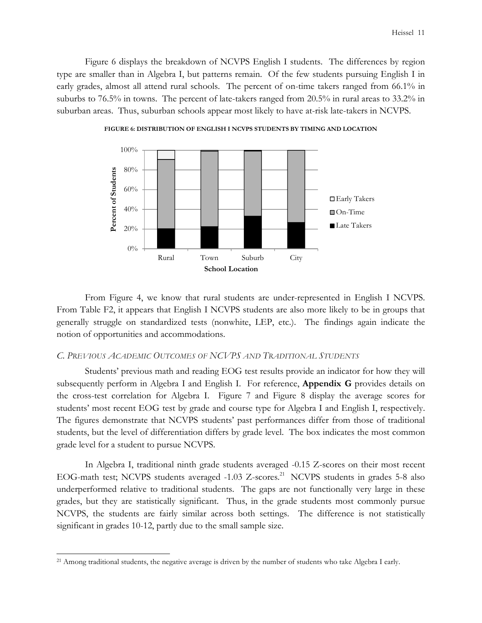Figure 6 displays the breakdown of NCVPS English I students. The differences by region type are smaller than in Algebra I, but patterns remain. Of the few students pursuing English I in early grades, almost all attend rural schools. The percent of on-time takers ranged from 66.1% in suburbs to 76.5% in towns. The percent of late-takers ranged from 20.5% in rural areas to 33.2% in suburban areas. Thus, suburban schools appear most likely to have at-risk late-takers in NCVPS.



**FIGURE 6: DISTRIBUTION OF ENGLISH I NCVPS STUDENTS BY TIMING AND LOCATION**

From Figure 4, we know that rural students are under-represented in English I NCVPS. From Table F2, it appears that English I NCVPS students are also more likely to be in groups that generally struggle on standardized tests (nonwhite, LEP, etc.). The findings again indicate the notion of opportunities and accommodations.

#### *C. PREVIOUS ACADEMIC OUTCOMES OF NCVPS AND TRADITIONAL STUDENTS*

 Students' previous math and reading EOG test results provide an indicator for how they will subsequently perform in Algebra I and English I. For reference, **Appendix G** provides details on the cross-test correlation for Algebra I. Figure 7 and Figure 8 display the average scores for students' most recent EOG test by grade and course type for Algebra I and English I, respectively. The figures demonstrate that NCVPS students' past performances differ from those of traditional students, but the level of differentiation differs by grade level. The box indicates the most common grade level for a student to pursue NCVPS.

In Algebra I, traditional ninth grade students averaged -0.15 Z-scores on their most recent EOG-math test; NCVPS students averaged -1.03 Z-scores. <sup>21</sup> NCVPS students in grades 5-8 also underperformed relative to traditional students. The gaps are not functionally very large in these grades, but they are statistically significant. Thus, in the grade students most commonly pursue NCVPS, the students are fairly similar across both settings. The difference is not statistically significant in grades 10-12, partly due to the small sample size.

<sup>&</sup>lt;sup>21</sup> Among traditional students, the negative average is driven by the number of students who take Algebra I early.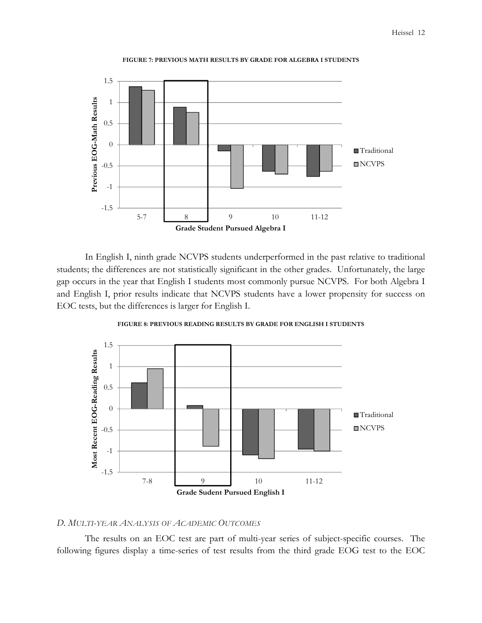

**FIGURE 7: PREVIOUS MATH RESULTS BY GRADE FOR ALGEBRA I STUDENTS** 

In English I, ninth grade NCVPS students underperformed in the past relative to traditional students; the differences are not statistically significant in the other grades. Unfortunately, the large gap occurs in the year that English I students most commonly pursue NCVPS. For both Algebra I and English I, prior results indicate that NCVPS students have a lower propensity for success on EOC tests, but the differences is larger for English I.



**FIGURE 8: PREVIOUS READING RESULTS BY GRADE FOR ENGLISH I STUDENTS**

#### *D. MULTI-YEAR ANALYSIS OF ACADEMIC OUTCOMES*

The results on an EOC test are part of multi-year series of subject-specific courses. The following figures display a time-series of test results from the third grade EOG test to the EOC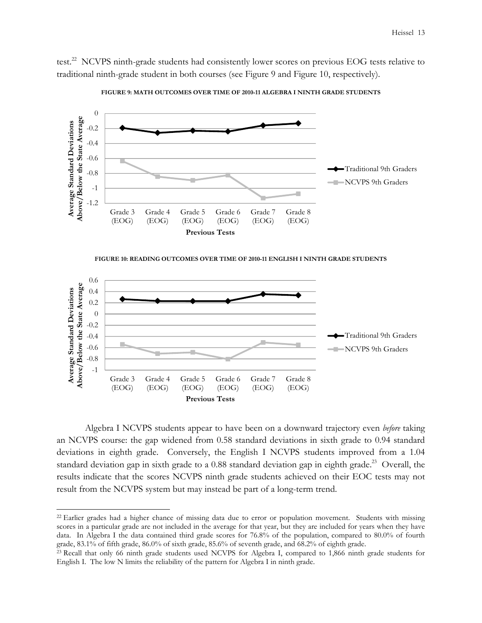test.<sup>22</sup> NCVPS ninth-grade students had consistently lower scores on previous EOG tests relative to traditional ninth-grade student in both courses (see Figure 9 and Figure 10, respectively).



**FIGURE 9: MATH OUTCOMES OVER TIME OF 2010-11 ALGEBRA I NINTH GRADE STUDENTS**





Algebra I NCVPS students appear to have been on a downward trajectory even *before* taking an NCVPS course: the gap widened from 0.58 standard deviations in sixth grade to 0.94 standard deviations in eighth grade. Conversely, the English I NCVPS students improved from a 1.04 standard deviation gap in sixth grade to a 0.88 standard deviation gap in eighth grade.<sup>23</sup> Overall, the results indicate that the scores NCVPS ninth grade students achieved on their EOC tests may not result from the NCVPS system but may instead be part of a long-term trend.

<sup>&</sup>lt;sup>22</sup> Earlier grades had a higher chance of missing data due to error or population movement. Students with missing scores in a particular grade are not included in the average for that year, but they are included for years when they have data. In Algebra I the data contained third grade scores for 76.8% of the population, compared to 80.0% of fourth grade, 83.1% of fifth grade, 86.0% of sixth grade, 85.6% of seventh grade, and 68.2% of eighth grade.

<sup>23</sup> Recall that only 66 ninth grade students used NCVPS for Algebra I, compared to 1,866 ninth grade students for English I. The low N limits the reliability of the pattern for Algebra I in ninth grade.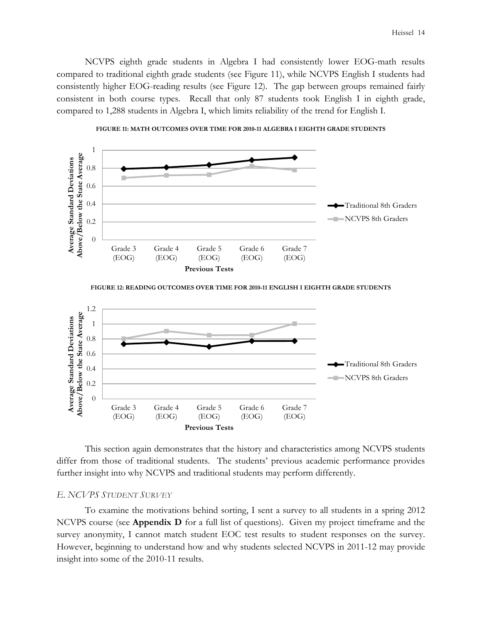NCVPS eighth grade students in Algebra I had consistently lower EOG-math results compared to traditional eighth grade students (see Figure 11), while NCVPS English I students had consistently higher EOG-reading results (see Figure 12). The gap between groups remained fairly consistent in both course types. Recall that only 87 students took English I in eighth grade, compared to 1,288 students in Algebra I, which limits reliability of the trend for English I.





**FIGURE 12: READING OUTCOMES OVER TIME FOR 2010-11 ENGLISH I EIGHTH GRADE STUDENTS**



This section again demonstrates that the history and characteristics among NCVPS students differ from those of traditional students. The students' previous academic performance provides further insight into why NCVPS and traditional students may perform differently.

## *E. NCVPS STUDENT SURVEY*

To examine the motivations behind sorting, I sent a survey to all students in a spring 2012 NCVPS course (see **Appendix D** for a full list of questions). Given my project timeframe and the survey anonymity, I cannot match student EOC test results to student responses on the survey. However, beginning to understand how and why students selected NCVPS in 2011-12 may provide insight into some of the 2010-11 results.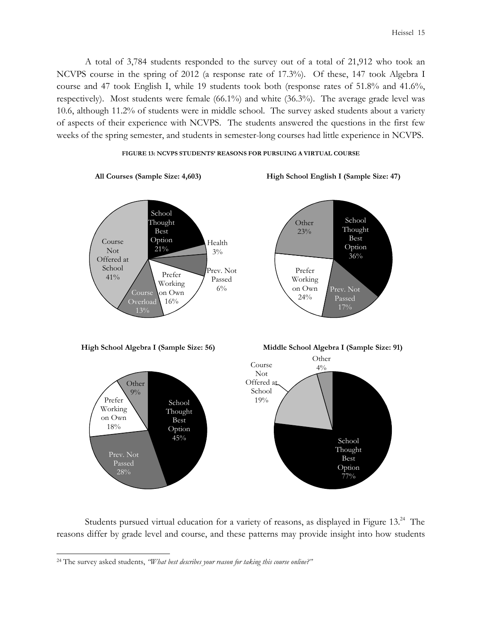A total of 3,784 students responded to the survey out of a total of 21,912 who took an NCVPS course in the spring of 2012 (a response rate of 17.3%). Of these, 147 took Algebra I course and 47 took English I, while 19 students took both (response rates of 51.8% and 41.6%, respectively). Most students were female (66.1%) and white (36.3%). The average grade level was 10.6, although 11.2% of students were in middle school. The survey asked students about a variety of aspects of their experience with NCVPS. The students answered the questions in the first few weeks of the spring semester, and students in semester-long courses had little experience in NCVPS.

#### **FIGURE 13: NCVPS STUDENTS' REASONS FOR PURSUING A VIRTUAL COURSE**



Students pursued virtual education for a variety of reasons, as displayed in Figure 13.<sup>24</sup> The reasons differ by grade level and course, and these patterns may provide insight into how students

<sup>24</sup> The survey asked students, *"What best describes your reason for taking this course online?"*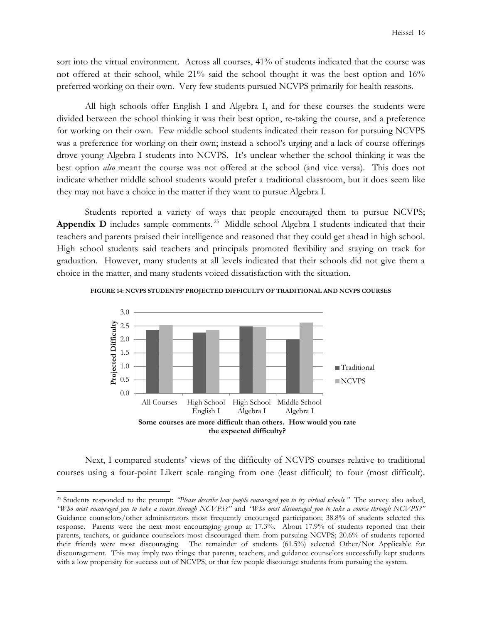sort into the virtual environment. Across all courses, 41% of students indicated that the course was not offered at their school, while 21% said the school thought it was the best option and 16% preferred working on their own. Very few students pursued NCVPS primarily for health reasons.

All high schools offer English I and Algebra I, and for these courses the students were divided between the school thinking it was their best option, re-taking the course, and a preference for working on their own. Few middle school students indicated their reason for pursuing NCVPS was a preference for working on their own; instead a school's urging and a lack of course offerings drove young Algebra I students into NCVPS. It's unclear whether the school thinking it was the best option *also* meant the course was not offered at the school (and vice versa). This does not indicate whether middle school students would prefer a traditional classroom, but it does seem like they may not have a choice in the matter if they want to pursue Algebra I.

Students reported a variety of ways that people encouraged them to pursue NCVPS; Appendix D includes sample comments.<sup>25</sup> Middle school Algebra I students indicated that their teachers and parents praised their intelligence and reasoned that they could get ahead in high school. High school students said teachers and principals promoted flexibility and staying on track for graduation. However, many students at all levels indicated that their schools did not give them a choice in the matter, and many students voiced dissatisfaction with the situation.



**FIGURE 14: NCVPS STUDENTS' PROJECTED DIFFICULTY OF TRADITIONAL AND NCVPS COURSES** 

Next, I compared students' views of the difficulty of NCVPS courses relative to traditional courses using a four-point Likert scale ranging from one (least difficult) to four (most difficult).

<sup>25</sup> Students responded to the prompt: *"Please describe how people encouraged you to try virtual schools."* The survey also asked, *"Who most encouraged you to take a course through NCVPS?"* and *"Who most discouraged you to take a course through NCVPS?"*  Guidance counselors/other administrators most frequently encouraged participation; 38.8% of students selected this response. Parents were the next most encouraging group at 17.3%. About 17.9% of students reported that their parents, teachers, or guidance counselors most discouraged them from pursuing NCVPS; 20.6% of students reported their friends were most discouraging. The remainder of students (61.5%) selected Other/Not Applicable for discouragement. This may imply two things: that parents, teachers, and guidance counselors successfully kept students with a low propensity for success out of NCVPS, or that few people discourage students from pursuing the system.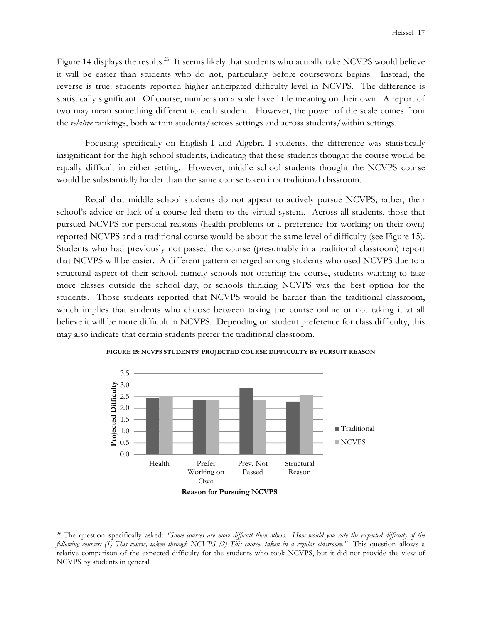Figure 14 displays the results.<sup>26</sup> It seems likely that students who actually take NCVPS would believe it will be easier than students who do not, particularly before coursework begins. Instead, the reverse is true: students reported higher anticipated difficulty level in NCVPS. The difference is statistically significant. Of course, numbers on a scale have little meaning on their own. A report of two may mean something different to each student. However, the power of the scale comes from the *relative* rankings, both within students/across settings and across students/within settings.

Focusing specifically on English I and Algebra I students, the difference was statistically insignificant for the high school students, indicating that these students thought the course would be equally difficult in either setting. However, middle school students thought the NCVPS course would be substantially harder than the same course taken in a traditional classroom.

 Recall that middle school students do not appear to actively pursue NCVPS; rather, their school's advice or lack of a course led them to the virtual system. Across all students, those that pursued NCVPS for personal reasons (health problems or a preference for working on their own) reported NCVPS and a traditional course would be about the same level of difficulty (see Figure 15). Students who had previously not passed the course (presumably in a traditional classroom) report that NCVPS will be easier. A different pattern emerged among students who used NCVPS due to a structural aspect of their school, namely schools not offering the course, students wanting to take more classes outside the school day, or schools thinking NCVPS was the best option for the students. Those students reported that NCVPS would be harder than the traditional classroom, which implies that students who choose between taking the course online or not taking it at all believe it will be more difficult in NCVPS. Depending on student preference for class difficulty, this may also indicate that certain students prefer the traditional classroom.



**FIGURE 15: NCVPS STUDENTS' PROJECTED COURSE DIFFICULTY BY PURSUIT REASON** 

<sup>26</sup> The question specifically asked: *"Some courses are more difficult than others. How would you rate the expected difficulty of the following courses: (1) This course, taken through NCVPS (2) This course, taken in a regular classroom."* This question allows a relative comparison of the expected difficulty for the students who took NCVPS, but it did not provide the view of NCVPS by students in general.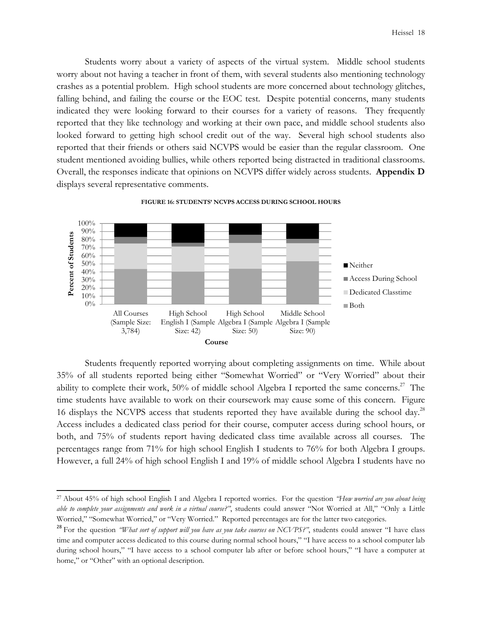Students worry about a variety of aspects of the virtual system. Middle school students worry about not having a teacher in front of them, with several students also mentioning technology crashes as a potential problem. High school students are more concerned about technology glitches, falling behind, and failing the course or the EOC test. Despite potential concerns, many students indicated they were looking forward to their courses for a variety of reasons. They frequently reported that they like technology and working at their own pace, and middle school students also looked forward to getting high school credit out of the way. Several high school students also reported that their friends or others said NCVPS would be easier than the regular classroom. One student mentioned avoiding bullies, while others reported being distracted in traditional classrooms. Overall, the responses indicate that opinions on NCVPS differ widely across students. **Appendix D** displays several representative comments.



**FIGURE 16: STUDENTS' NCVPS ACCESS DURING SCHOOL HOURS** 

Students frequently reported worrying about completing assignments on time. While about 35% of all students reported being either "Somewhat Worried" or "Very Worried" about their ability to complete their work,  $50\%$  of middle school Algebra I reported the same concerns.<sup>27</sup> The time students have available to work on their coursework may cause some of this concern. Figure 16 displays the NCVPS access that students reported they have available during the school day.<sup>28</sup> Access includes a dedicated class period for their course, computer access during school hours, or both, and 75% of students report having dedicated class time available across all courses. The percentages range from 71% for high school English I students to 76% for both Algebra I groups. However, a full 24% of high school English I and 19% of middle school Algebra I students have no

<sup>27</sup> About 45% of high school English I and Algebra I reported worries. For the question *"How worried are you about being able to complete your assignments and work in a virtual course?"*, students could answer "Not Worried at All," "Only a Little Worried," "Somewhat Worried," or "Very Worried." Reported percentages are for the latter two categories.

<sup>&</sup>lt;sup>28</sup> For the question *"What sort of support will you have as you take courses on NCVPS?"*, students could answer "I have class time and computer access dedicated to this course during normal school hours," "I have access to a school computer lab during school hours," "I have access to a school computer lab after or before school hours," "I have a computer at home," or "Other" with an optional description.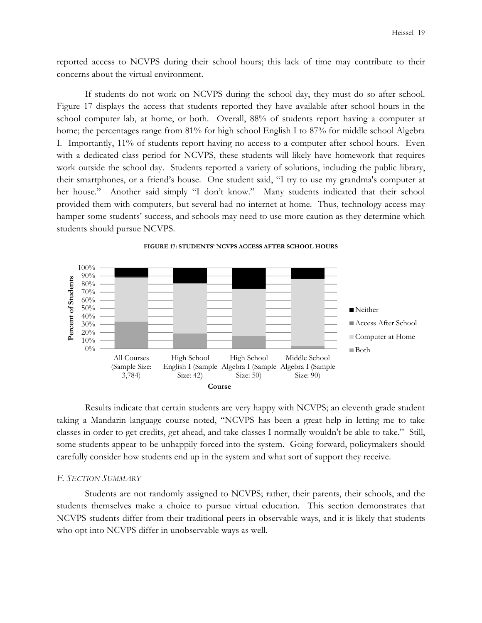reported access to NCVPS during their school hours; this lack of time may contribute to their concerns about the virtual environment.

If students do not work on NCVPS during the school day, they must do so after school. Figure 17 displays the access that students reported they have available after school hours in the school computer lab, at home, or both. Overall, 88% of students report having a computer at home; the percentages range from 81% for high school English I to 87% for middle school Algebra I. Importantly, 11% of students report having no access to a computer after school hours. Even with a dedicated class period for NCVPS, these students will likely have homework that requires work outside the school day. Students reported a variety of solutions, including the public library, their smartphones, or a friend's house. One student said, "I try to use my grandma's computer at her house." Another said simply "I don't know." Many students indicated that their school provided them with computers, but several had no internet at home. Thus, technology access may hamper some students' success, and schools may need to use more caution as they determine which students should pursue NCVPS.



Results indicate that certain students are very happy with NCVPS; an eleventh grade student taking a Mandarin language course noted, "NCVPS has been a great help in letting me to take classes in order to get credits, get ahead, and take classes I normally wouldn't be able to take." Still, some students appear to be unhappily forced into the system. Going forward, policymakers should carefully consider how students end up in the system and what sort of support they receive.

#### *F. SECTION SUMMARY*

Students are not randomly assigned to NCVPS; rather, their parents, their schools, and the students themselves make a choice to pursue virtual education. This section demonstrates that NCVPS students differ from their traditional peers in observable ways, and it is likely that students who opt into NCVPS differ in unobservable ways as well.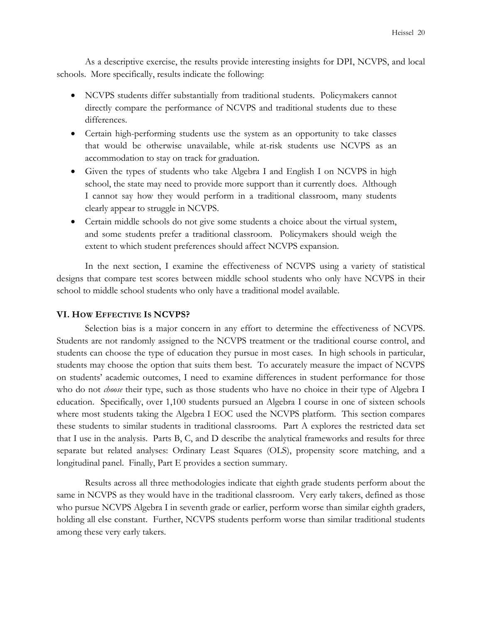As a descriptive exercise, the results provide interesting insights for DPI, NCVPS, and local schools. More specifically, results indicate the following:

- NCVPS students differ substantially from traditional students. Policymakers cannot directly compare the performance of NCVPS and traditional students due to these differences.
- Certain high-performing students use the system as an opportunity to take classes that would be otherwise unavailable, while at-risk students use NCVPS as an accommodation to stay on track for graduation.
- Given the types of students who take Algebra I and English I on NCVPS in high school, the state may need to provide more support than it currently does. Although I cannot say how they would perform in a traditional classroom, many students clearly appear to struggle in NCVPS.
- Certain middle schools do not give some students a choice about the virtual system, and some students prefer a traditional classroom. Policymakers should weigh the extent to which student preferences should affect NCVPS expansion.

In the next section, I examine the effectiveness of NCVPS using a variety of statistical designs that compare test scores between middle school students who only have NCVPS in their school to middle school students who only have a traditional model available.

#### **VI. HOW EFFECTIVE IS NCVPS?**

Selection bias is a major concern in any effort to determine the effectiveness of NCVPS. Students are not randomly assigned to the NCVPS treatment or the traditional course control, and students can choose the type of education they pursue in most cases. In high schools in particular, students may choose the option that suits them best. To accurately measure the impact of NCVPS on students' academic outcomes, I need to examine differences in student performance for those who do not *choose* their type, such as those students who have no choice in their type of Algebra I education. Specifically, over 1,100 students pursued an Algebra I course in one of sixteen schools where most students taking the Algebra I EOC used the NCVPS platform. This section compares these students to similar students in traditional classrooms. Part A explores the restricted data set that I use in the analysis. Parts B, C, and D describe the analytical frameworks and results for three separate but related analyses: Ordinary Least Squares (OLS), propensity score matching, and a longitudinal panel. Finally, Part E provides a section summary.

Results across all three methodologies indicate that eighth grade students perform about the same in NCVPS as they would have in the traditional classroom. Very early takers, defined as those who pursue NCVPS Algebra I in seventh grade or earlier, perform worse than similar eighth graders, holding all else constant. Further, NCVPS students perform worse than similar traditional students among these very early takers.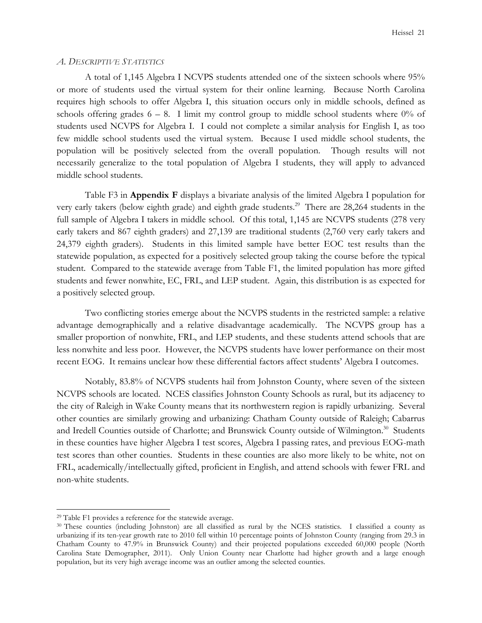#### *A. DESCRIPTIVE STATISTICS*

 A total of 1,145 Algebra I NCVPS students attended one of the sixteen schools where 95% or more of students used the virtual system for their online learning. Because North Carolina requires high schools to offer Algebra I, this situation occurs only in middle schools, defined as schools offering grades  $6 - 8$ . I limit my control group to middle school students where  $0\%$  of students used NCVPS for Algebra I. I could not complete a similar analysis for English I, as too few middle school students used the virtual system. Because I used middle school students, the population will be positively selected from the overall population. Though results will not necessarily generalize to the total population of Algebra I students, they will apply to advanced middle school students.

 Table F3 in **Appendix F** displays a bivariate analysis of the limited Algebra I population for very early takers (below eighth grade) and eighth grade students.<sup>29</sup> There are 28,264 students in the full sample of Algebra I takers in middle school. Of this total, 1,145 are NCVPS students (278 very early takers and 867 eighth graders) and 27,139 are traditional students (2,760 very early takers and 24,379 eighth graders). Students in this limited sample have better EOC test results than the statewide population, as expected for a positively selected group taking the course before the typical student. Compared to the statewide average from Table F1, the limited population has more gifted students and fewer nonwhite, EC, FRL, and LEP student. Again, this distribution is as expected for a positively selected group.

Two conflicting stories emerge about the NCVPS students in the restricted sample: a relative advantage demographically and a relative disadvantage academically. The NCVPS group has a smaller proportion of nonwhite, FRL, and LEP students, and these students attend schools that are less nonwhite and less poor. However, the NCVPS students have lower performance on their most recent EOG. It remains unclear how these differential factors affect students' Algebra I outcomes.

Notably, 83.8% of NCVPS students hail from Johnston County, where seven of the sixteen NCVPS schools are located. NCES classifies Johnston County Schools as rural, but its adjacency to the city of Raleigh in Wake County means that its northwestern region is rapidly urbanizing. Several other counties are similarly growing and urbanizing: Chatham County outside of Raleigh; Cabarrus and Iredell Counties outside of Charlotte; and Brunswick County outside of Wilmington.<sup>30</sup> Students in these counties have higher Algebra I test scores, Algebra I passing rates, and previous EOG-math test scores than other counties. Students in these counties are also more likely to be white, not on FRL, academically/intellectually gifted, proficient in English, and attend schools with fewer FRL and non-white students.

<sup>29</sup> Table F1 provides a reference for the statewide average.

<sup>30</sup> These counties (including Johnston) are all classified as rural by the NCES statistics. I classified a county as urbanizing if its ten-year growth rate to 2010 fell within 10 percentage points of Johnston County (ranging from 29.3 in Chatham County to 47.9% in Brunswick County) and their projected populations exceeded 60,000 people (North Carolina State Demographer, 2011). Only Union County near Charlotte had higher growth and a large enough population, but its very high average income was an outlier among the selected counties.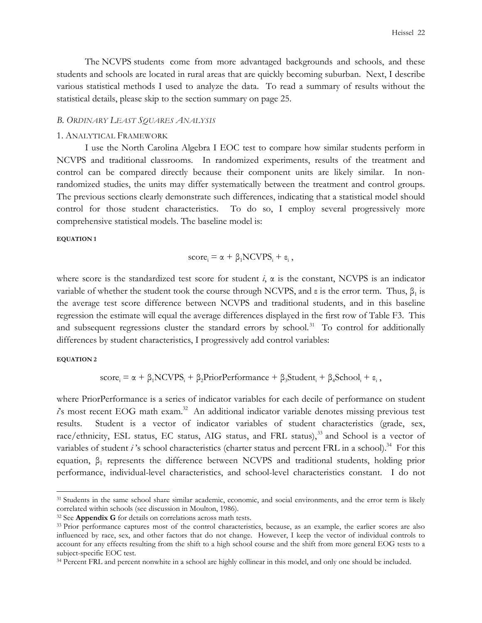The NCVPS students come from more advantaged backgrounds and schools, and these students and schools are located in rural areas that are quickly becoming suburban. Next, I describe various statistical methods I used to analyze the data. To read a summary of results without the statistical details, please skip to the section summary on page 25.

#### *B. ORDINARY LEAST SQUARES ANALYSIS*

#### 1. ANALYTICAL FRAMEWORK

I use the North Carolina Algebra I EOC test to compare how similar students perform in NCVPS and traditional classrooms. In randomized experiments, results of the treatment and control can be compared directly because their component units are likely similar. In nonrandomized studies, the units may differ systematically between the treatment and control groups. The previous sections clearly demonstrate such differences, indicating that a statistical model should control for those student characteristics. To do so, I employ several progressively more comprehensive statistical models. The baseline model is:

#### **EQUATION 1**

$$
score_i = \alpha + \beta_1 NCVPS_i + \varepsilon_i,
$$

where score is the standardized test score for student  $i$ ,  $\alpha$  is the constant, NCVPS is an indicator variable of whether the student took the course through NCVPS, and  $\varepsilon$  is the error term. Thus,  $\beta_1$  is the average test score difference between NCVPS and traditional students, and in this baseline regression the estimate will equal the average differences displayed in the first row of Table F3. This and subsequent regressions cluster the standard errors by school.<sup>31</sup> To control for additionally differences by student characteristics, I progressively add control variables:

#### **EQUATION 2**

 $\overline{a}$ 

 $score_i = \alpha + \beta_1 NCVPS_i + \beta_2 PriorPerformance + \beta_3 Student_i + \beta_4 School_i + \varepsilon_i,$ 

where PriorPerformance is a series of indicator variables for each decile of performance on student *i*'s most recent EOG math exam.<sup>32</sup> An additional indicator variable denotes missing previous test results. Student is a vector of indicator variables of student characteristics (grade, sex, race/ethnicity, ESL status, EC status, AIG status, and FRL status),<sup>33</sup> and School is a vector of variables of student  $i$ 's school characteristics (charter status and percent FRL in a school).<sup>34</sup> For this equation,  $β_1$  represents the difference between NCVPS and traditional students, holding prior performance, individual-level characteristics, and school-level characteristics constant. I do not

<sup>&</sup>lt;sup>31</sup> Students in the same school share similar academic, economic, and social environments, and the error term is likely correlated within schools (see discussion in Moulton, 1986).

<sup>32</sup> See **Appendix G** for details on correlations across math tests.

<sup>&</sup>lt;sup>33</sup> Prior performance captures most of the control characteristics, because, as an example, the earlier scores are also influenced by race, sex, and other factors that do not change. However, I keep the vector of individual controls to account for any effects resulting from the shift to a high school course and the shift from more general EOG tests to a subject-specific EOC test.

<sup>34</sup> Percent FRL and percent nonwhite in a school are highly collinear in this model, and only one should be included.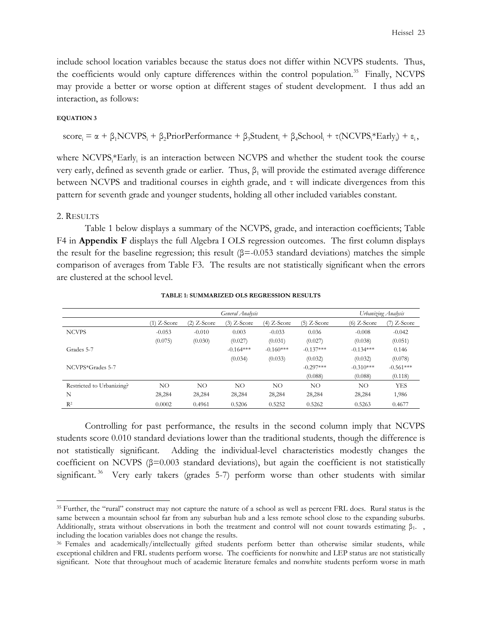include school location variables because the status does not differ within NCVPS students. Thus, the coefficients would only capture differences within the control population.<sup>35</sup> Finally, NCVPS may provide a better or worse option at different stages of student development. I thus add an interaction, as follows:

#### **EQUATION 3**

 $score_i = \alpha + \beta_1 NCVPS_i + \beta_2 PriorPerformance + \beta_3 Student_i + \beta_4 School_i + \tau (NCVPS_i * Early_i) + \varepsilon_i,$ 

where NCVPS<sub>i</sub>\*Early<sub>i</sub> is an interaction between NCVPS and whether the student took the course very early, defined as seventh grade or earlier. Thus,  $\beta_1$  will provide the estimated average difference between NCVPS and traditional courses in eighth grade, and τ will indicate divergences from this pattern for seventh grade and younger students, holding all other included variables constant.

#### 2. RESULTS

 $\overline{a}$ 

Table 1 below displays a summary of the NCVPS, grade, and interaction coefficients; Table F4 in **Appendix F** displays the full Algebra I OLS regression outcomes. The first column displays the result for the baseline regression; this result  $(\beta = 0.053$  standard deviations) matches the simple comparison of averages from Table F3. The results are not statistically significant when the errors are clustered at the school level.

|                           | General Analysis |               |               |               |               | Urbanizing Analysis |               |
|---------------------------|------------------|---------------|---------------|---------------|---------------|---------------------|---------------|
|                           | $(1)$ Z-Score    | $(2)$ Z-Score | $(3)$ Z-Score | $(4)$ Z-Score | $(5)$ Z-Score | $(6)$ Z-Score       | $(7)$ Z-Score |
| <b>NCVPS</b>              | $-0.053$         | $-0.010$      | 0.003         | $-0.033$      | 0.036         | $-0.008$            | $-0.042$      |
|                           | (0.075)          | (0.030)       | (0.027)       | (0.031)       | (0.027)       | (0.038)             | (0.051)       |
| Grades 5-7                |                  |               | $-0.164***$   | $-0.160***$   | $-0.137***$   | $-0.134***$         | 0.146         |
|                           |                  |               | (0.034)       | (0.033)       | (0.032)       | (0.032)             | (0.078)       |
| NCVPS*Grades 5-7          |                  |               |               |               | $-0.297***$   | $-0.310***$         | $-0.561***$   |
|                           |                  |               |               |               | (0.088)       | (0.088)             | (0.118)       |
| Restricted to Urbanizing? | NO.              | NO.           | NO.           | NO            | NO.           | NO.                 | <b>YES</b>    |
| N                         | 28,284           | 28,284        | 28,284        | 28,284        | 28,284        | 28,284              | 1,986         |
| $R^2$                     | 0.0002           | 0.4961        | 0.5206        | 0.5252        | 0.5262        | 0.5263              | 0.4677        |

#### **TABLE 1: SUMMARIZED OLS REGRESSION RESULTS**

Controlling for past performance, the results in the second column imply that NCVPS students score 0.010 standard deviations lower than the traditional students, though the difference is not statistically significant. Adding the individual-level characteristics modestly changes the coefficient on NCVPS  $(\beta=0.003$  standard deviations), but again the coefficient is not statistically significant.<sup>36</sup> Very early takers (grades 5-7) perform worse than other students with similar

<sup>&</sup>lt;sup>35</sup> Further, the "rural" construct may not capture the nature of a school as well as percent FRL does. Rural status is the same between a mountain school far from any suburban hub and a less remote school close to the expanding suburbs. Additionally, strata without observations in both the treatment and control will not count towards estimating  $\beta_1$ . including the location variables does not change the results.

<sup>&</sup>lt;sup>36</sup> Females and academically/intellectually gifted students perform better than otherwise similar students, while exceptional children and FRL students perform worse. The coefficients for nonwhite and LEP status are not statistically significant. Note that throughout much of academic literature females and nonwhite students perform worse in math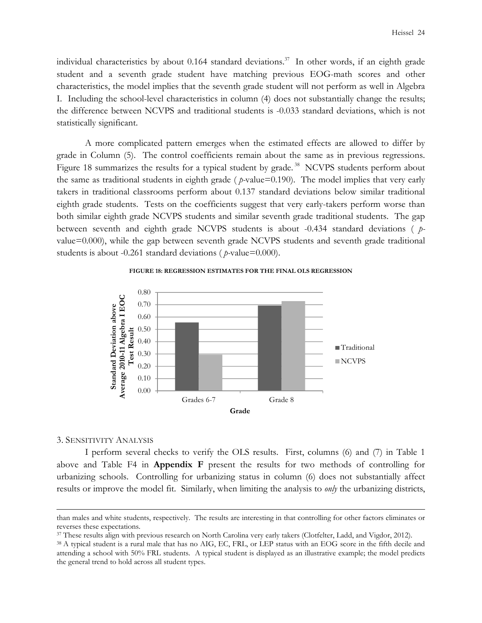individual characteristics by about  $0.164$  standard deviations.<sup>37</sup> In other words, if an eighth grade student and a seventh grade student have matching previous EOG-math scores and other characteristics, the model implies that the seventh grade student will not perform as well in Algebra I. Including the school-level characteristics in column (4) does not substantially change the results; the difference between NCVPS and traditional students is -0.033 standard deviations, which is not statistically significant.

A more complicated pattern emerges when the estimated effects are allowed to differ by grade in Column (5). The control coefficients remain about the same as in previous regressions. Figure 18 summarizes the results for a typical student by grade.<sup>38</sup> NCVPS students perform about the same as traditional students in eighth grade ( *p-*value=0.190). The model implies that very early takers in traditional classrooms perform about 0.137 standard deviations below similar traditional eighth grade students. Tests on the coefficients suggest that very early-takers perform worse than both similar eighth grade NCVPS students and similar seventh grade traditional students. The gap between seventh and eighth grade NCVPS students is about -0.434 standard deviations ( *p*value=0.000), while the gap between seventh grade NCVPS students and seventh grade traditional students is about -0.261 standard deviations ( $p$ -value=0.000).





#### 3. SENSITIVITY ANALYSIS

 $\overline{a}$ 

I perform several checks to verify the OLS results. First, columns (6) and (7) in Table 1 above and Table F4 in **Appendix F** present the results for two methods of controlling for urbanizing schools. Controlling for urbanizing status in column (6) does not substantially affect results or improve the model fit. Similarly, when limiting the analysis to *only* the urbanizing districts,

than males and white students, respectively. The results are interesting in that controlling for other factors eliminates or reverses these expectations.

<sup>&</sup>lt;sup>37</sup> These results align with previous research on North Carolina very early takers (Clotfelter, Ladd, and Vigdor, 2012).

<sup>&</sup>lt;sup>38</sup> A typical student is a rural male that has no AIG, EC, FRL, or LEP status with an EOG score in the fifth decile and attending a school with 50% FRL students. A typical student is displayed as an illustrative example; the model predicts the general trend to hold across all student types.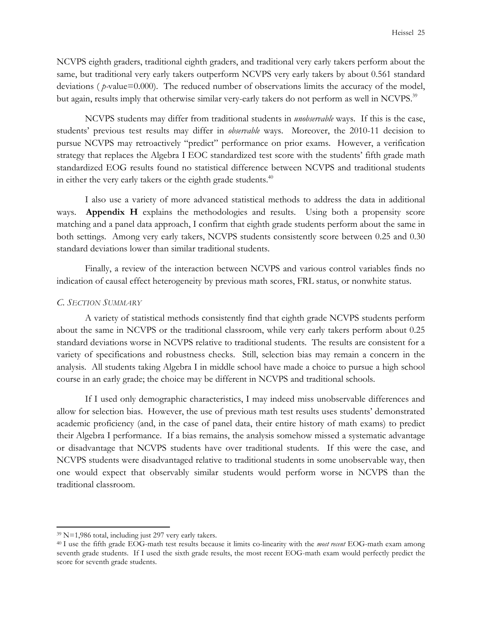NCVPS eighth graders, traditional eighth graders, and traditional very early takers perform about the same, but traditional very early takers outperform NCVPS very early takers by about 0.561 standard deviations ( $p$ -value=0.000). The reduced number of observations limits the accuracy of the model, but again, results imply that otherwise similar very-early takers do not perform as well in NCVPS.<sup>39</sup>

NCVPS students may differ from traditional students in *unobservable* ways. If this is the case, students' previous test results may differ in *observable* ways. Moreover, the 2010-11 decision to pursue NCVPS may retroactively "predict" performance on prior exams. However, a verification strategy that replaces the Algebra I EOC standardized test score with the students' fifth grade math standardized EOG results found no statistical difference between NCVPS and traditional students in either the very early takers or the eighth grade students. $40$ 

I also use a variety of more advanced statistical methods to address the data in additional ways. **Appendix H** explains the methodologies and results. Using both a propensity score matching and a panel data approach, I confirm that eighth grade students perform about the same in both settings. Among very early takers, NCVPS students consistently score between 0.25 and 0.30 standard deviations lower than similar traditional students.

Finally, a review of the interaction between NCVPS and various control variables finds no indication of causal effect heterogeneity by previous math scores, FRL status, or nonwhite status.

## *C. SECTION SUMMARY*

A variety of statistical methods consistently find that eighth grade NCVPS students perform about the same in NCVPS or the traditional classroom, while very early takers perform about 0.25 standard deviations worse in NCVPS relative to traditional students. The results are consistent for a variety of specifications and robustness checks. Still, selection bias may remain a concern in the analysis. All students taking Algebra I in middle school have made a choice to pursue a high school course in an early grade; the choice may be different in NCVPS and traditional schools.

If I used only demographic characteristics, I may indeed miss unobservable differences and allow for selection bias. However, the use of previous math test results uses students' demonstrated academic proficiency (and, in the case of panel data, their entire history of math exams) to predict their Algebra I performance. If a bias remains, the analysis somehow missed a systematic advantage or disadvantage that NCVPS students have over traditional students. If this were the case, and NCVPS students were disadvantaged relative to traditional students in some unobservable way, then one would expect that observably similar students would perform worse in NCVPS than the traditional classroom.

<sup>39</sup> N=1,986 total, including just 297 very early takers.

<sup>40</sup> I use the fifth grade EOG-math test results because it limits co-linearity with the *most recent* EOG-math exam among seventh grade students. If I used the sixth grade results, the most recent EOG-math exam would perfectly predict the score for seventh grade students.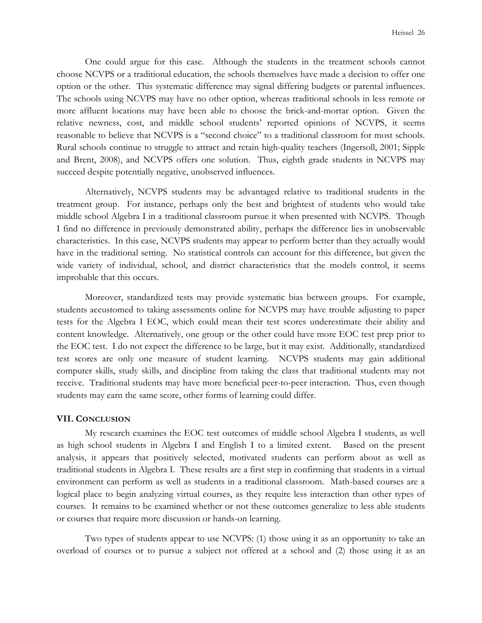One could argue for this case. Although the students in the treatment schools cannot choose NCVPS or a traditional education, the schools themselves have made a decision to offer one option or the other. This systematic difference may signal differing budgets or parental influences. The schools using NCVPS may have no other option, whereas traditional schools in less remote or more affluent locations may have been able to choose the brick-and-mortar option. Given the relative newness, cost, and middle school students' reported opinions of NCVPS, it seems reasonable to believe that NCVPS is a "second choice" to a traditional classroom for most schools. Rural schools continue to struggle to attract and retain high-quality teachers (Ingersoll, 2001; Sipple and Brent, 2008), and NCVPS offers one solution. Thus, eighth grade students in NCVPS may succeed despite potentially negative, unobserved influences.

Alternatively, NCVPS students may be advantaged relative to traditional students in the treatment group. For instance, perhaps only the best and brightest of students who would take middle school Algebra I in a traditional classroom pursue it when presented with NCVPS. Though I find no difference in previously demonstrated ability, perhaps the difference lies in unobservable characteristics. In this case, NCVPS students may appear to perform better than they actually would have in the traditional setting. No statistical controls can account for this difference, but given the wide variety of individual, school, and district characteristics that the models control, it seems improbable that this occurs.

Moreover, standardized tests may provide systematic bias between groups. For example, students accustomed to taking assessments online for NCVPS may have trouble adjusting to paper tests for the Algebra I EOC, which could mean their test scores underestimate their ability and content knowledge. Alternatively, one group or the other could have more EOC test prep prior to the EOC test. I do not expect the difference to be large, but it may exist. Additionally, standardized test scores are only one measure of student learning. NCVPS students may gain additional computer skills, study skills, and discipline from taking the class that traditional students may not receive. Traditional students may have more beneficial peer-to-peer interaction. Thus, even though students may earn the same score, other forms of learning could differ.

#### **VII. CONCLUSION**

My research examines the EOC test outcomes of middle school Algebra I students, as well as high school students in Algebra I and English I to a limited extent. Based on the present analysis, it appears that positively selected, motivated students can perform about as well as traditional students in Algebra I. These results are a first step in confirming that students in a virtual environment can perform as well as students in a traditional classroom. Math-based courses are a logical place to begin analyzing virtual courses, as they require less interaction than other types of courses. It remains to be examined whether or not these outcomes generalize to less able students or courses that require more discussion or hands-on learning.

Two types of students appear to use NCVPS: (1) those using it as an opportunity to take an overload of courses or to pursue a subject not offered at a school and (2) those using it as an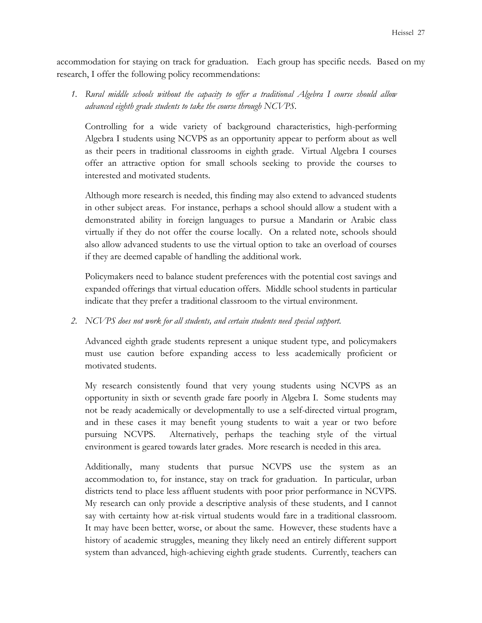accommodation for staying on track for graduation. Each group has specific needs. Based on my research, I offer the following policy recommendations:

*1. Rural middle schools without the capacity to offer a traditional Algebra I course should allow advanced eighth grade students to take the course through NCVPS.* 

Controlling for a wide variety of background characteristics, high-performing Algebra I students using NCVPS as an opportunity appear to perform about as well as their peers in traditional classrooms in eighth grade. Virtual Algebra I courses offer an attractive option for small schools seeking to provide the courses to interested and motivated students.

Although more research is needed, this finding may also extend to advanced students in other subject areas. For instance, perhaps a school should allow a student with a demonstrated ability in foreign languages to pursue a Mandarin or Arabic class virtually if they do not offer the course locally. On a related note, schools should also allow advanced students to use the virtual option to take an overload of courses if they are deemed capable of handling the additional work.

Policymakers need to balance student preferences with the potential cost savings and expanded offerings that virtual education offers. Middle school students in particular indicate that they prefer a traditional classroom to the virtual environment.

# *2. NCVPS does not work for all students, and certain students need special support.*

Advanced eighth grade students represent a unique student type, and policymakers must use caution before expanding access to less academically proficient or motivated students.

My research consistently found that very young students using NCVPS as an opportunity in sixth or seventh grade fare poorly in Algebra I. Some students may not be ready academically or developmentally to use a self-directed virtual program, and in these cases it may benefit young students to wait a year or two before pursuing NCVPS. Alternatively, perhaps the teaching style of the virtual environment is geared towards later grades. More research is needed in this area.

Additionally, many students that pursue NCVPS use the system as an accommodation to, for instance, stay on track for graduation. In particular, urban districts tend to place less affluent students with poor prior performance in NCVPS. My research can only provide a descriptive analysis of these students, and I cannot say with certainty how at-risk virtual students would fare in a traditional classroom. It may have been better, worse, or about the same. However, these students have a history of academic struggles, meaning they likely need an entirely different support system than advanced, high-achieving eighth grade students. Currently, teachers can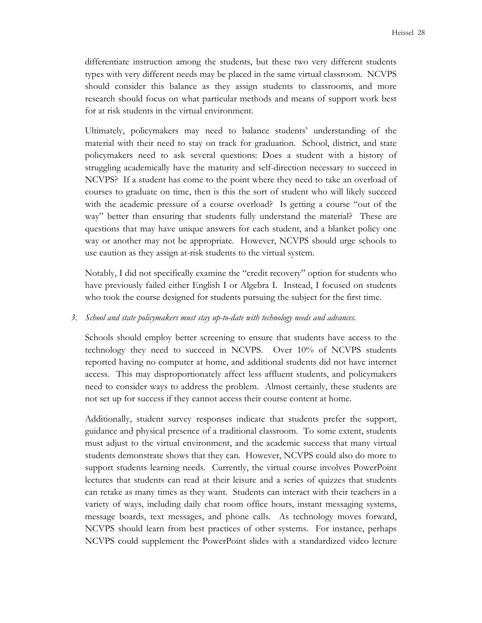differentiate instruction among the students, but these two very different students types with very different needs may be placed in the same virtual classroom. NCVPS should consider this balance as they assign students to classrooms, and more research should focus on what particular methods and means of support work best for at risk students in the virtual environment.

Ultimately, policymakers may need to balance students' understanding of the material with their need to stay on track for graduation. School, district, and state policymakers need to ask several questions: Does a student with a history of struggling academically have the maturity and self-direction necessary to succeed in NCVPS? If a student has come to the point where they need to take an overload of courses to graduate on time, then is this the sort of student who will likely succeed with the academic pressure of a course overload? Is getting a course "out of the way" better than ensuring that students fully understand the material? These are questions that may have unique answers for each student, and a blanket policy one way or another may not be appropriate. However, NCVPS should urge schools to use caution as they assign at-risk students to the virtual system.

Notably, I did not specifically examine the "credit recovery" option for students who have previously failed either English I or Algebra I. Instead, I focused on students who took the course designed for students pursuing the subject for the first time.

## *3. School and state policymakers must stay up-to-date with technology needs and advances.*

Schools should employ better screening to ensure that students have access to the technology they need to succeed in NCVPS. Over 10% of NCVPS students reported having no computer at home, and additional students did not have internet access. This may disproportionately affect less affluent students, and policymakers need to consider ways to address the problem. Almost certainly, these students are not set up for success if they cannot access their course content at home.

Additionally, student survey responses indicate that students prefer the support, guidance and physical presence of a traditional classroom. To some extent, students must adjust to the virtual environment, and the academic success that many virtual students demonstrate shows that they can. However, NCVPS could also do more to support students learning needs. Currently, the virtual course involves PowerPoint lectures that students can read at their leisure and a series of quizzes that students can retake as many times as they want. Students can interact with their teachers in a variety of ways, including daily chat room office hours, instant messaging systems, message boards, text messages, and phone calls. As technology moves forward, NCVPS should learn from best practices of other systems. For instance, perhaps NCVPS could supplement the PowerPoint slides with a standardized video lecture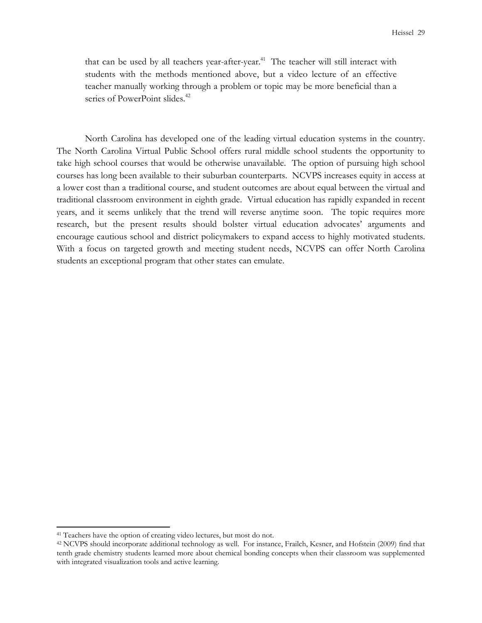that can be used by all teachers year-after-year.<sup>41</sup> The teacher will still interact with students with the methods mentioned above, but a video lecture of an effective teacher manually working through a problem or topic may be more beneficial than a series of PowerPoint slides.<sup>42</sup>

North Carolina has developed one of the leading virtual education systems in the country. The North Carolina Virtual Public School offers rural middle school students the opportunity to take high school courses that would be otherwise unavailable. The option of pursuing high school courses has long been available to their suburban counterparts. NCVPS increases equity in access at a lower cost than a traditional course, and student outcomes are about equal between the virtual and traditional classroom environment in eighth grade. Virtual education has rapidly expanded in recent years, and it seems unlikely that the trend will reverse anytime soon. The topic requires more research, but the present results should bolster virtual education advocates' arguments and encourage cautious school and district policymakers to expand access to highly motivated students. With a focus on targeted growth and meeting student needs, NCVPS can offer North Carolina students an exceptional program that other states can emulate.

<sup>41</sup> Teachers have the option of creating video lectures, but most do not.

<sup>42</sup> NCVPS should incorporate additional technology as well. For instance, Frailch, Kesner, and Hofstein (2009) find that tenth grade chemistry students learned more about chemical bonding concepts when their classroom was supplemented with integrated visualization tools and active learning.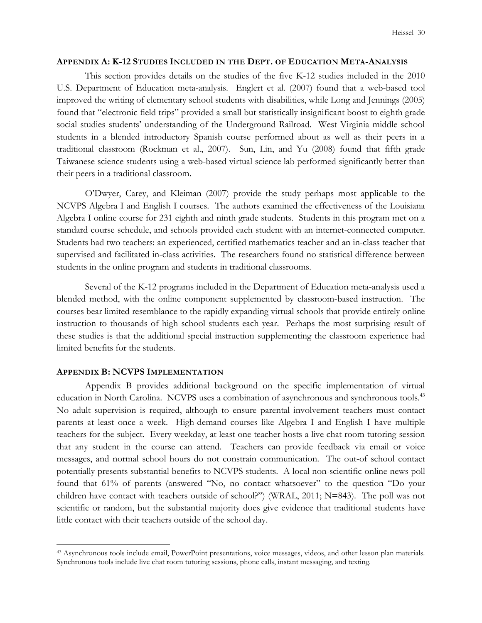## **APPENDIX A: K-12 STUDIES INCLUDED IN THE DEPT. OF EDUCATION META-ANALYSIS**

This section provides details on the studies of the five K-12 studies included in the 2010 U.S. Department of Education meta-analysis. Englert et al. (2007) found that a web-based tool improved the writing of elementary school students with disabilities, while Long and Jennings (2005) found that "electronic field trips" provided a small but statistically insignificant boost to eighth grade social studies students' understanding of the Underground Railroad. West Virginia middle school students in a blended introductory Spanish course performed about as well as their peers in a traditional classroom (Rockman et al., 2007). Sun, Lin, and Yu (2008) found that fifth grade Taiwanese science students using a web-based virtual science lab performed significantly better than their peers in a traditional classroom.

O'Dwyer, Carey, and Kleiman (2007) provide the study perhaps most applicable to the NCVPS Algebra I and English I courses. The authors examined the effectiveness of the Louisiana Algebra I online course for 231 eighth and ninth grade students. Students in this program met on a standard course schedule, and schools provided each student with an internet-connected computer. Students had two teachers: an experienced, certified mathematics teacher and an in-class teacher that supervised and facilitated in-class activities. The researchers found no statistical difference between students in the online program and students in traditional classrooms.

Several of the K-12 programs included in the Department of Education meta-analysis used a blended method, with the online component supplemented by classroom-based instruction. The courses bear limited resemblance to the rapidly expanding virtual schools that provide entirely online instruction to thousands of high school students each year. Perhaps the most surprising result of these studies is that the additional special instruction supplementing the classroom experience had limited benefits for the students.

# **APPENDIX B: NCVPS IMPLEMENTATION**

 $\overline{a}$ 

Appendix B provides additional background on the specific implementation of virtual education in North Carolina. NCVPS uses a combination of asynchronous and synchronous tools.<sup>43</sup> No adult supervision is required, although to ensure parental involvement teachers must contact parents at least once a week. High-demand courses like Algebra I and English I have multiple teachers for the subject. Every weekday, at least one teacher hosts a live chat room tutoring session that any student in the course can attend. Teachers can provide feedback via email or voice messages, and normal school hours do not constrain communication. The out-of school contact potentially presents substantial benefits to NCVPS students. A local non-scientific online news poll found that 61% of parents (answered "No, no contact whatsoever" to the question "Do your children have contact with teachers outside of school?") (WRAL, 2011; N=843). The poll was not scientific or random, but the substantial majority does give evidence that traditional students have little contact with their teachers outside of the school day.

<sup>43</sup> Asynchronous tools include email, PowerPoint presentations, voice messages, videos, and other lesson plan materials. Synchronous tools include live chat room tutoring sessions, phone calls, instant messaging, and texting.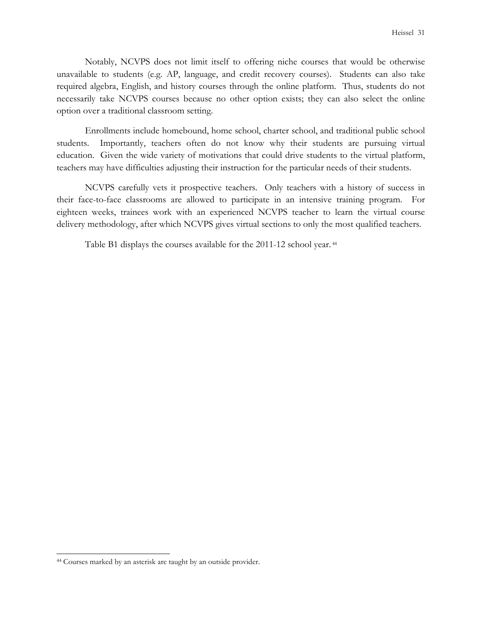Notably, NCVPS does not limit itself to offering niche courses that would be otherwise unavailable to students (e.g. AP, language, and credit recovery courses). Students can also take required algebra, English, and history courses through the online platform. Thus, students do not necessarily take NCVPS courses because no other option exists; they can also select the online option over a traditional classroom setting.

Enrollments include homebound, home school, charter school, and traditional public school students. Importantly, teachers often do not know why their students are pursuing virtual education. Given the wide variety of motivations that could drive students to the virtual platform, teachers may have difficulties adjusting their instruction for the particular needs of their students.

NCVPS carefully vets it prospective teachers. Only teachers with a history of success in their face-to-face classrooms are allowed to participate in an intensive training program. For eighteen weeks, trainees work with an experienced NCVPS teacher to learn the virtual course delivery methodology, after which NCVPS gives virtual sections to only the most qualified teachers.

Table B1 displays the courses available for the 2011-12 school year.<sup>44</sup>

<sup>44</sup> Courses marked by an asterisk are taught by an outside provider.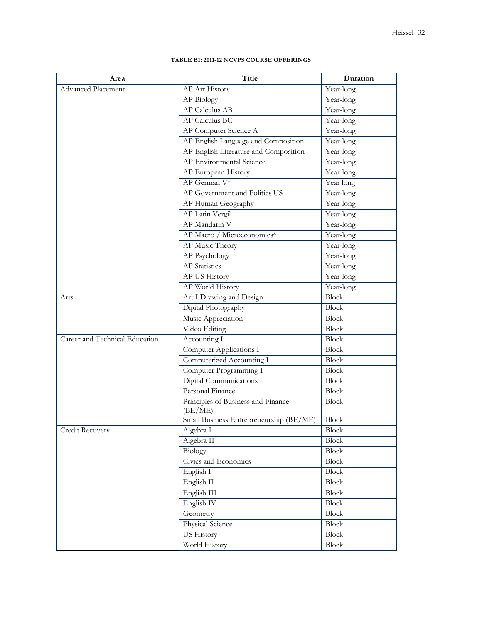### **TABLE B1: 2011-12 NCVPS COURSE OFFERINGS**

| Area                           | Title                                         | Duration                |
|--------------------------------|-----------------------------------------------|-------------------------|
| <b>Advanced Placement</b>      | AP Art History                                | Year-long               |
|                                | AP Biology                                    | Year-long               |
|                                | <b>AP Calculus AB</b>                         | Year-long               |
|                                | <b>AP Calculus BC</b>                         | Year-long               |
|                                | AP Computer Science A                         | Year-long               |
|                                | AP English Language and Composition           | Year-long               |
|                                | AP English Literature and Composition         | Year-long               |
|                                | AP Environmental Science                      | Year-long               |
|                                | AP European History                           | Year-long               |
|                                | AP German V*                                  | Year long               |
|                                | AP Government and Politics US                 | Year-long               |
|                                | AP Human Geography                            | Year-long               |
|                                | AP Latin Vergil                               | Year-long               |
|                                | AP Mandarin V                                 | Year-long               |
|                                | AP Macro / Microeconomics*                    | Year-long               |
|                                | AP Music Theory                               | Year-long               |
|                                | <b>AP Psychology</b>                          | Year-long               |
|                                | <b>AP</b> Statistics                          | Year-long               |
|                                | AP US History                                 | $\overline{Year}$ -long |
|                                | AP World History                              | Year-long               |
| Arts                           | Art I Drawing and Design                      | <b>Block</b>            |
|                                | Digital Photography                           | <b>Block</b>            |
|                                | Music Appreciation                            | <b>Block</b>            |
|                                | Video Editing                                 | <b>Block</b>            |
| Career and Technical Education | Accounting I                                  | <b>Block</b>            |
|                                | Computer Applications I                       | Block                   |
|                                | Computerized Accounting I                     | Block                   |
|                                | Computer Programming I                        | Block                   |
|                                | Digital Communications                        | <b>Block</b>            |
|                                | Personal Finance                              | Block                   |
|                                | Principles of Business and Finance<br>(BE/ME) | <b>Block</b>            |
|                                | Small Business Entrepreneurship (BE/ME)       | <b>Block</b>            |
| Credit Recovery                | Algebra I                                     | Block                   |
|                                | Algebra II                                    | <b>Block</b>            |
|                                | Biology                                       | <b>Block</b>            |
|                                | Civics and Economics                          | Block                   |
|                                | English I                                     | Block                   |
|                                | English II                                    | Block                   |
|                                | English III                                   | Block                   |
|                                | English <sub>IV</sub>                         | Block                   |
|                                | Geometry                                      | Block                   |
|                                | Physical Science                              | Block                   |
|                                | US History                                    | Block                   |
|                                | World History                                 | <b>Block</b>            |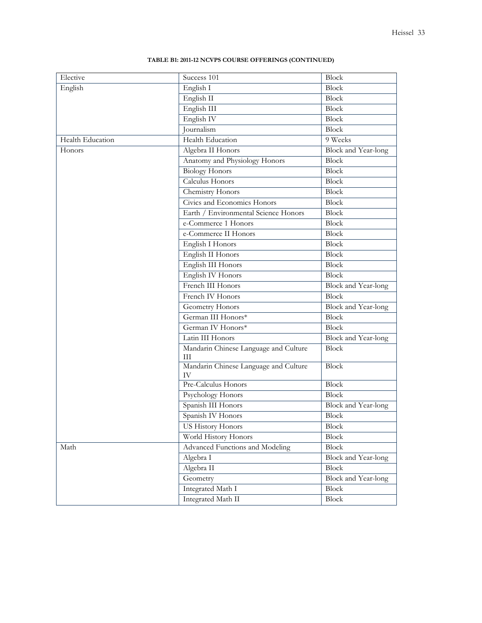| Elective         | Success 101                                 | Block               |  |
|------------------|---------------------------------------------|---------------------|--|
| English          | English I                                   | <b>Block</b>        |  |
|                  | English II                                  | Block               |  |
|                  | English III                                 | <b>Block</b>        |  |
|                  | English IV                                  | <b>Block</b>        |  |
|                  | Journalism                                  | <b>Block</b>        |  |
| Health Education | Health Education                            | 9 Weeks             |  |
| Honors           | Algebra II Honors                           | Block and Year-long |  |
|                  | Anatomy and Physiology Honors               | <b>Block</b>        |  |
|                  | <b>Biology Honors</b>                       | <b>Block</b>        |  |
|                  | Calculus Honors                             | <b>Block</b>        |  |
|                  | Chemistry Honors                            | <b>Block</b>        |  |
|                  | Civics and Economics Honors                 | Block               |  |
|                  | Earth / Environmental Science Honors        | <b>Block</b>        |  |
|                  | e-Commerce 1 Honors                         | <b>Block</b>        |  |
|                  | e-Commerce II Honors                        | <b>Block</b>        |  |
|                  | English I Honors                            | <b>Block</b>        |  |
|                  | English II Honors                           | <b>Block</b>        |  |
|                  | English III Honors                          | <b>Block</b>        |  |
|                  | English IV Honors                           | <b>Block</b>        |  |
|                  | French III Honors                           | Block and Year-long |  |
|                  | French IV Honors                            | Block               |  |
|                  | Geometry Honors                             | Block and Year-long |  |
|                  | German III Honors*                          | <b>Block</b>        |  |
|                  | German IV Honors*                           | <b>Block</b>        |  |
|                  | Latin III Honors                            | Block and Year-long |  |
|                  | Mandarin Chinese Language and Culture<br>Ш  | <b>Block</b>        |  |
|                  | Mandarin Chinese Language and Culture<br>IV | <b>Block</b>        |  |
|                  | Pre-Calculus Honors                         | <b>Block</b>        |  |
|                  | Psychology Honors                           | <b>Block</b>        |  |
|                  | Spanish III Honors                          | Block and Year-long |  |
|                  | Spanish IV Honors                           | <b>Block</b>        |  |
|                  | <b>US History Honors</b>                    | <b>Block</b>        |  |
|                  | World History Honors                        | <b>Block</b>        |  |
| Math             | Advanced Functions and Modeling             | <b>Block</b>        |  |
|                  | Algebra I                                   | Block and Year-long |  |
|                  | Algebra II                                  | <b>Block</b>        |  |
|                  | Geometry                                    | Block and Year-long |  |
|                  | <b>Integrated Math I</b>                    | <b>Block</b>        |  |
|                  | Integrated Math II                          | <b>Block</b>        |  |

## **TABLE B1: 2011-12 NCVPS COURSE OFFERINGS (CONTINUED)**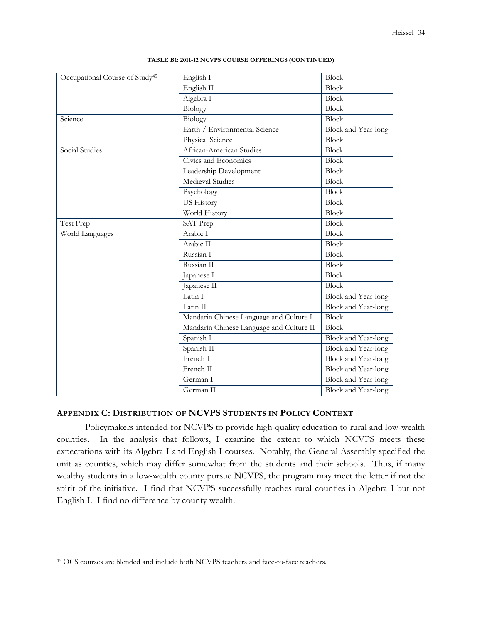| Occupational Course of Study <sup>45</sup> | English I                                | Block                      |
|--------------------------------------------|------------------------------------------|----------------------------|
|                                            | English II                               | Block                      |
|                                            | Algebra I                                | Block                      |
|                                            | <b>Biology</b>                           | <b>Block</b>               |
| Science                                    | Biology                                  | Block                      |
|                                            | Earth / Environmental Science            | Block and Year-long        |
|                                            | Physical Science                         | <b>Block</b>               |
| Social Studies                             | African-American Studies                 | <b>Block</b>               |
|                                            | Civics and Economics                     | Block                      |
|                                            | Leadership Development                   | <b>Block</b>               |
|                                            | Medieval Studies                         | Block                      |
|                                            | Psychology                               | <b>Block</b>               |
|                                            | <b>US History</b>                        | Block                      |
|                                            | World History                            | <b>Block</b>               |
| Test Prep                                  | SAT Prep                                 | Block                      |
| World Languages                            | Arabic I                                 | <b>Block</b>               |
|                                            | Arabic II                                | Block                      |
|                                            | Russian I                                | <b>Block</b>               |
|                                            | Russian II                               | Block                      |
|                                            | Japanese I                               | <b>Block</b>               |
|                                            | Japanese II                              | Block                      |
|                                            | Latin I                                  | <b>Block</b> and Year-long |
|                                            | Latin II                                 | <b>Block and Year-long</b> |
|                                            | Mandarin Chinese Language and Culture I  | <b>Block</b>               |
|                                            | Mandarin Chinese Language and Culture II | Block                      |
|                                            | Spanish I                                | Block and Year-long        |
|                                            | Spanish II                               | Block and Year-long        |
|                                            | French I                                 | <b>Block and Year-long</b> |
|                                            | French II                                | Block and Year-long        |
|                                            | German I                                 | Block and Year-long        |
|                                            | German II                                | Block and Year-long        |

#### **TABLE B1: 2011-12 NCVPS COURSE OFFERINGS (CONTINUED)**

# **APPENDIX C: DISTRIBUTION OF NCVPS STUDENTS IN POLICY CONTEXT**

 Policymakers intended for NCVPS to provide high-quality education to rural and low-wealth counties. In the analysis that follows, I examine the extent to which NCVPS meets these expectations with its Algebra I and English I courses. Notably, the General Assembly specified the unit as counties, which may differ somewhat from the students and their schools. Thus, if many wealthy students in a low-wealth county pursue NCVPS, the program may meet the letter if not the spirit of the initiative. I find that NCVPS successfully reaches rural counties in Algebra I but not English I. I find no difference by county wealth.

<sup>45</sup> OCS courses are blended and include both NCVPS teachers and face-to-face teachers.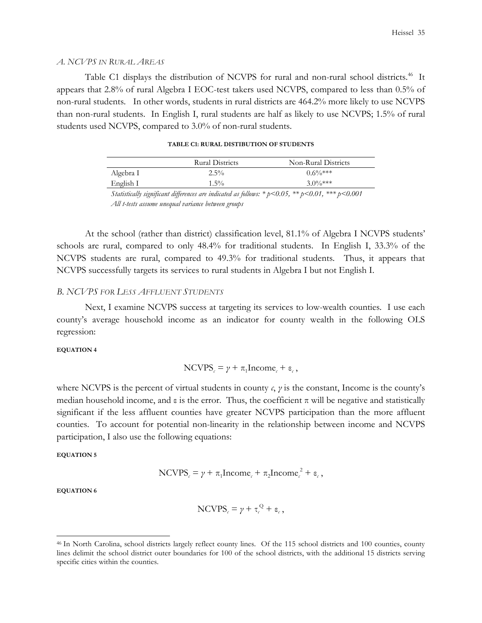### *A. NCVPS IN RURAL AREAS*

Table C1 displays the distribution of NCVPS for rural and non-rural school districts.<sup>46</sup> It appears that 2.8% of rural Algebra I EOC-test takers used NCVPS, compared to less than 0.5% of non-rural students. In other words, students in rural districts are 464.2% more likely to use NCVPS than non-rural students. In English I, rural students are half as likely to use NCVPS; 1.5% of rural students used NCVPS, compared to 3.0% of non-rural students.

|           | <b>Rural Districts</b> | Non-Rural Districts |
|-----------|------------------------|---------------------|
| Algebra I | $2.5\%$                | $0.6\%***$          |
| English I | $1.5\%$                | $3.0\%***$          |

| TABLE C1: RURAL DISTIBUTION OF STUDENTS |  |  |
|-----------------------------------------|--|--|
|-----------------------------------------|--|--|

*Statistically significant differences are indicated as follows: \* p<0.05, \*\* p<0.01, \*\*\* p<0.001 All t-tests assume unequal variance between groups* 

At the school (rather than district) classification level, 81.1% of Algebra I NCVPS students' schools are rural, compared to only 48.4% for traditional students. In English I, 33.3% of the NCVPS students are rural, compared to 49.3% for traditional students. Thus, it appears that NCVPS successfully targets its services to rural students in Algebra I but not English I.

# *B. NCVPS FOR LESS AFFLUENT STUDENTS*

 Next, I examine NCVPS success at targeting its services to low-wealth counties. I use each county's average household income as an indicator for county wealth in the following OLS regression:

### **EQUATION 4**

$$
NCVPSc = \gamma + \pi_1 Incomec + \varepsilonc,
$$

where NCVPS is the percent of virtual students in county  $c$ ,  $\gamma$  is the constant, Income is the county's median household income, and  $\varepsilon$  is the error. Thus, the coefficient  $\pi$  will be negative and statistically significant if the less affluent counties have greater NCVPS participation than the more affluent counties. To account for potential non-linearity in the relationship between income and NCVPS participation, I also use the following equations:

## **EQUATION 5**

$$
NCVPSc = \gamma + \pi_1 Incomec + \pi_2 Incomec2 + \varepsilonc,
$$

**EQUATION 6**

$$
NCVPSc = \gamma + \tau_c^Q + \varepsilon_c,
$$

<sup>46</sup> In North Carolina, school districts largely reflect county lines. Of the 115 school districts and 100 counties, county lines delimit the school district outer boundaries for 100 of the school districts, with the additional 15 districts serving specific cities within the counties.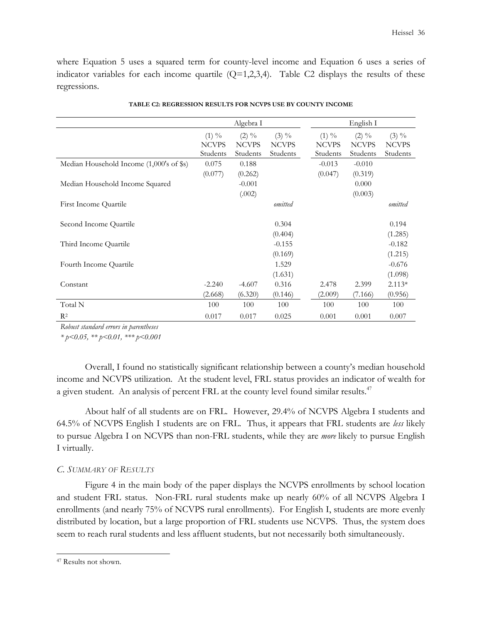where Equation 5 uses a squared term for county-level income and Equation 6 uses a series of indicator variables for each income quartile  $(Q=1,2,3,4)$ . Table C2 displays the results of these regressions.

|                                              | Algebra I                            |                                      |                                      | English I                            |                                      |                                      |
|----------------------------------------------|--------------------------------------|--------------------------------------|--------------------------------------|--------------------------------------|--------------------------------------|--------------------------------------|
|                                              | $(1) \%$<br><b>NCVPS</b><br>Students | $(2) \%$<br><b>NCVPS</b><br>Students | $(3) \%$<br><b>NCVPS</b><br>Students | $(1) \%$<br><b>NCVPS</b><br>Students | $(2) \%$<br><b>NCVPS</b><br>Students | $(3) \%$<br><b>NCVPS</b><br>Students |
| Median Household Income $(1,000)$ 's of \$s) | 0.075                                | 0.188                                |                                      | $-0.013$                             | $-0.010$                             |                                      |
|                                              | (0.077)                              | (0.262)                              |                                      | (0.047)                              | (0.319)                              |                                      |
| Median Household Income Squared              |                                      | $-0.001$                             |                                      |                                      | 0.000                                |                                      |
|                                              |                                      | (.002)                               |                                      |                                      | (0.003)                              |                                      |
| First Income Quartile                        |                                      |                                      | omitted                              |                                      |                                      | omitted                              |
|                                              |                                      |                                      |                                      |                                      |                                      |                                      |
| Second Income Quartile                       |                                      |                                      | 0.304                                |                                      |                                      | 0.194                                |
|                                              |                                      |                                      | (0.404)                              |                                      |                                      | (1.285)                              |
| Third Income Quartile                        |                                      |                                      | $-0.155$                             |                                      |                                      | $-0.182$                             |
|                                              |                                      |                                      | (0.169)                              |                                      |                                      | (1.215)                              |
| Fourth Income Quartile                       |                                      |                                      | 1.529                                |                                      |                                      | $-0.676$                             |
|                                              |                                      |                                      | (1.631)                              |                                      |                                      | (1.098)                              |
| Constant                                     | $-2.240$                             | $-4.607$                             | 0.316                                | 2.478                                | 2.399                                | $2.113*$                             |
|                                              | (2.668)                              | (6.320)                              | (0.146)                              | (2.009)                              | (7.166)                              | (0.956)                              |
| Total N                                      | 100                                  | 100                                  | 100                                  | 100                                  | 100                                  | 100                                  |
| $R^2$                                        | 0.017                                | 0.017                                | 0.025                                | 0.001                                | 0.001                                | 0.007                                |

| TABLE C2: REGRESSION RESULTS FOR NCVPS USE BY COUNTY INCOME |  |  |
|-------------------------------------------------------------|--|--|
|                                                             |  |  |

*Robust standard errors in parentheses* 

*\* p<0.05, \*\* p<0.01, \*\*\* p<0.001* 

 Overall, I found no statistically significant relationship between a county's median household income and NCVPS utilization. At the student level, FRL status provides an indicator of wealth for a given student. An analysis of percent FRL at the county level found similar results.<sup>47</sup>

About half of all students are on FRL. However, 29.4% of NCVPS Algebra I students and 64.5% of NCVPS English I students are on FRL. Thus, it appears that FRL students are *less* likely to pursue Algebra I on NCVPS than non-FRL students, while they are *more* likely to pursue English I virtually.

# *C. SUMMARY OF RESULTS*

Figure 4 in the main body of the paper displays the NCVPS enrollments by school location and student FRL status. Non-FRL rural students make up nearly 60% of all NCVPS Algebra I enrollments (and nearly 75% of NCVPS rural enrollments). For English I, students are more evenly distributed by location, but a large proportion of FRL students use NCVPS. Thus, the system does seem to reach rural students and less affluent students, but not necessarily both simultaneously.

<sup>47</sup> Results not shown.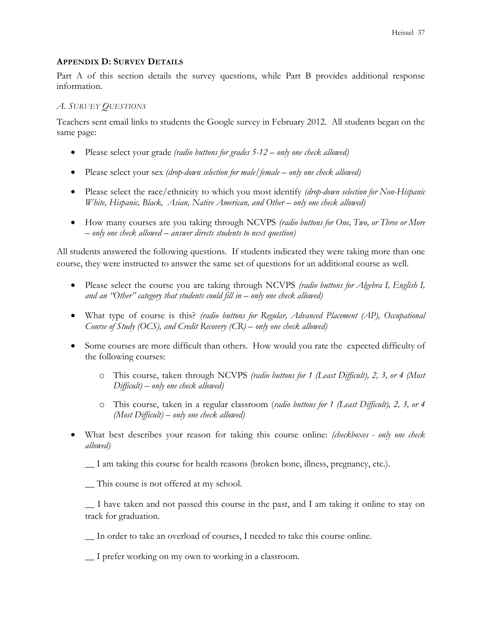# **APPENDIX D: SURVEY DETAILS**

Part A of this section details the survey questions, while Part B provides additional response information.

# *A. SURVEY QUESTIONS*

Teachers sent email links to students the Google survey in February 2012. All students began on the same page:

- Please select your grade *(radio buttons for grades 5-12 only one check allowed)*
- Please select your sex *(drop-down selection for male/female only one check allowed)*
- Please select the race/ethnicity to which you most identify *(drop-down selection for Non-Hispanic White, Hispanic, Black, Asian, Native American, and Other – only one check allowed)*
- How many courses are you taking through NCVPS *(radio buttons for One, Two, or Three or More – only one check allowed – answer directs students to next question)*

All students answered the following questions. If students indicated they were taking more than one course, they were instructed to answer the same set of questions for an additional course as well.

- Please select the course you are taking through NCVPS *(radio buttons for Algebra I, English I, and an "Other" category that students could fill in – only one check allowed)*
- What type of course is this? *(radio buttons for Regular, Advanced Placement (AP), Occupational Course of Study (OCS), and Credit Recovery (CR) – only one check allowed)*
- Some courses are more difficult than others. How would you rate the expected difficulty of the following courses:
	- o This course, taken through NCVPS *(radio buttons for 1 (Least Difficult), 2, 3, or 4 (Most Difficult) – only one check allowed)*
	- o This course, taken in a regular classroom (*radio buttons for 1 (Least Difficult), 2, 3, or 4 (Most Difficult) – only one check allowed)*
- What best describes your reason for taking this course online: *(checkboxes only one check allowed)*

\_\_ I am taking this course for health reasons (broken bone, illness, pregnancy, etc.).

\_\_ This course is not offered at my school.

\_\_ I have taken and not passed this course in the past, and I am taking it online to stay on track for graduation.

\_\_ In order to take an overload of courses, I needed to take this course online.

\_\_ I prefer working on my own to working in a classroom.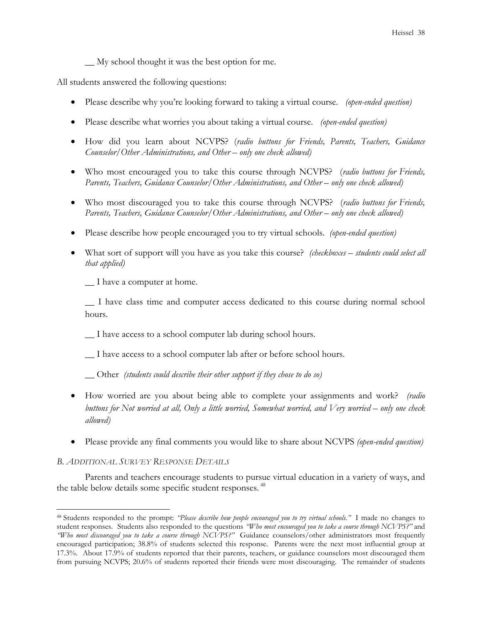\_\_ My school thought it was the best option for me.

All students answered the following questions:

- Please describe why you're looking forward to taking a virtual course. *(open-ended question)*
- Please describe what worries you about taking a virtual course. *(open-ended question)*
- How did you learn about NCVPS? (*radio buttons for Friends, Parents, Teachers, Guidance Counselor/Other Administrations, and Other – only one check allowed)*
- Who most encouraged you to take this course through NCVPS? (*radio buttons for Friends, Parents, Teachers, Guidance Counselor/Other Administrations, and Other – only one check allowed)*
- Who most discouraged you to take this course through NCVPS? (*radio buttons for Friends, Parents, Teachers, Guidance Counselor/Other Administrations, and Other – only one check allowed)*
- Please describe how people encouraged you to try virtual schools. *(open-ended question)*
- What sort of support will you have as you take this course? *(checkboxes students could select all that applied)*

\_\_ I have a computer at home.

\_\_ I have class time and computer access dedicated to this course during normal school hours.

\_\_ I have access to a school computer lab during school hours.

\_\_ I have access to a school computer lab after or before school hours.

\_\_ Other *(students could describe their other support if they chose to do so)* 

- How worried are you about being able to complete your assignments and work? *(radio buttons for Not worried at all, Only a little worried, Somewhat worried, and Very worried – only one check allowed)*
- Please provide any final comments you would like to share about NCVPS *(open-ended question)*

## *B. ADDITIONAL SURVEY RESPONSE DETAILS*

 $\overline{a}$ 

 Parents and teachers encourage students to pursue virtual education in a variety of ways, and the table below details some specific student responses.<sup>48</sup>

<sup>48</sup> Students responded to the prompt: *"Please describe how people encouraged you to try virtual schools."* I made no changes to student responses. Students also responded to the questions *"Who most encouraged you to take a course through NCVPS?"* and *"Who most discouraged you to take a course through NCVPS?"* Guidance counselors/other administrators most frequently encouraged participation; 38.8% of students selected this response. Parents were the next most influential group at 17.3%. About 17.9% of students reported that their parents, teachers, or guidance counselors most discouraged them from pursuing NCVPS; 20.6% of students reported their friends were most discouraging. The remainder of students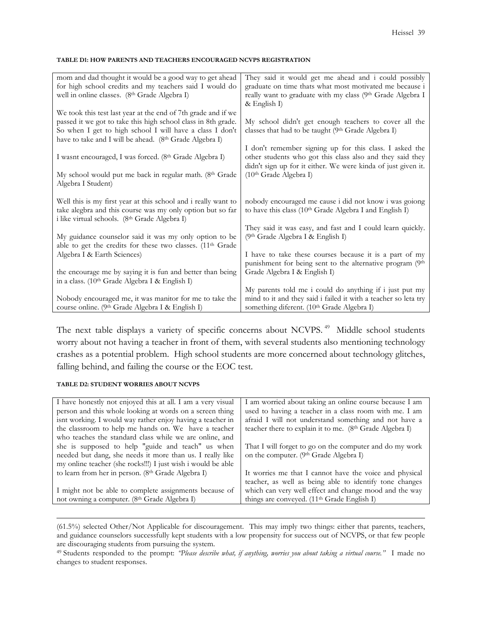### **TABLE D1: HOW PARENTS AND TEACHERS ENCOURAGED NCVPS REGISTRATION**

| mom and dad thought it would be a good way to get ahead                                                     | They said it would get me ahead and i could possibly                                                          |
|-------------------------------------------------------------------------------------------------------------|---------------------------------------------------------------------------------------------------------------|
| for high school credits and my teachers said I would do                                                     | graduate on time thats what most motivated me because i                                                       |
| well in online classes. (8th Grade Algebra I)                                                               | really want to graduate with my class (9th Grade Algebra I                                                    |
|                                                                                                             | $&$ English I)                                                                                                |
| We took this test last year at the end of 7th grade and if we                                               |                                                                                                               |
| passed it we got to take this high school class in 8th grade.                                               | My school didn't get enough teachers to cover all the                                                         |
| So when I get to high school I will have a class I don't                                                    | classes that had to be taught (9th Grade Algebra I)                                                           |
| have to take and I will be ahead. (8th Grade Algebra I)                                                     |                                                                                                               |
|                                                                                                             | I don't remember signing up for this class. I asked the                                                       |
| I wasnt encouraged, I was forced. (8th Grade Algebra I)                                                     | other students who got this class also and they said they                                                     |
|                                                                                                             | didn't sign up for it either. We were kinda of just given it.                                                 |
| My school would put me back in regular math. (8th Grade                                                     | (10 <sup>th</sup> Grade Algebra I)                                                                            |
| Algebra I Student)                                                                                          |                                                                                                               |
|                                                                                                             |                                                                                                               |
| Well this is my first year at this school and i really want to                                              | nobody encouraged me cause i did not know i was goiong                                                        |
| take alegbra and this course was my only option but so far                                                  | to have this class (10 <sup>th</sup> Grade Algebra I and English I)                                           |
| i like virtual schools. (8th Grade Algebra I)                                                               |                                                                                                               |
|                                                                                                             | They said it was easy, and fast and I could learn quickly.                                                    |
| My guidance counselor said it was my only option to be                                                      | (9th Grade Algebra I & English I)                                                                             |
| able to get the credits for these two classes. (11 <sup>th</sup> Grade                                      |                                                                                                               |
| Algebra I & Earth Sciences)                                                                                 | I have to take these courses because it is a part of my                                                       |
|                                                                                                             | punishment for being sent to the alternative program (9th                                                     |
| the encourage me by saying it is fun and better than being                                                  | Grade Algebra I & English I)                                                                                  |
|                                                                                                             |                                                                                                               |
|                                                                                                             |                                                                                                               |
| in a class. (10th Grade Algebra I & English I)                                                              |                                                                                                               |
|                                                                                                             | My parents told me i could do anything if i just put my                                                       |
| Nobody encouraged me, it was manitor for me to take the<br>course online. (9th Grade Algebra I & English I) | mind to it and they said i failed it with a teacher so leta try<br>something diferent. (10th Grade Algebra I) |

The next table displays a variety of specific concerns about NCVPS.<sup>49</sup> Middle school students worry about not having a teacher in front of them, with several students also mentioning technology crashes as a potential problem. High school students are more concerned about technology glitches, falling behind, and failing the course or the EOC test.

## **TABLE D2: STUDENT WORRIES ABOUT NCVPS**

 $\overline{a}$ 

| I have honestly not enjoyed this at all. I am a very visual    | I am worried about taking an online course because I am              |
|----------------------------------------------------------------|----------------------------------------------------------------------|
| person and this whole looking at words on a screen thing       | used to having a teacher in a class room with me. I am               |
| isnt working. I would way rather enjoy having a teacher in     | afraid I will not understand something and not have a                |
| the classroom to help me hands on. We have a teacher           | teacher there to explain it to me. (8 <sup>th</sup> Grade Algebra I) |
| who teaches the standard class while we are online, and        |                                                                      |
| she is supposed to help "guide and teach" us when              | That I will forget to go on the computer and do my work              |
| needed but dang, she needs it more than us. I really like      | on the computer. (9 <sup>th</sup> Grade Algebra I)                   |
| my online teacher (she rocks!!!) I just wish i would be able   |                                                                      |
| to learn from her in person. (8 <sup>th</sup> Grade Algebra I) | It worries me that I cannot have the voice and physical              |
|                                                                | teacher, as well as being able to identify tone changes              |
| I might not be able to complete assignments because of         | which can very well effect and change mood and the way               |
| not owning a computer. (8th Grade Algebra I)                   | things are conveyed. (11 <sup>th</sup> Grade English I)              |
|                                                                |                                                                      |

(61.5%) selected Other/Not Applicable for discouragement. This may imply two things: either that parents, teachers, and guidance counselors successfully kept students with a low propensity for success out of NCVPS, or that few people are discouraging students from pursuing the system.

<sup>49</sup> Students responded to the prompt: *"Please describe what, if anything, worries you about taking a virtual course."* I made no changes to student responses.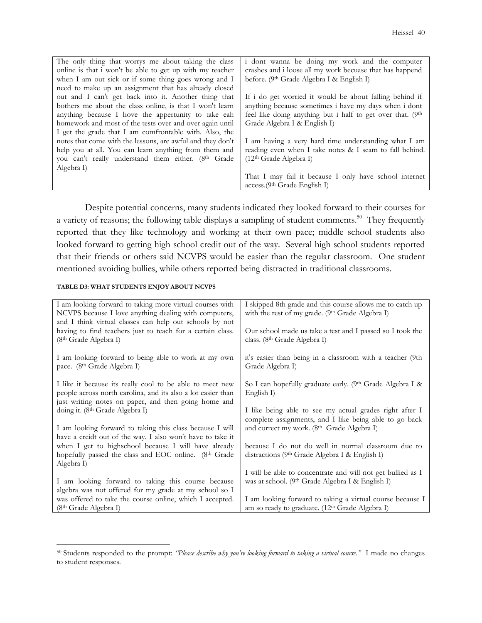| The only thing that worrys me about taking the class            | i dont wanna be doing my work and the computer             |
|-----------------------------------------------------------------|------------------------------------------------------------|
| online is that i won't be able to get up with my teacher        | crashes and i loose all my work becuase that has happend   |
| when I am out sick or if some thing goes wrong and I            | before. (9th Grade Algebra I & English I)                  |
| need to make up an assignment that has already closed           |                                                            |
| out and I can't get back into it. Another thing that            | If i do get worried it would be about falling behind if    |
| bothers me about the class online, is that I won't learn        | anything because sometimes i have my days when i dont      |
| anything because I hove the appertunity to take eah             | feel like doing anything but i half to get over that. (9th |
| homework and most of the tests over and over again until        | Grade Algebra I & English I)                               |
| I get the grade that I am comfrontable with. Also, the          |                                                            |
| notes that come with the lessons, are awful and they don't      | I am having a very hard time understanding what I am       |
| help you at all. You can learn anything from them and           | reading even when I take notes & I seam to fall behind.    |
| you can't really understand them either. (8 <sup>th</sup> Grade | $(12th$ Grade Algebra I)                                   |
| Algebra I)                                                      |                                                            |
|                                                                 | That I may fail it because I only have school internet     |
|                                                                 | $access.(9th Grade English I)$                             |

 Despite potential concerns, many students indicated they looked forward to their courses for a variety of reasons; the following table displays a sampling of student comments.<sup>50</sup> They frequently reported that they like technology and working at their own pace; middle school students also looked forward to getting high school credit out of the way. Several high school students reported that their friends or others said NCVPS would be easier than the regular classroom. One student mentioned avoiding bullies, while others reported being distracted in traditional classrooms.

### **TABLE D3: WHAT STUDENTS ENJOY ABOUT NCVPS**

| I am looking forward to taking more virtual courses with     | I skipped 8th grade and this course allows me to catch up   |
|--------------------------------------------------------------|-------------------------------------------------------------|
| NCVPS because I love anything dealing with computers,        | with the rest of my grade. (9th Grade Algebra I)            |
| and I think virtual classes can help out schools by not      |                                                             |
| having to find teachers just to teach for a certain class.   | Our school made us take a test and I passed so I took the   |
| (8th Grade Algebra I)                                        | class. (8th Grade Algebra I)                                |
|                                                              |                                                             |
| I am looking forward to being able to work at my own         | it's easier than being in a classroom with a teacher (9th   |
| pace. (8 <sup>th</sup> Grade Algebra I)                      | Grade Algebra I)                                            |
| I like it because its really cool to be able to meet new     | So I can hopefully graduate early. (9th Grade Algebra I &   |
| people across north carolina, and its also a lot easier than | English I)                                                  |
| just writing notes on paper, and then going home and         |                                                             |
| doing it. (8th Grade Algebra I)                              | I like being able to see my actual grades right after I     |
|                                                              | complete assignments, and I like being able to go back      |
| I am looking forward to taking this class because I will     | and correct my work. (8th Grade Algebra I)                  |
| have a creidt out of the way. I also won't have to take it   |                                                             |
| when I get to highschool because I will have already         | because I do not do well in normal classroom due to         |
| hopefully passed the class and EOC online. (8th Grade        | distractions (9th Grade Algebra I & English I)              |
| Algebra I)                                                   |                                                             |
|                                                              | I will be able to concentrate and will not get bullied as I |
| I am looking forward to taking this course because           | was at school. (9th Grade Algebra I & English I)            |
| algebra was not offered for my grade at my school so I       |                                                             |
| was offered to take the course online, which I accepted.     | I am looking forward to taking a virtual course because I   |
| (8 <sup>th</sup> Grade Algebra I)                            | am so ready to graduate. (12th Grade Algebra I)             |

<sup>50</sup> Students responded to the prompt: *"Please describe why you're looking forward to taking a virtual course."* I made no changes to student responses.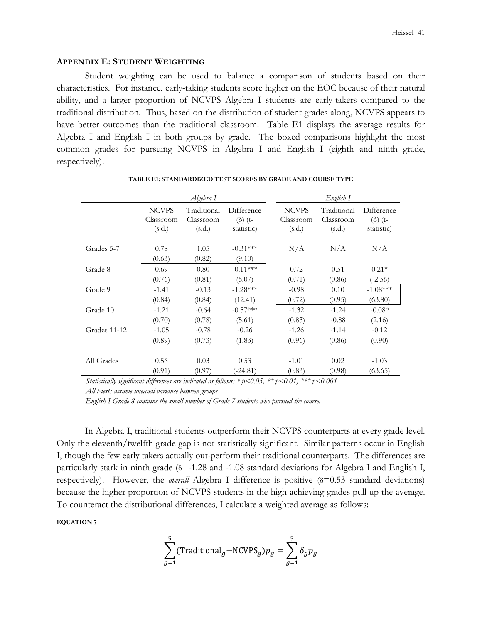## **APPENDIX E: STUDENT WEIGHTING**

Student weighting can be used to balance a comparison of students based on their characteristics. For instance, early-taking students score higher on the EOC because of their natural ability, and a larger proportion of NCVPS Algebra I students are early-takers compared to the traditional distribution. Thus, based on the distribution of student grades along, NCVPS appears to have better outcomes than the traditional classroom. Table E1 displays the average results for Algebra I and English I in both groups by grade. The boxed comparisons highlight the most common grades for pursuing NCVPS in Algebra I and English I (eighth and ninth grade, respectively).

|              | Algebra I                           |                                    |                                            |                                     | English I                          |                                            |
|--------------|-------------------------------------|------------------------------------|--------------------------------------------|-------------------------------------|------------------------------------|--------------------------------------------|
|              | <b>NCVPS</b><br>Classroom<br>(s.d.) | Traditional<br>Classroom<br>(s.d.) | Difference<br>$(\delta)$ (t-<br>statistic) | <b>NCVPS</b><br>Classroom<br>(s.d.) | Traditional<br>Classroom<br>(s.d.) | Difference<br>$(\delta)$ (t-<br>statistic) |
| Grades 5-7   | 0.78<br>(0.63)                      | 1.05<br>(0.82)                     | $-0.31***$<br>(9.10)                       | N/A                                 | N/A                                | N/A                                        |
| Grade 8      | 0.69<br>(0.76)                      | 0.80<br>(0.81)                     | $-0.11***$<br>(5.07)                       | 0.72<br>(0.71)                      | 0.51<br>(0.86)                     | $0.21*$<br>$(-2.56)$                       |
| Grade 9      | $-1.41$<br>(0.84)                   | $-0.13$<br>(0.84)                  | $-1.28***$<br>(12.41)                      | $-0.98$<br>(0.72)                   | 0.10<br>(0.95)                     | $-1.08***$<br>(63.80)                      |
| Grade 10     | $-1.21$<br>(0.70)                   | $-0.64$<br>(0.78)                  | $-0.57***$<br>(5.61)                       | $-1.32$<br>(0.83)                   | $-1.24$<br>$-0.88$                 | $-0.08*$<br>(2.16)                         |
| Grades 11-12 | $-1.05$<br>(0.89)                   | $-0.78$<br>(0.73)                  | $-0.26$<br>(1.83)                          | $-1.26$<br>(0.96)                   | $-1.14$<br>(0.86)                  | $-0.12$<br>(0.90)                          |
| All Grades   | 0.56                                | 0.03                               | 0.53                                       | $-1.01$                             | 0.02                               | $-1.03$                                    |
|              | (0.91)                              | (0.97)                             | $(-24.81)$                                 | (0.83)                              | (0.98)                             | (63.65)                                    |

#### **TABLE E1: STANDARDIZED TEST SCORES BY GRADE AND COURSE TYPE**

*Statistically significant differences are indicated as follows: \* p<0.05, \*\* p<0.01, \*\*\* p<0.001 All t-tests assume unequal variance between groups* 

*English I Grade 8 contains the small number of Grade 7 students who pursued the course.* 

In Algebra I, traditional students outperform their NCVPS counterparts at every grade level. Only the eleventh/twelfth grade gap is not statistically significant. Similar patterns occur in English I, though the few early takers actually out-perform their traditional counterparts. The differences are particularly stark in ninth grade (δ=-1.28 and -1.08 standard deviations for Algebra I and English I, respectively). However, the *overall* Algebra I difference is positive (δ=0.53 standard deviations) because the higher proportion of NCVPS students in the high-achieving grades pull up the average. To counteract the distributional differences, I calculate a weighted average as follows:

**EQUATION 7** 

$$
\sum_{g=1}^{5} (\text{Traditional}_g - \text{NCVPS}_g) p_g = \sum_{g=1}^{5} \delta_g p_g
$$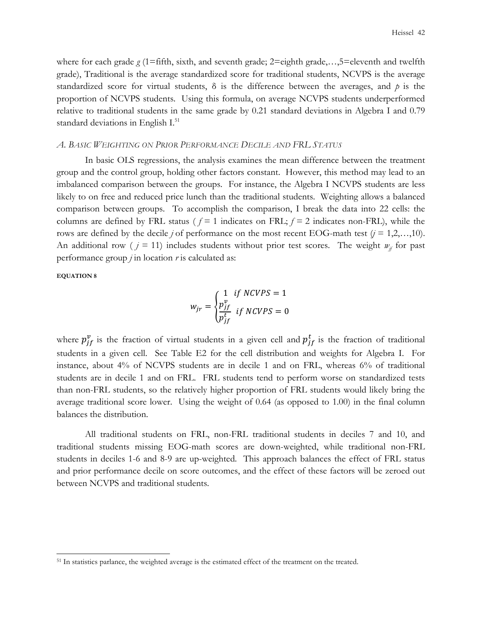where for each grade  $g(1)$ =fifth, sixth, and seventh grade;  $2$ =eighth grade,...,5=eleventh and twelfth grade), Traditional is the average standardized score for traditional students, NCVPS is the average standardized score for virtual students, δ is the difference between the averages, and *p* is the proportion of NCVPS students. Using this formula, on average NCVPS students underperformed relative to traditional students in the same grade by 0.21 standard deviations in Algebra I and 0.79 standard deviations in English I.<sup>51</sup>

## *A. BASIC WEIGHTING ON PRIOR PERFORMANCE DECILE AND FRL STATUS*

 In basic OLS regressions, the analysis examines the mean difference between the treatment group and the control group, holding other factors constant. However, this method may lead to an imbalanced comparison between the groups. For instance, the Algebra I NCVPS students are less likely to on free and reduced price lunch than the traditional students. Weighting allows a balanced comparison between groups. To accomplish the comparison, I break the data into 22 cells: the columns are defined by FRL status ( $f = 1$  indicates on FRL;  $f = 2$  indicates non-FRL), while the rows are defined by the decile *j* of performance on the most recent EOG-math test  $(j = 1, 2, \ldots, 10)$ . An additional row ( $j = 11$ ) includes students without prior test scores. The weight  $w_j$  for past performance group *j* in location *r* is calculated as:

**EQUATION 8**

 $\overline{a}$ 

$$
w_{jr} = \begin{cases} 1 & \text{if } NCVPS = 1\\ \frac{p_{jf}^v}{p_{jf}^t} & \text{if } NCVPS = 0 \end{cases}
$$

where  $p_{jf}^v$  is the fraction of virtual students in a given cell and  $p_{jf}^t$  is the fraction of traditional students in a given cell. See Table E2 for the cell distribution and weights for Algebra I. For instance, about 4% of NCVPS students are in decile 1 and on FRL, whereas 6% of traditional students are in decile 1 and on FRL. FRL students tend to perform worse on standardized tests than non-FRL students, so the relatively higher proportion of FRL students would likely bring the average traditional score lower. Using the weight of 0.64 (as opposed to 1.00) in the final column balances the distribution.

 All traditional students on FRL, non-FRL traditional students in deciles 7 and 10, and traditional students missing EOG-math scores are down-weighted, while traditional non-FRL students in deciles 1-6 and 8-9 are up-weighted. This approach balances the effect of FRL status and prior performance decile on score outcomes, and the effect of these factors will be zeroed out between NCVPS and traditional students.

<sup>&</sup>lt;sup>51</sup> In statistics parlance, the weighted average is the estimated effect of the treatment on the treated.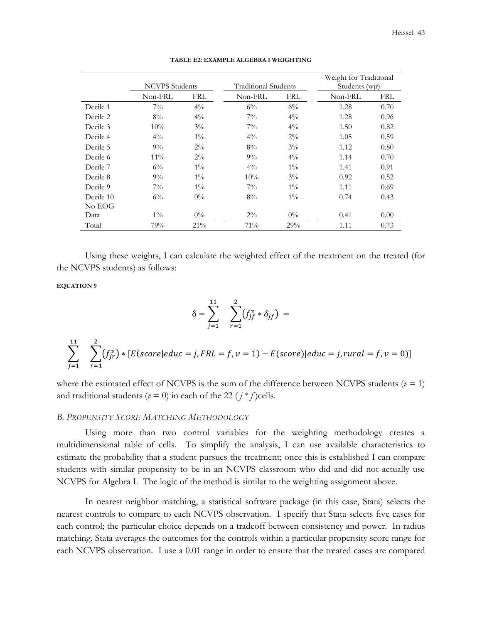|           |                       |            |                      |            |                | Weight for Traditional |  |  |
|-----------|-----------------------|------------|----------------------|------------|----------------|------------------------|--|--|
|           | <b>NCVPS</b> Students |            | Traditional Students |            | Students (wjr) |                        |  |  |
|           | Non-FRL               | <b>FRL</b> | Non-FRL              | <b>FRL</b> | Non-FRL        | <b>FRL</b>             |  |  |
| Decile 1  | $7\%$                 | $4\%$      | $6\%$                | $6\%$      | 1.28           | 0.70                   |  |  |
| Decile 2  | $8\%$                 | $4\%$      | $7\%$                | $4\%$      | 1.28           | 0.96                   |  |  |
| Decile 3  | 10%                   | $3\%$      | $7\%$                | $4\%$      | 1.50           | 0.82                   |  |  |
| Decile 4  | $4\%$                 | $1\%$      | $4\%$                | $2\%$      | 1.05           | 0.59                   |  |  |
| Decile 5  | $9\%$                 | $2\%$      | $8\%$                | $3\%$      | 1.12           | 0.80                   |  |  |
| Decile 6  | $11\%$                | $2\%$      | $9\%$                | $4\%$      | 1.14           | 0.70                   |  |  |
| Decile 7  | $6\%$                 | $1\%$      | $4\%$                | $1\%$      | 1.41           | 0.91                   |  |  |
| Decile 8  | $9\%$                 | $1\%$      | $10\%$               | $3\%$      | 0.92           | 0.52                   |  |  |
| Decile 9  | $7\%$                 | $1\%$      | $7\%$                | $1\%$      | 1.11           | 0.69                   |  |  |
| Decile 10 | $6\%$                 | $0\%$      | $8\%$                | $1\%$      | 0.74           | 0.43                   |  |  |
| No EOG    |                       |            |                      |            |                |                        |  |  |
| Data      | $1\%$                 | $0\%$      | $2\%$                | $0\%$      | 0.41           | 0.00                   |  |  |
| Total     | 79%                   | 21%        | 71%                  | 29%        | 1.11           | 0.73                   |  |  |

#### **TABLE E2: EXAMPLE ALGEBRA I WEIGHTING**

Using these weights, I can calculate the weighted effect of the treatment on the treated (for the NCVPS students) as follows:

# **EQUATION 9**

$$
\delta = \sum_{j=1}^{11} \sum_{r=1}^{2} (f_{jf}^v * \delta_{jf}) =
$$

$$
\sum_{j=1}^{11} \sum_{r=1}^{2} (f_{jr}^v) * [E(\text{score}] \text{educ} = j, \text{FRL} = f, v = 1) - E(\text{score}) |\text{educ} = j, \text{rural} = f, v = 0)]
$$

where the estimated effect of NCVPS is the sum of the difference between NCVPS students ( $v = 1$ ) and traditional students ( $v = 0$ ) in each of the 22 ( $j * f$ )cells.

## *B. PROPENSITY SCORE MATCHING METHODOLOGY*

 Using more than two control variables for the weighting methodology creates a multidimensional table of cells. To simplify the analysis, I can use available characteristics to estimate the probability that a student pursues the treatment; once this is established I can compare students with similar propensity to be in an NCVPS classroom who did and did not actually use NCVPS for Algebra I. The logic of the method is similar to the weighting assignment above.

In nearest neighbor matching, a statistical software package (in this case, Stata) selects the nearest controls to compare to each NCVPS observation. I specify that Stata selects five cases for each control; the particular choice depends on a tradeoff between consistency and power. In radius matching, Stata averages the outcomes for the controls within a particular propensity score range for each NCVPS observation. I use a 0.01 range in order to ensure that the treated cases are compared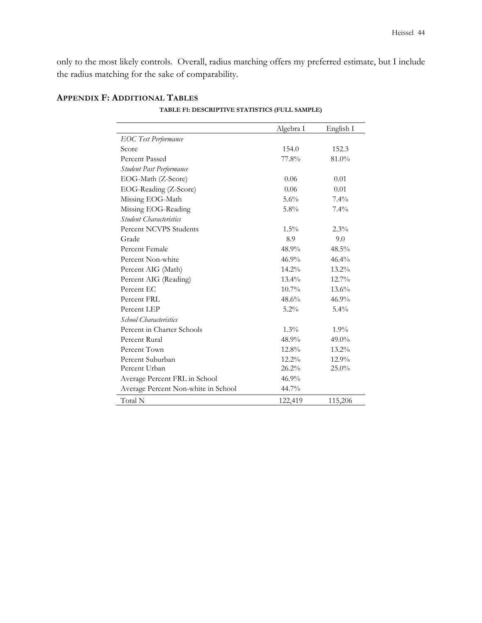only to the most likely controls. Overall, radius matching offers my preferred estimate, but I include the radius matching for the sake of comparability.

|                                     | Algebra I | English I |
|-------------------------------------|-----------|-----------|
| <b>EOC</b> Test Performance         |           |           |
| Score                               | 154.0     | 152.3     |
| Percent Passed                      | 77.8%     | 81.0%     |
| Student Past Performance            |           |           |
| EOG-Math (Z-Score)                  | 0.06      | 0.01      |
| EOG-Reading (Z-Score)               | 0.06      | 0.01      |
| Missing EOG-Math                    | $5.6\%$   | $7.4\%$   |
| Missing EOG-Reading                 | $5.8\%$   | $7.4\%$   |
| Student Characteristics             |           |           |
| Percent NCVPS Students              | $1.5\%$   | $2.3\%$   |
| Grade                               | 8.9       | 9.0       |
| Percent Female                      | 48.9%     | 48.5%     |
| Percent Non-white                   | 46.9%     | 46.4%     |
| Percent AIG (Math)                  | 14.2%     | 13.2%     |
| Percent AIG (Reading)               | $13.4\%$  | 12.7%     |
| Percent EC                          | $10.7\%$  | $13.6\%$  |
| Percent FRL                         | 48.6%     | 46.9%     |
| Percent LEP                         | $5.2\%$   | $5.4\%$   |
| School Characteristics              |           |           |
| Percent in Charter Schools          | $1.3\%$   | $1.9\%$   |
| Percent Rural                       | 48.9%     | $49.0\%$  |
| Percent Town                        | 12.8%     | $13.2\%$  |
| Percent Suburban                    | $12.2\%$  | 12.9%     |
| Percent Urban                       | 26.2%     | 25.0%     |
| Average Percent FRL in School       | 46.9%     |           |
| Average Percent Non-white in School | 44.7%     |           |
| Total N                             | 122,419   | 115,206   |

# **APPENDIX F: ADDITIONAL TABLES**

**TABLE F1: DESCRIPTIVE STATISTICS (FULL SAMPLE)**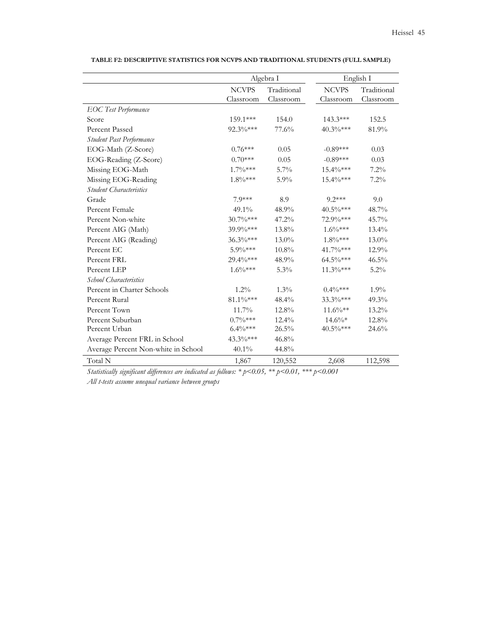|                                     |                           | Algebra I                |                           | English I                |  |  |
|-------------------------------------|---------------------------|--------------------------|---------------------------|--------------------------|--|--|
|                                     | <b>NCVPS</b><br>Classroom | Traditional<br>Classroom | <b>NCVPS</b><br>Classroom | Traditional<br>Classroom |  |  |
| <b>EOC</b> Test Performance         |                           |                          |                           |                          |  |  |
| Score                               | 159.1***                  | 154.0                    | 143.3***                  | 152.5                    |  |  |
| <b>Percent Passed</b>               | 92.3%***                  | 77.6%                    | 40.3%***                  | 81.9%                    |  |  |
| Student Past Performance            |                           |                          |                           |                          |  |  |
| EOG-Math (Z-Score)                  | $0.76***$                 | 0.05                     | $-0.89***$                | 0.03                     |  |  |
| EOG-Reading (Z-Score)               | $0.70***$                 | 0.05                     | $-0.89***$                | 0.03                     |  |  |
| Missing EOG-Math                    | $1.7\%***$                | $5.7\%$                  | 15.4%***                  | $7.2\%$                  |  |  |
| Missing EOG-Reading                 | $1.8\%***$                | $5.9\%$                  | 15.4%***                  | 7.2%                     |  |  |
| <b>Student Characteristics</b>      |                           |                          |                           |                          |  |  |
| Grade                               | 7.9***                    | 8.9                      | $9.2***$                  | 9.0                      |  |  |
| Percent Female                      | 49.1%                     | 48.9%                    | 40.5%***                  | 48.7%                    |  |  |
| Percent Non-white                   | $30.7\%***$               | 47.2%                    | 72.9%***                  | 45.7%                    |  |  |
| Percent AIG (Math)                  | 39.9%***                  | 13.8%                    | $1.6\%***$                | 13.4%                    |  |  |
| Percent AIG (Reading)               | 36.3%***                  | 13.0%                    | $1.8\%***$                | 13.0%                    |  |  |
| Percent EC                          | $5.9\%***$                | $10.8\%$                 | 41.7%***                  | $12.9\%$                 |  |  |
| Percent FRL                         | 29.4%***                  | 48.9%                    | 64.5%***                  | 46.5%                    |  |  |
| Percent LEP                         | $1.6\%***$                | $5.3\%$                  | $11.3\%***$               | $5.2\%$                  |  |  |
| School Characteristics              |                           |                          |                           |                          |  |  |
| Percent in Charter Schools          | $1.2\%$                   | $1.3\%$                  | $0.4\%***$                | 1.9%                     |  |  |
| Percent Rural                       | 81.1%***                  | 48.4%                    | 33.3%***                  | $49.3\%$                 |  |  |
| Percent Town                        | 11.7%                     | 12.8%                    | $11.6\%**$                | 13.2%                    |  |  |
| Percent Suburban                    | $0.7\%***$                | $12.4\%$                 | $14.6\%*$                 | 12.8%                    |  |  |
| Percent Urban                       | $6.4\%***$                | 26.5%                    | 40.5%***                  | 24.6%                    |  |  |
| Average Percent FRL in School       | 43.3%***                  | 46.8%                    |                           |                          |  |  |
| Average Percent Non-white in School | 40.1%                     | 44.8%                    |                           |                          |  |  |
| Total N                             | 1,867                     | 120,552                  | 2,608                     | 112,598                  |  |  |

**TABLE F2: DESCRIPTIVE STATISTICS FOR NCVPS AND TRADITIONAL STUDENTS (FULL SAMPLE)** 

*Statistically significant differences are indicated as follows: \* p<0.05, \*\* p<0.01, \*\*\* p<0.001 All t-tests assume unequal variance between groups*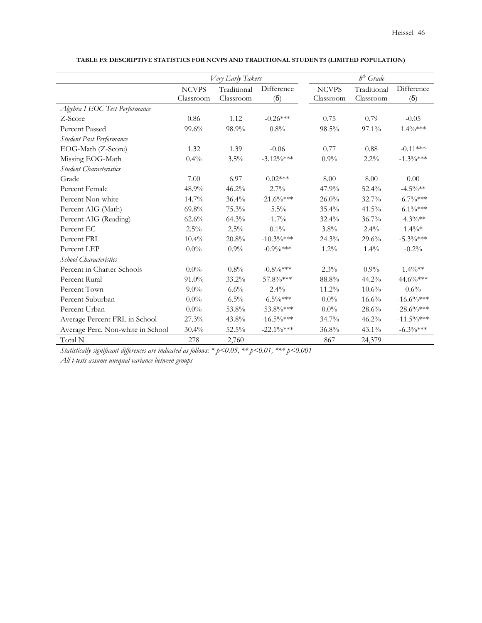|                                   |              | Very Early Takers |               |              | $8th$ Grade |               |
|-----------------------------------|--------------|-------------------|---------------|--------------|-------------|---------------|
|                                   | <b>NCVPS</b> | Traditional       | Difference    | <b>NCVPS</b> | Traditional | Difference    |
|                                   | Classroom    | Classroom         | $(\delta)$    | Classroom    | Classroom   | $(\delta)$    |
| Algebra I EOC Test Performance    |              |                   |               |              |             |               |
| Z-Score                           | 0.86         | 1.12              | $-0.26***$    | 0.75         | 0.79        | $-0.05$       |
| <b>Percent Passed</b>             | 99.6%        | 98.9%             | $0.8\%$       | 98.5%        | 97.1%       | $1.4\%***$    |
| Student Past Performance          |              |                   |               |              |             |               |
| EOG-Math (Z-Score)                | 1.32         | 1.39              | $-0.06$       | 0.77         | 0.88        | $-0.11***$    |
| Missing EOG-Math                  | 0.4%         | 3.5%              | $-3.12\%***$  | 0.9%         | $2.2\%$     | $-1.3\%***$   |
| <b>Student Characteristics</b>    |              |                   |               |              |             |               |
| Grade                             | 7.00         | 6.97              | $0.02***$     | 8.00         | 8.00        | 0.00          |
| Percent Female                    | 48.9%        | 46.2%             | $2.7\%$       | 47.9%        | 52.4%       | $-4.5\%$ **   |
| Percent Non-white                 | 14.7%        | 36.4%             | $-21.6\%***$  | $26.0\%$     | 32.7%       | $-6.7\%***$   |
| Percent AIG (Math)                | 69.8%        | 75.3%             | $-5.5\%$      | 35.4%        | $41.5\%$    | $-6.1\%***$   |
| Percent AIG (Reading)             | 62.6%        | 64.3%             | $-1.7%$       | 32.4%        | 36.7%       | $-4.3\%**$    |
| Percent EC                        | $2.5\%$      | 2.5%              | 0.1%          | 3.8%         | 2.4%        | $1.4\%*$      |
| Percent FRL                       | 10.4%        | 20.8%             | $-10.3\%***$  | 24.3%        | $29.6\%$    | $-5.3\%***$   |
| Percent LEP                       | $0.0\%$      | $0.9\%$           | $-0.9\%***$   | 1.2%         | $1.4\%$     | $-0.2%$       |
| School Characteristics            |              |                   |               |              |             |               |
| Percent in Charter Schools        | $0.0\%$      | $0.8\%$           | $-0.8\%***$   | 2.3%         | $0.9\%$     | $1.4\%**$     |
| Percent Rural                     | 91.0%        | $33.2\%$          | 57.8%***      | 88.8%        | 44.2%       | 44.6%***      |
| Percent Town                      | $9.0\%$      | 6.6%              | 2.4%          | 11.2%        | $10.6\%$    | 0.6%          |
| Percent Suburban                  | $0.0\%$      | 6.5%              | $-6.5\%***$   | $0.0\%$      | 16.6%       | $-16.6\%***$  |
| Percent Urban                     | $0.0\%$      | 53.8%             | $-53.8\%***$  | $0.0\%$      | $28.6\%$    | $-28.6\%***$  |
| Average Percent FRL in School     | 27.3%        | 43.8%             | $-16.5\%$ *** | 34.7%        | 46.2%       | $-11.5\%$ *** |
| Average Perc. Non-white in School | 30.4%        | 52.5%             | $-22.1\%***$  | 36.8%        | 43.1%       | $-6.3\%***$   |
| Total N                           | 278          | 2,760             |               | 867          | 24,379      |               |

**TABLE F3: DESCRIPTIVE STATISTICS FOR NCVPS AND TRADITIONAL STUDENTS (LIMITED POPULATION)** 

*Statistically significant differences are indicated as follows: \* p<0.05, \*\* p<0.01, \*\*\* p<0.001* 

*All t-tests assume unequal variance between groups*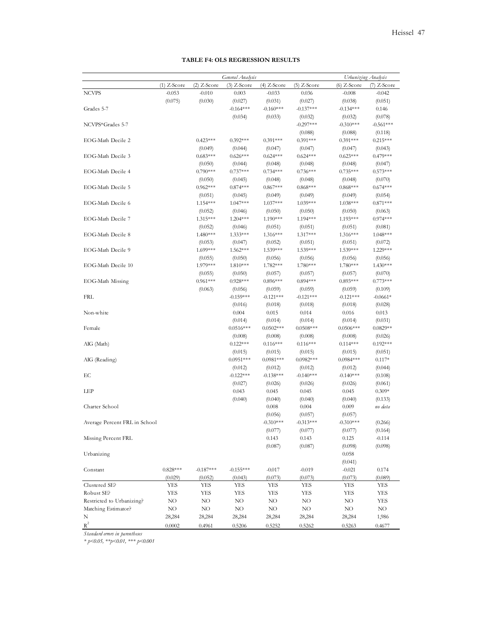| Urbanizing Analysis<br>$(2)$ Z-Score<br>$(1)$ Z-Score<br>$(3)$ Z-Score<br>$(4)$ Z-Score<br>$(5)$ Z-Score<br>$(6)$ Z-Score<br>$(7)$ Z-Score<br>$-0.053$<br>$-0.010$<br>0.036<br><b>NCVPS</b><br>0.003<br>$-0.033$<br>$-0.008$<br>$-0.042$<br>(0.075)<br>(0.030)<br>(0.027)<br>(0.031)<br>(0.027)<br>(0.038)<br>(0.051)<br>Grades 5-7<br>$-0.164***$<br>$-0.160***$<br>$-0.137***$<br>$-0.134***$<br>0.146<br>(0.034)<br>(0.033)<br>(0.032)<br>(0.078)<br>(0.032)<br>$-0.297***$<br>NCVPS*Grades 5-7<br>$-0.310***$<br>$-0.561***$<br>(0.088)<br>(0.088)<br>(0.118)<br>$0.423***$<br>EOG-Math Decile 2<br>$0.392***$<br>$0.391***$<br>$0.391***$<br>$0.391***$<br>$0.215***$<br>(0.049)<br>(0.044)<br>(0.047)<br>(0.047)<br>(0.047)<br>(0.043)<br>EOG-Math Decile 3<br>$0.683***$<br>$0.626***$<br>$0.624***$<br>$0.624***$<br>$0.623***$<br>$0.479***$<br>(0.050)<br>(0.044)<br>(0.048)<br>(0.048)<br>(0.048)<br>(0.047)<br>$0.790***$<br>$0.737***$<br>$0.573***$<br>EOG-Math Decile 4<br>$0.734***$<br>$0.736***$<br>$0.735***$<br>(0.050)<br>(0.045)<br>(0.048)<br>(0.048)<br>(0.048)<br>(0.070)<br>EOG-Math Decile 5<br>$0.962***$<br>$0.874***$<br>$0.867***$<br>$0.868***$<br>$0.868***$<br>$0.674***$<br>(0.051)<br>(0.045)<br>(0.049)<br>(0.049)<br>(0.049)<br>(0.054)<br>EOG-Math Decile 6<br>1.047***<br>$1.037***$<br>1.039***<br>$0.871***$<br>$1.154***$<br>$1.038***$<br>(0.052)<br>(0.046)<br>(0.050)<br>(0.050)<br>(0.050)<br>(0.063)<br>$0.974***$<br>EOG-Math Decile 7<br>$1.315***$<br>$1.204***$<br>$1.190***$<br>$1.194***$<br>$1.193***$<br>(0.052)<br>(0.046)<br>(0.051)<br>(0.051)<br>(0.051)<br>(0.081)<br>EOG-Math Decile 8<br>$1.480***$<br>$1.333***$<br>$1.316***$<br>1.317***<br>$1.316***$<br>$1.048***$<br>(0.053)<br>(0.047)<br>(0.052)<br>(0.051)<br>(0.051)<br>(0.072)<br>EOG-Math Decile 9<br>$1.699***$<br>1.539***<br>1.539***<br>$1.562***$<br>$1.539***$<br>1.229***<br>(0.055)<br>(0.050)<br>(0.056)<br>(0.056)<br>(0.056)<br>(0.056)<br>EOG-Math Decile 10<br>1.979***<br>$1.810***$<br>1.782***<br>1.780***<br>1.780***<br>$1.430***$<br>(0.055)<br>(0.050)<br>(0.057)<br>(0.057)<br>(0.057)<br>(0.070)<br>$0.961***$<br>$0.894***$<br>EOG-Math Missing<br>$0.928***$<br>$0.896***$<br>$0.893***$<br>$0.773***$<br>(0.063)<br>(0.056)<br>(0.059)<br>(0.059)<br>(0.059)<br>(0.109)<br><b>FRL</b><br>$-0.159***$<br>$-0.121***$<br>$-0.121***$<br>$-0.121***$<br>$-0.0661*$<br>(0.016)<br>(0.018)<br>(0.018)<br>(0.018)<br>(0.028)<br>Non-white<br>0.004<br>0.015<br>0.014<br>0.016<br>0.013<br>(0.014)<br>(0.014)<br>(0.014)<br>(0.014)<br>(0.031)<br>Female<br>$0.0516***$<br>$0.0502***$<br>$0.0508***$<br>$0.0506***$<br>$0.0829**$<br>(0.008)<br>(0.008)<br>(0.008)<br>(0.008)<br>(0.026)<br>AIG (Math)<br>$0.122***$<br>$0.116***$<br>$0.116***$<br>$0.192***$<br>$0.114***$<br>(0.015)<br>(0.015)<br>(0.015)<br>(0.015)<br>(0.051)<br>$0.0951***$<br>$0.0981***$<br>$0.0982***$<br>$0.0984***$<br>AIG (Reading)<br>$0.117*$<br>(0.044)<br>(0.012)<br>(0.012)<br>(0.012)<br>(0.012)<br>EC<br>$-0.122***$<br>$-0.138***$<br>$-0.140***$<br>$-0.140***$<br>(0.108)<br>(0.027)<br>(0.026)<br>(0.026)<br>(0.026)<br>(0.061)<br>LEP<br>0.043<br>$0.309*$<br>0.045<br>0.045<br>0.045<br>(0.040)<br>(0.040)<br>(0.133)<br>(0.040)<br>(0.040)<br>Charter School<br>0.008<br>0.004<br>0.009<br>no data<br>(0.056)<br>(0.057)<br>(0.057)<br>Average Percent FRL in School<br>(0.266)<br>$-0.310***$<br>$-0.313*$<br>$-0.310***$<br>(0.077)<br>(0.077)<br>(0.077)<br>(0.164)<br>Missing Percent FRL<br>0.143<br>0.143<br>0.125<br>$-0.114$<br>(0.087)<br>(0.087)<br>(0.098)<br>(0.098)<br>0.058<br>Urbanizing<br>(0.041)<br>Constant<br>$0.828***$<br>$-0.187***$<br>$-0.155***$<br>$-0.021$<br>$-0.017$<br>$-0.019$<br>0.174<br>(0.029)<br>(0.073)<br>(0.073)<br>(0.073)<br>(0.089)<br>(0.052)<br>(0.043)<br>Clustered SE?<br><b>YES</b><br><b>YES</b><br>YES<br>YES<br>YES<br>YES<br>YES<br>Robust SE?<br>YES<br>YES<br>YES<br>YES<br>YES<br>YES<br>YES<br>Restricted to Urbanizing?<br>NO<br>NO<br>NO<br>NO.<br>NO<br>NO<br>YES |                     |     |    | General Analysis |    |             |          |     |
|-----------------------------------------------------------------------------------------------------------------------------------------------------------------------------------------------------------------------------------------------------------------------------------------------------------------------------------------------------------------------------------------------------------------------------------------------------------------------------------------------------------------------------------------------------------------------------------------------------------------------------------------------------------------------------------------------------------------------------------------------------------------------------------------------------------------------------------------------------------------------------------------------------------------------------------------------------------------------------------------------------------------------------------------------------------------------------------------------------------------------------------------------------------------------------------------------------------------------------------------------------------------------------------------------------------------------------------------------------------------------------------------------------------------------------------------------------------------------------------------------------------------------------------------------------------------------------------------------------------------------------------------------------------------------------------------------------------------------------------------------------------------------------------------------------------------------------------------------------------------------------------------------------------------------------------------------------------------------------------------------------------------------------------------------------------------------------------------------------------------------------------------------------------------------------------------------------------------------------------------------------------------------------------------------------------------------------------------------------------------------------------------------------------------------------------------------------------------------------------------------------------------------------------------------------------------------------------------------------------------------------------------------------------------------------------------------------------------------------------------------------------------------------------------------------------------------------------------------------------------------------------------------------------------------------------------------------------------------------------------------------------------------------------------------------------------------------------------------------------------------------------------------------------------------------------------------------------------------------------------------------------------------------------------------------------------------------------------------------------------------------------------------------------------------------------------------------------------------------------------------------------------------------------------------------------------------------------------------------------------------------------------------------------------------------------------------------------------------------------------------------------------------------------------------------------------------------------------------------------------------------------------------------------------------------------------------------------------------------------------------------------------------------------------------------------------------|---------------------|-----|----|------------------|----|-------------|----------|-----|
|                                                                                                                                                                                                                                                                                                                                                                                                                                                                                                                                                                                                                                                                                                                                                                                                                                                                                                                                                                                                                                                                                                                                                                                                                                                                                                                                                                                                                                                                                                                                                                                                                                                                                                                                                                                                                                                                                                                                                                                                                                                                                                                                                                                                                                                                                                                                                                                                                                                                                                                                                                                                                                                                                                                                                                                                                                                                                                                                                                                                                                                                                                                                                                                                                                                                                                                                                                                                                                                                                                                                                                                                                                                                                                                                                                                                                                                                                                                                                                                                                                                                       |                     |     |    |                  |    |             |          |     |
|                                                                                                                                                                                                                                                                                                                                                                                                                                                                                                                                                                                                                                                                                                                                                                                                                                                                                                                                                                                                                                                                                                                                                                                                                                                                                                                                                                                                                                                                                                                                                                                                                                                                                                                                                                                                                                                                                                                                                                                                                                                                                                                                                                                                                                                                                                                                                                                                                                                                                                                                                                                                                                                                                                                                                                                                                                                                                                                                                                                                                                                                                                                                                                                                                                                                                                                                                                                                                                                                                                                                                                                                                                                                                                                                                                                                                                                                                                                                                                                                                                                                       |                     |     |    |                  |    |             |          |     |
|                                                                                                                                                                                                                                                                                                                                                                                                                                                                                                                                                                                                                                                                                                                                                                                                                                                                                                                                                                                                                                                                                                                                                                                                                                                                                                                                                                                                                                                                                                                                                                                                                                                                                                                                                                                                                                                                                                                                                                                                                                                                                                                                                                                                                                                                                                                                                                                                                                                                                                                                                                                                                                                                                                                                                                                                                                                                                                                                                                                                                                                                                                                                                                                                                                                                                                                                                                                                                                                                                                                                                                                                                                                                                                                                                                                                                                                                                                                                                                                                                                                                       |                     |     |    |                  |    |             |          |     |
|                                                                                                                                                                                                                                                                                                                                                                                                                                                                                                                                                                                                                                                                                                                                                                                                                                                                                                                                                                                                                                                                                                                                                                                                                                                                                                                                                                                                                                                                                                                                                                                                                                                                                                                                                                                                                                                                                                                                                                                                                                                                                                                                                                                                                                                                                                                                                                                                                                                                                                                                                                                                                                                                                                                                                                                                                                                                                                                                                                                                                                                                                                                                                                                                                                                                                                                                                                                                                                                                                                                                                                                                                                                                                                                                                                                                                                                                                                                                                                                                                                                                       |                     |     |    |                  |    |             |          |     |
|                                                                                                                                                                                                                                                                                                                                                                                                                                                                                                                                                                                                                                                                                                                                                                                                                                                                                                                                                                                                                                                                                                                                                                                                                                                                                                                                                                                                                                                                                                                                                                                                                                                                                                                                                                                                                                                                                                                                                                                                                                                                                                                                                                                                                                                                                                                                                                                                                                                                                                                                                                                                                                                                                                                                                                                                                                                                                                                                                                                                                                                                                                                                                                                                                                                                                                                                                                                                                                                                                                                                                                                                                                                                                                                                                                                                                                                                                                                                                                                                                                                                       |                     |     |    |                  |    |             |          |     |
|                                                                                                                                                                                                                                                                                                                                                                                                                                                                                                                                                                                                                                                                                                                                                                                                                                                                                                                                                                                                                                                                                                                                                                                                                                                                                                                                                                                                                                                                                                                                                                                                                                                                                                                                                                                                                                                                                                                                                                                                                                                                                                                                                                                                                                                                                                                                                                                                                                                                                                                                                                                                                                                                                                                                                                                                                                                                                                                                                                                                                                                                                                                                                                                                                                                                                                                                                                                                                                                                                                                                                                                                                                                                                                                                                                                                                                                                                                                                                                                                                                                                       |                     |     |    |                  |    |             |          |     |
|                                                                                                                                                                                                                                                                                                                                                                                                                                                                                                                                                                                                                                                                                                                                                                                                                                                                                                                                                                                                                                                                                                                                                                                                                                                                                                                                                                                                                                                                                                                                                                                                                                                                                                                                                                                                                                                                                                                                                                                                                                                                                                                                                                                                                                                                                                                                                                                                                                                                                                                                                                                                                                                                                                                                                                                                                                                                                                                                                                                                                                                                                                                                                                                                                                                                                                                                                                                                                                                                                                                                                                                                                                                                                                                                                                                                                                                                                                                                                                                                                                                                       |                     |     |    |                  |    |             |          |     |
|                                                                                                                                                                                                                                                                                                                                                                                                                                                                                                                                                                                                                                                                                                                                                                                                                                                                                                                                                                                                                                                                                                                                                                                                                                                                                                                                                                                                                                                                                                                                                                                                                                                                                                                                                                                                                                                                                                                                                                                                                                                                                                                                                                                                                                                                                                                                                                                                                                                                                                                                                                                                                                                                                                                                                                                                                                                                                                                                                                                                                                                                                                                                                                                                                                                                                                                                                                                                                                                                                                                                                                                                                                                                                                                                                                                                                                                                                                                                                                                                                                                                       |                     |     |    |                  |    |             |          |     |
|                                                                                                                                                                                                                                                                                                                                                                                                                                                                                                                                                                                                                                                                                                                                                                                                                                                                                                                                                                                                                                                                                                                                                                                                                                                                                                                                                                                                                                                                                                                                                                                                                                                                                                                                                                                                                                                                                                                                                                                                                                                                                                                                                                                                                                                                                                                                                                                                                                                                                                                                                                                                                                                                                                                                                                                                                                                                                                                                                                                                                                                                                                                                                                                                                                                                                                                                                                                                                                                                                                                                                                                                                                                                                                                                                                                                                                                                                                                                                                                                                                                                       |                     |     |    |                  |    |             |          |     |
|                                                                                                                                                                                                                                                                                                                                                                                                                                                                                                                                                                                                                                                                                                                                                                                                                                                                                                                                                                                                                                                                                                                                                                                                                                                                                                                                                                                                                                                                                                                                                                                                                                                                                                                                                                                                                                                                                                                                                                                                                                                                                                                                                                                                                                                                                                                                                                                                                                                                                                                                                                                                                                                                                                                                                                                                                                                                                                                                                                                                                                                                                                                                                                                                                                                                                                                                                                                                                                                                                                                                                                                                                                                                                                                                                                                                                                                                                                                                                                                                                                                                       |                     |     |    |                  |    |             |          |     |
|                                                                                                                                                                                                                                                                                                                                                                                                                                                                                                                                                                                                                                                                                                                                                                                                                                                                                                                                                                                                                                                                                                                                                                                                                                                                                                                                                                                                                                                                                                                                                                                                                                                                                                                                                                                                                                                                                                                                                                                                                                                                                                                                                                                                                                                                                                                                                                                                                                                                                                                                                                                                                                                                                                                                                                                                                                                                                                                                                                                                                                                                                                                                                                                                                                                                                                                                                                                                                                                                                                                                                                                                                                                                                                                                                                                                                                                                                                                                                                                                                                                                       |                     |     |    |                  |    |             |          |     |
|                                                                                                                                                                                                                                                                                                                                                                                                                                                                                                                                                                                                                                                                                                                                                                                                                                                                                                                                                                                                                                                                                                                                                                                                                                                                                                                                                                                                                                                                                                                                                                                                                                                                                                                                                                                                                                                                                                                                                                                                                                                                                                                                                                                                                                                                                                                                                                                                                                                                                                                                                                                                                                                                                                                                                                                                                                                                                                                                                                                                                                                                                                                                                                                                                                                                                                                                                                                                                                                                                                                                                                                                                                                                                                                                                                                                                                                                                                                                                                                                                                                                       |                     |     |    |                  |    |             |          |     |
|                                                                                                                                                                                                                                                                                                                                                                                                                                                                                                                                                                                                                                                                                                                                                                                                                                                                                                                                                                                                                                                                                                                                                                                                                                                                                                                                                                                                                                                                                                                                                                                                                                                                                                                                                                                                                                                                                                                                                                                                                                                                                                                                                                                                                                                                                                                                                                                                                                                                                                                                                                                                                                                                                                                                                                                                                                                                                                                                                                                                                                                                                                                                                                                                                                                                                                                                                                                                                                                                                                                                                                                                                                                                                                                                                                                                                                                                                                                                                                                                                                                                       |                     |     |    |                  |    |             |          |     |
|                                                                                                                                                                                                                                                                                                                                                                                                                                                                                                                                                                                                                                                                                                                                                                                                                                                                                                                                                                                                                                                                                                                                                                                                                                                                                                                                                                                                                                                                                                                                                                                                                                                                                                                                                                                                                                                                                                                                                                                                                                                                                                                                                                                                                                                                                                                                                                                                                                                                                                                                                                                                                                                                                                                                                                                                                                                                                                                                                                                                                                                                                                                                                                                                                                                                                                                                                                                                                                                                                                                                                                                                                                                                                                                                                                                                                                                                                                                                                                                                                                                                       |                     |     |    |                  |    |             |          |     |
|                                                                                                                                                                                                                                                                                                                                                                                                                                                                                                                                                                                                                                                                                                                                                                                                                                                                                                                                                                                                                                                                                                                                                                                                                                                                                                                                                                                                                                                                                                                                                                                                                                                                                                                                                                                                                                                                                                                                                                                                                                                                                                                                                                                                                                                                                                                                                                                                                                                                                                                                                                                                                                                                                                                                                                                                                                                                                                                                                                                                                                                                                                                                                                                                                                                                                                                                                                                                                                                                                                                                                                                                                                                                                                                                                                                                                                                                                                                                                                                                                                                                       |                     |     |    |                  |    |             |          |     |
|                                                                                                                                                                                                                                                                                                                                                                                                                                                                                                                                                                                                                                                                                                                                                                                                                                                                                                                                                                                                                                                                                                                                                                                                                                                                                                                                                                                                                                                                                                                                                                                                                                                                                                                                                                                                                                                                                                                                                                                                                                                                                                                                                                                                                                                                                                                                                                                                                                                                                                                                                                                                                                                                                                                                                                                                                                                                                                                                                                                                                                                                                                                                                                                                                                                                                                                                                                                                                                                                                                                                                                                                                                                                                                                                                                                                                                                                                                                                                                                                                                                                       |                     |     |    |                  |    |             |          |     |
|                                                                                                                                                                                                                                                                                                                                                                                                                                                                                                                                                                                                                                                                                                                                                                                                                                                                                                                                                                                                                                                                                                                                                                                                                                                                                                                                                                                                                                                                                                                                                                                                                                                                                                                                                                                                                                                                                                                                                                                                                                                                                                                                                                                                                                                                                                                                                                                                                                                                                                                                                                                                                                                                                                                                                                                                                                                                                                                                                                                                                                                                                                                                                                                                                                                                                                                                                                                                                                                                                                                                                                                                                                                                                                                                                                                                                                                                                                                                                                                                                                                                       |                     |     |    |                  |    |             |          |     |
|                                                                                                                                                                                                                                                                                                                                                                                                                                                                                                                                                                                                                                                                                                                                                                                                                                                                                                                                                                                                                                                                                                                                                                                                                                                                                                                                                                                                                                                                                                                                                                                                                                                                                                                                                                                                                                                                                                                                                                                                                                                                                                                                                                                                                                                                                                                                                                                                                                                                                                                                                                                                                                                                                                                                                                                                                                                                                                                                                                                                                                                                                                                                                                                                                                                                                                                                                                                                                                                                                                                                                                                                                                                                                                                                                                                                                                                                                                                                                                                                                                                                       |                     |     |    |                  |    |             |          |     |
|                                                                                                                                                                                                                                                                                                                                                                                                                                                                                                                                                                                                                                                                                                                                                                                                                                                                                                                                                                                                                                                                                                                                                                                                                                                                                                                                                                                                                                                                                                                                                                                                                                                                                                                                                                                                                                                                                                                                                                                                                                                                                                                                                                                                                                                                                                                                                                                                                                                                                                                                                                                                                                                                                                                                                                                                                                                                                                                                                                                                                                                                                                                                                                                                                                                                                                                                                                                                                                                                                                                                                                                                                                                                                                                                                                                                                                                                                                                                                                                                                                                                       |                     |     |    |                  |    |             |          |     |
|                                                                                                                                                                                                                                                                                                                                                                                                                                                                                                                                                                                                                                                                                                                                                                                                                                                                                                                                                                                                                                                                                                                                                                                                                                                                                                                                                                                                                                                                                                                                                                                                                                                                                                                                                                                                                                                                                                                                                                                                                                                                                                                                                                                                                                                                                                                                                                                                                                                                                                                                                                                                                                                                                                                                                                                                                                                                                                                                                                                                                                                                                                                                                                                                                                                                                                                                                                                                                                                                                                                                                                                                                                                                                                                                                                                                                                                                                                                                                                                                                                                                       |                     |     |    |                  |    |             |          |     |
|                                                                                                                                                                                                                                                                                                                                                                                                                                                                                                                                                                                                                                                                                                                                                                                                                                                                                                                                                                                                                                                                                                                                                                                                                                                                                                                                                                                                                                                                                                                                                                                                                                                                                                                                                                                                                                                                                                                                                                                                                                                                                                                                                                                                                                                                                                                                                                                                                                                                                                                                                                                                                                                                                                                                                                                                                                                                                                                                                                                                                                                                                                                                                                                                                                                                                                                                                                                                                                                                                                                                                                                                                                                                                                                                                                                                                                                                                                                                                                                                                                                                       |                     |     |    |                  |    |             |          |     |
|                                                                                                                                                                                                                                                                                                                                                                                                                                                                                                                                                                                                                                                                                                                                                                                                                                                                                                                                                                                                                                                                                                                                                                                                                                                                                                                                                                                                                                                                                                                                                                                                                                                                                                                                                                                                                                                                                                                                                                                                                                                                                                                                                                                                                                                                                                                                                                                                                                                                                                                                                                                                                                                                                                                                                                                                                                                                                                                                                                                                                                                                                                                                                                                                                                                                                                                                                                                                                                                                                                                                                                                                                                                                                                                                                                                                                                                                                                                                                                                                                                                                       |                     |     |    |                  |    |             |          |     |
|                                                                                                                                                                                                                                                                                                                                                                                                                                                                                                                                                                                                                                                                                                                                                                                                                                                                                                                                                                                                                                                                                                                                                                                                                                                                                                                                                                                                                                                                                                                                                                                                                                                                                                                                                                                                                                                                                                                                                                                                                                                                                                                                                                                                                                                                                                                                                                                                                                                                                                                                                                                                                                                                                                                                                                                                                                                                                                                                                                                                                                                                                                                                                                                                                                                                                                                                                                                                                                                                                                                                                                                                                                                                                                                                                                                                                                                                                                                                                                                                                                                                       |                     |     |    |                  |    |             |          |     |
|                                                                                                                                                                                                                                                                                                                                                                                                                                                                                                                                                                                                                                                                                                                                                                                                                                                                                                                                                                                                                                                                                                                                                                                                                                                                                                                                                                                                                                                                                                                                                                                                                                                                                                                                                                                                                                                                                                                                                                                                                                                                                                                                                                                                                                                                                                                                                                                                                                                                                                                                                                                                                                                                                                                                                                                                                                                                                                                                                                                                                                                                                                                                                                                                                                                                                                                                                                                                                                                                                                                                                                                                                                                                                                                                                                                                                                                                                                                                                                                                                                                                       |                     |     |    |                  |    |             |          |     |
|                                                                                                                                                                                                                                                                                                                                                                                                                                                                                                                                                                                                                                                                                                                                                                                                                                                                                                                                                                                                                                                                                                                                                                                                                                                                                                                                                                                                                                                                                                                                                                                                                                                                                                                                                                                                                                                                                                                                                                                                                                                                                                                                                                                                                                                                                                                                                                                                                                                                                                                                                                                                                                                                                                                                                                                                                                                                                                                                                                                                                                                                                                                                                                                                                                                                                                                                                                                                                                                                                                                                                                                                                                                                                                                                                                                                                                                                                                                                                                                                                                                                       |                     |     |    |                  |    |             |          |     |
|                                                                                                                                                                                                                                                                                                                                                                                                                                                                                                                                                                                                                                                                                                                                                                                                                                                                                                                                                                                                                                                                                                                                                                                                                                                                                                                                                                                                                                                                                                                                                                                                                                                                                                                                                                                                                                                                                                                                                                                                                                                                                                                                                                                                                                                                                                                                                                                                                                                                                                                                                                                                                                                                                                                                                                                                                                                                                                                                                                                                                                                                                                                                                                                                                                                                                                                                                                                                                                                                                                                                                                                                                                                                                                                                                                                                                                                                                                                                                                                                                                                                       |                     |     |    |                  |    |             |          |     |
|                                                                                                                                                                                                                                                                                                                                                                                                                                                                                                                                                                                                                                                                                                                                                                                                                                                                                                                                                                                                                                                                                                                                                                                                                                                                                                                                                                                                                                                                                                                                                                                                                                                                                                                                                                                                                                                                                                                                                                                                                                                                                                                                                                                                                                                                                                                                                                                                                                                                                                                                                                                                                                                                                                                                                                                                                                                                                                                                                                                                                                                                                                                                                                                                                                                                                                                                                                                                                                                                                                                                                                                                                                                                                                                                                                                                                                                                                                                                                                                                                                                                       |                     |     |    |                  |    |             |          |     |
|                                                                                                                                                                                                                                                                                                                                                                                                                                                                                                                                                                                                                                                                                                                                                                                                                                                                                                                                                                                                                                                                                                                                                                                                                                                                                                                                                                                                                                                                                                                                                                                                                                                                                                                                                                                                                                                                                                                                                                                                                                                                                                                                                                                                                                                                                                                                                                                                                                                                                                                                                                                                                                                                                                                                                                                                                                                                                                                                                                                                                                                                                                                                                                                                                                                                                                                                                                                                                                                                                                                                                                                                                                                                                                                                                                                                                                                                                                                                                                                                                                                                       |                     |     |    |                  |    |             |          |     |
|                                                                                                                                                                                                                                                                                                                                                                                                                                                                                                                                                                                                                                                                                                                                                                                                                                                                                                                                                                                                                                                                                                                                                                                                                                                                                                                                                                                                                                                                                                                                                                                                                                                                                                                                                                                                                                                                                                                                                                                                                                                                                                                                                                                                                                                                                                                                                                                                                                                                                                                                                                                                                                                                                                                                                                                                                                                                                                                                                                                                                                                                                                                                                                                                                                                                                                                                                                                                                                                                                                                                                                                                                                                                                                                                                                                                                                                                                                                                                                                                                                                                       |                     |     |    |                  |    |             |          |     |
|                                                                                                                                                                                                                                                                                                                                                                                                                                                                                                                                                                                                                                                                                                                                                                                                                                                                                                                                                                                                                                                                                                                                                                                                                                                                                                                                                                                                                                                                                                                                                                                                                                                                                                                                                                                                                                                                                                                                                                                                                                                                                                                                                                                                                                                                                                                                                                                                                                                                                                                                                                                                                                                                                                                                                                                                                                                                                                                                                                                                                                                                                                                                                                                                                                                                                                                                                                                                                                                                                                                                                                                                                                                                                                                                                                                                                                                                                                                                                                                                                                                                       |                     |     |    |                  |    |             |          |     |
|                                                                                                                                                                                                                                                                                                                                                                                                                                                                                                                                                                                                                                                                                                                                                                                                                                                                                                                                                                                                                                                                                                                                                                                                                                                                                                                                                                                                                                                                                                                                                                                                                                                                                                                                                                                                                                                                                                                                                                                                                                                                                                                                                                                                                                                                                                                                                                                                                                                                                                                                                                                                                                                                                                                                                                                                                                                                                                                                                                                                                                                                                                                                                                                                                                                                                                                                                                                                                                                                                                                                                                                                                                                                                                                                                                                                                                                                                                                                                                                                                                                                       |                     |     |    |                  |    |             |          |     |
|                                                                                                                                                                                                                                                                                                                                                                                                                                                                                                                                                                                                                                                                                                                                                                                                                                                                                                                                                                                                                                                                                                                                                                                                                                                                                                                                                                                                                                                                                                                                                                                                                                                                                                                                                                                                                                                                                                                                                                                                                                                                                                                                                                                                                                                                                                                                                                                                                                                                                                                                                                                                                                                                                                                                                                                                                                                                                                                                                                                                                                                                                                                                                                                                                                                                                                                                                                                                                                                                                                                                                                                                                                                                                                                                                                                                                                                                                                                                                                                                                                                                       |                     |     |    |                  |    |             |          |     |
|                                                                                                                                                                                                                                                                                                                                                                                                                                                                                                                                                                                                                                                                                                                                                                                                                                                                                                                                                                                                                                                                                                                                                                                                                                                                                                                                                                                                                                                                                                                                                                                                                                                                                                                                                                                                                                                                                                                                                                                                                                                                                                                                                                                                                                                                                                                                                                                                                                                                                                                                                                                                                                                                                                                                                                                                                                                                                                                                                                                                                                                                                                                                                                                                                                                                                                                                                                                                                                                                                                                                                                                                                                                                                                                                                                                                                                                                                                                                                                                                                                                                       |                     |     |    |                  |    |             |          |     |
|                                                                                                                                                                                                                                                                                                                                                                                                                                                                                                                                                                                                                                                                                                                                                                                                                                                                                                                                                                                                                                                                                                                                                                                                                                                                                                                                                                                                                                                                                                                                                                                                                                                                                                                                                                                                                                                                                                                                                                                                                                                                                                                                                                                                                                                                                                                                                                                                                                                                                                                                                                                                                                                                                                                                                                                                                                                                                                                                                                                                                                                                                                                                                                                                                                                                                                                                                                                                                                                                                                                                                                                                                                                                                                                                                                                                                                                                                                                                                                                                                                                                       |                     |     |    |                  |    |             |          |     |
|                                                                                                                                                                                                                                                                                                                                                                                                                                                                                                                                                                                                                                                                                                                                                                                                                                                                                                                                                                                                                                                                                                                                                                                                                                                                                                                                                                                                                                                                                                                                                                                                                                                                                                                                                                                                                                                                                                                                                                                                                                                                                                                                                                                                                                                                                                                                                                                                                                                                                                                                                                                                                                                                                                                                                                                                                                                                                                                                                                                                                                                                                                                                                                                                                                                                                                                                                                                                                                                                                                                                                                                                                                                                                                                                                                                                                                                                                                                                                                                                                                                                       |                     |     |    |                  |    |             |          |     |
|                                                                                                                                                                                                                                                                                                                                                                                                                                                                                                                                                                                                                                                                                                                                                                                                                                                                                                                                                                                                                                                                                                                                                                                                                                                                                                                                                                                                                                                                                                                                                                                                                                                                                                                                                                                                                                                                                                                                                                                                                                                                                                                                                                                                                                                                                                                                                                                                                                                                                                                                                                                                                                                                                                                                                                                                                                                                                                                                                                                                                                                                                                                                                                                                                                                                                                                                                                                                                                                                                                                                                                                                                                                                                                                                                                                                                                                                                                                                                                                                                                                                       |                     |     |    |                  |    |             |          |     |
|                                                                                                                                                                                                                                                                                                                                                                                                                                                                                                                                                                                                                                                                                                                                                                                                                                                                                                                                                                                                                                                                                                                                                                                                                                                                                                                                                                                                                                                                                                                                                                                                                                                                                                                                                                                                                                                                                                                                                                                                                                                                                                                                                                                                                                                                                                                                                                                                                                                                                                                                                                                                                                                                                                                                                                                                                                                                                                                                                                                                                                                                                                                                                                                                                                                                                                                                                                                                                                                                                                                                                                                                                                                                                                                                                                                                                                                                                                                                                                                                                                                                       |                     |     |    |                  |    |             |          |     |
|                                                                                                                                                                                                                                                                                                                                                                                                                                                                                                                                                                                                                                                                                                                                                                                                                                                                                                                                                                                                                                                                                                                                                                                                                                                                                                                                                                                                                                                                                                                                                                                                                                                                                                                                                                                                                                                                                                                                                                                                                                                                                                                                                                                                                                                                                                                                                                                                                                                                                                                                                                                                                                                                                                                                                                                                                                                                                                                                                                                                                                                                                                                                                                                                                                                                                                                                                                                                                                                                                                                                                                                                                                                                                                                                                                                                                                                                                                                                                                                                                                                                       |                     |     |    |                  |    |             |          |     |
|                                                                                                                                                                                                                                                                                                                                                                                                                                                                                                                                                                                                                                                                                                                                                                                                                                                                                                                                                                                                                                                                                                                                                                                                                                                                                                                                                                                                                                                                                                                                                                                                                                                                                                                                                                                                                                                                                                                                                                                                                                                                                                                                                                                                                                                                                                                                                                                                                                                                                                                                                                                                                                                                                                                                                                                                                                                                                                                                                                                                                                                                                                                                                                                                                                                                                                                                                                                                                                                                                                                                                                                                                                                                                                                                                                                                                                                                                                                                                                                                                                                                       |                     |     |    |                  |    |             |          |     |
|                                                                                                                                                                                                                                                                                                                                                                                                                                                                                                                                                                                                                                                                                                                                                                                                                                                                                                                                                                                                                                                                                                                                                                                                                                                                                                                                                                                                                                                                                                                                                                                                                                                                                                                                                                                                                                                                                                                                                                                                                                                                                                                                                                                                                                                                                                                                                                                                                                                                                                                                                                                                                                                                                                                                                                                                                                                                                                                                                                                                                                                                                                                                                                                                                                                                                                                                                                                                                                                                                                                                                                                                                                                                                                                                                                                                                                                                                                                                                                                                                                                                       |                     |     |    |                  |    |             |          |     |
|                                                                                                                                                                                                                                                                                                                                                                                                                                                                                                                                                                                                                                                                                                                                                                                                                                                                                                                                                                                                                                                                                                                                                                                                                                                                                                                                                                                                                                                                                                                                                                                                                                                                                                                                                                                                                                                                                                                                                                                                                                                                                                                                                                                                                                                                                                                                                                                                                                                                                                                                                                                                                                                                                                                                                                                                                                                                                                                                                                                                                                                                                                                                                                                                                                                                                                                                                                                                                                                                                                                                                                                                                                                                                                                                                                                                                                                                                                                                                                                                                                                                       |                     |     |    |                  |    |             |          |     |
|                                                                                                                                                                                                                                                                                                                                                                                                                                                                                                                                                                                                                                                                                                                                                                                                                                                                                                                                                                                                                                                                                                                                                                                                                                                                                                                                                                                                                                                                                                                                                                                                                                                                                                                                                                                                                                                                                                                                                                                                                                                                                                                                                                                                                                                                                                                                                                                                                                                                                                                                                                                                                                                                                                                                                                                                                                                                                                                                                                                                                                                                                                                                                                                                                                                                                                                                                                                                                                                                                                                                                                                                                                                                                                                                                                                                                                                                                                                                                                                                                                                                       |                     |     |    |                  |    |             |          |     |
|                                                                                                                                                                                                                                                                                                                                                                                                                                                                                                                                                                                                                                                                                                                                                                                                                                                                                                                                                                                                                                                                                                                                                                                                                                                                                                                                                                                                                                                                                                                                                                                                                                                                                                                                                                                                                                                                                                                                                                                                                                                                                                                                                                                                                                                                                                                                                                                                                                                                                                                                                                                                                                                                                                                                                                                                                                                                                                                                                                                                                                                                                                                                                                                                                                                                                                                                                                                                                                                                                                                                                                                                                                                                                                                                                                                                                                                                                                                                                                                                                                                                       |                     |     |    |                  |    |             |          |     |
|                                                                                                                                                                                                                                                                                                                                                                                                                                                                                                                                                                                                                                                                                                                                                                                                                                                                                                                                                                                                                                                                                                                                                                                                                                                                                                                                                                                                                                                                                                                                                                                                                                                                                                                                                                                                                                                                                                                                                                                                                                                                                                                                                                                                                                                                                                                                                                                                                                                                                                                                                                                                                                                                                                                                                                                                                                                                                                                                                                                                                                                                                                                                                                                                                                                                                                                                                                                                                                                                                                                                                                                                                                                                                                                                                                                                                                                                                                                                                                                                                                                                       |                     |     |    |                  |    |             |          |     |
|                                                                                                                                                                                                                                                                                                                                                                                                                                                                                                                                                                                                                                                                                                                                                                                                                                                                                                                                                                                                                                                                                                                                                                                                                                                                                                                                                                                                                                                                                                                                                                                                                                                                                                                                                                                                                                                                                                                                                                                                                                                                                                                                                                                                                                                                                                                                                                                                                                                                                                                                                                                                                                                                                                                                                                                                                                                                                                                                                                                                                                                                                                                                                                                                                                                                                                                                                                                                                                                                                                                                                                                                                                                                                                                                                                                                                                                                                                                                                                                                                                                                       |                     |     |    |                  |    |             |          |     |
|                                                                                                                                                                                                                                                                                                                                                                                                                                                                                                                                                                                                                                                                                                                                                                                                                                                                                                                                                                                                                                                                                                                                                                                                                                                                                                                                                                                                                                                                                                                                                                                                                                                                                                                                                                                                                                                                                                                                                                                                                                                                                                                                                                                                                                                                                                                                                                                                                                                                                                                                                                                                                                                                                                                                                                                                                                                                                                                                                                                                                                                                                                                                                                                                                                                                                                                                                                                                                                                                                                                                                                                                                                                                                                                                                                                                                                                                                                                                                                                                                                                                       |                     |     |    |                  |    |             |          |     |
|                                                                                                                                                                                                                                                                                                                                                                                                                                                                                                                                                                                                                                                                                                                                                                                                                                                                                                                                                                                                                                                                                                                                                                                                                                                                                                                                                                                                                                                                                                                                                                                                                                                                                                                                                                                                                                                                                                                                                                                                                                                                                                                                                                                                                                                                                                                                                                                                                                                                                                                                                                                                                                                                                                                                                                                                                                                                                                                                                                                                                                                                                                                                                                                                                                                                                                                                                                                                                                                                                                                                                                                                                                                                                                                                                                                                                                                                                                                                                                                                                                                                       |                     |     |    |                  |    |             |          |     |
|                                                                                                                                                                                                                                                                                                                                                                                                                                                                                                                                                                                                                                                                                                                                                                                                                                                                                                                                                                                                                                                                                                                                                                                                                                                                                                                                                                                                                                                                                                                                                                                                                                                                                                                                                                                                                                                                                                                                                                                                                                                                                                                                                                                                                                                                                                                                                                                                                                                                                                                                                                                                                                                                                                                                                                                                                                                                                                                                                                                                                                                                                                                                                                                                                                                                                                                                                                                                                                                                                                                                                                                                                                                                                                                                                                                                                                                                                                                                                                                                                                                                       |                     |     |    |                  |    |             |          |     |
|                                                                                                                                                                                                                                                                                                                                                                                                                                                                                                                                                                                                                                                                                                                                                                                                                                                                                                                                                                                                                                                                                                                                                                                                                                                                                                                                                                                                                                                                                                                                                                                                                                                                                                                                                                                                                                                                                                                                                                                                                                                                                                                                                                                                                                                                                                                                                                                                                                                                                                                                                                                                                                                                                                                                                                                                                                                                                                                                                                                                                                                                                                                                                                                                                                                                                                                                                                                                                                                                                                                                                                                                                                                                                                                                                                                                                                                                                                                                                                                                                                                                       |                     |     |    |                  |    |             |          |     |
|                                                                                                                                                                                                                                                                                                                                                                                                                                                                                                                                                                                                                                                                                                                                                                                                                                                                                                                                                                                                                                                                                                                                                                                                                                                                                                                                                                                                                                                                                                                                                                                                                                                                                                                                                                                                                                                                                                                                                                                                                                                                                                                                                                                                                                                                                                                                                                                                                                                                                                                                                                                                                                                                                                                                                                                                                                                                                                                                                                                                                                                                                                                                                                                                                                                                                                                                                                                                                                                                                                                                                                                                                                                                                                                                                                                                                                                                                                                                                                                                                                                                       |                     |     |    |                  |    |             |          |     |
|                                                                                                                                                                                                                                                                                                                                                                                                                                                                                                                                                                                                                                                                                                                                                                                                                                                                                                                                                                                                                                                                                                                                                                                                                                                                                                                                                                                                                                                                                                                                                                                                                                                                                                                                                                                                                                                                                                                                                                                                                                                                                                                                                                                                                                                                                                                                                                                                                                                                                                                                                                                                                                                                                                                                                                                                                                                                                                                                                                                                                                                                                                                                                                                                                                                                                                                                                                                                                                                                                                                                                                                                                                                                                                                                                                                                                                                                                                                                                                                                                                                                       |                     |     |    |                  |    |             |          |     |
|                                                                                                                                                                                                                                                                                                                                                                                                                                                                                                                                                                                                                                                                                                                                                                                                                                                                                                                                                                                                                                                                                                                                                                                                                                                                                                                                                                                                                                                                                                                                                                                                                                                                                                                                                                                                                                                                                                                                                                                                                                                                                                                                                                                                                                                                                                                                                                                                                                                                                                                                                                                                                                                                                                                                                                                                                                                                                                                                                                                                                                                                                                                                                                                                                                                                                                                                                                                                                                                                                                                                                                                                                                                                                                                                                                                                                                                                                                                                                                                                                                                                       |                     |     |    |                  |    |             |          |     |
|                                                                                                                                                                                                                                                                                                                                                                                                                                                                                                                                                                                                                                                                                                                                                                                                                                                                                                                                                                                                                                                                                                                                                                                                                                                                                                                                                                                                                                                                                                                                                                                                                                                                                                                                                                                                                                                                                                                                                                                                                                                                                                                                                                                                                                                                                                                                                                                                                                                                                                                                                                                                                                                                                                                                                                                                                                                                                                                                                                                                                                                                                                                                                                                                                                                                                                                                                                                                                                                                                                                                                                                                                                                                                                                                                                                                                                                                                                                                                                                                                                                                       |                     |     |    |                  |    |             |          |     |
|                                                                                                                                                                                                                                                                                                                                                                                                                                                                                                                                                                                                                                                                                                                                                                                                                                                                                                                                                                                                                                                                                                                                                                                                                                                                                                                                                                                                                                                                                                                                                                                                                                                                                                                                                                                                                                                                                                                                                                                                                                                                                                                                                                                                                                                                                                                                                                                                                                                                                                                                                                                                                                                                                                                                                                                                                                                                                                                                                                                                                                                                                                                                                                                                                                                                                                                                                                                                                                                                                                                                                                                                                                                                                                                                                                                                                                                                                                                                                                                                                                                                       | Matching Estimator? | NO. | NO | NO               | NO | $_{\rm NO}$ | $\rm NO$ | NO. |
| Ν<br>28,284<br>28,284<br>28,284<br>28,284<br>28,284<br>28,284<br>1,986                                                                                                                                                                                                                                                                                                                                                                                                                                                                                                                                                                                                                                                                                                                                                                                                                                                                                                                                                                                                                                                                                                                                                                                                                                                                                                                                                                                                                                                                                                                                                                                                                                                                                                                                                                                                                                                                                                                                                                                                                                                                                                                                                                                                                                                                                                                                                                                                                                                                                                                                                                                                                                                                                                                                                                                                                                                                                                                                                                                                                                                                                                                                                                                                                                                                                                                                                                                                                                                                                                                                                                                                                                                                                                                                                                                                                                                                                                                                                                                                |                     |     |    |                  |    |             |          |     |
| $\mbox{R}^2$<br>0.0002<br>0.4961<br>0.5206<br>0.5252<br>0.5262<br>0.5263<br>0.4677                                                                                                                                                                                                                                                                                                                                                                                                                                                                                                                                                                                                                                                                                                                                                                                                                                                                                                                                                                                                                                                                                                                                                                                                                                                                                                                                                                                                                                                                                                                                                                                                                                                                                                                                                                                                                                                                                                                                                                                                                                                                                                                                                                                                                                                                                                                                                                                                                                                                                                                                                                                                                                                                                                                                                                                                                                                                                                                                                                                                                                                                                                                                                                                                                                                                                                                                                                                                                                                                                                                                                                                                                                                                                                                                                                                                                                                                                                                                                                                    |                     |     |    |                  |    |             |          |     |

#### **TABLE F4: OLS REGRESSION RESULTS**

*Standard errors in parentheses*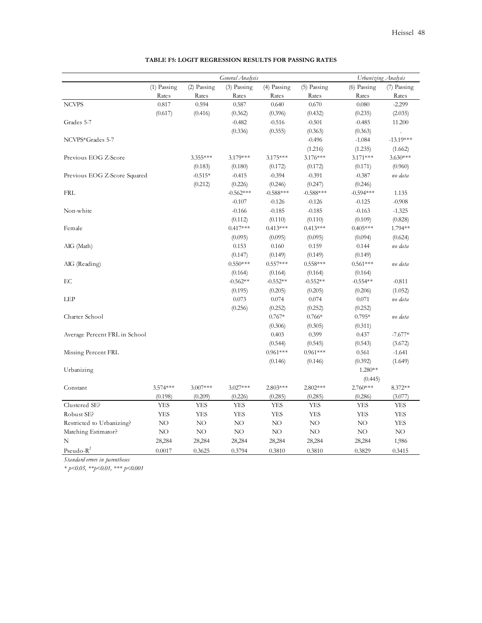|                               |               | General Analysis |             | Urbanizing Analysis |               |               |                      |
|-------------------------------|---------------|------------------|-------------|---------------------|---------------|---------------|----------------------|
|                               | $(1)$ Passing | (2) Passing      | (3) Passing | (4) Passing         | $(5)$ Passing | $(6)$ Passing | (7) Passing          |
|                               | Rates         | Rates            | Rates       | Rates               | Rates         | Rates         | Rates                |
| <b>NCVPS</b>                  | 0.817         | 0.594            | 0.587       | 0.640               | 0.670         | 0.080         | $-2.299$             |
|                               | (0.617)       | (0.416)          | (0.362)     | (0.396)             | (0.432)       | (0.235)       | (2.035)              |
| Grades 5-7                    |               |                  | $-0.482$    | $-0.516$            | $-0.501$      | $-0.485$      | 11.200               |
|                               |               |                  | (0.336)     | (0.355)             | (0.363)       | (0.363)       | $\ddot{\phantom{a}}$ |
| NCVPS*Grades 5-7              |               |                  |             |                     | $-0.496$      | $-1.084$      | $-13.19***$          |
|                               |               |                  |             |                     | (1.216)       | (1.235)       | (1.662)              |
| Previous EOG Z-Score          |               | 3.355***         | 3.179***    | 3.175***            | 3.176***      | 3.171***      | $3.630***$           |
|                               |               | (0.183)          | (0.180)     | (0.172)             | (0.172)       | (0.171)       | (0.960)              |
| Previous EOG Z-Score Squared  |               | $-0.515*$        | $-0.415$    | $-0.394$            | $-0.391$      | $-0.387$      | no data              |
|                               |               | (0.212)          | (0.226)     | (0.246)             | (0.247)       | (0.246)       |                      |
| <b>FRL</b>                    |               |                  | $-0.562***$ | $-0.588***$         | $-0.588***$   | $-0.594***$   | 1.135                |
|                               |               |                  | $-0.107$    | $-0.126$            | $-0.126$      | $-0.125$      | $-0.908$             |
| Non-white                     |               |                  | $-0.166$    | $-0.185$            | $-0.185$      | $-0.163$      | $-1.325$             |
|                               |               |                  | (0.112)     | (0.110)             | (0.110)       | (0.109)       | (0.828)              |
| Female                        |               |                  | $0.417***$  | $0.413***$          | $0.413***$    | $0.405***$    | 1.794**              |
|                               |               |                  | (0.095)     | (0.095)             | (0.095)       | (0.094)       | (0.624)              |
| AIG (Math)                    |               |                  | 0.153       | 0.160               | 0.159         | 0.144         | no data              |
|                               |               |                  | (0.147)     | (0.149)             | (0.149)       | (0.149)       |                      |
| AIG (Reading)                 |               |                  | $0.550***$  | $0.557***$          | $0.558***$    | $0.561***$    | no data              |
|                               |               |                  | (0.164)     | (0.164)             | (0.164)       | (0.164)       |                      |
| EC                            |               |                  | $-0.562**$  | $-0.552**$          | $-0.552**$    | $-0.554**$    | $-0.811$             |
|                               |               |                  | (0.195)     | (0.205)             | (0.205)       | (0.206)       | (1.052)              |
| LEP                           |               |                  | 0.073       | 0.074               | 0.074         | $0.071\,$     | no data              |
|                               |               |                  | (0.256)     | (0.252)             | (0.252)       | (0.252)       |                      |
| Charter School                |               |                  |             | $0.767*$            | $0.766*$      | $0.795*$      | no data              |
|                               |               |                  |             | (0.306)             | (0.305)       | (0.311)       |                      |
| Average Percent FRL in School |               |                  |             | 0.403               | 0.399         | 0.437         | $-7.677*$            |
|                               |               |                  |             | (0.544)             | (0.545)       | (0.543)       | (3.672)              |
| Missing Percent FRL           |               |                  |             | $0.961***$          | $0.961***$    | 0.561         | $-1.641$             |
|                               |               |                  |             | (0.146)             | (0.146)       | (0.392)       | (1.649)              |
| Urbanizing                    |               |                  |             |                     |               | 1.280**       |                      |
|                               |               |                  |             |                     |               | (0.445)       |                      |
| Constant                      | 3.574***      | 3.007***         | 3.027***    | $2.803***$          | 2.802***      | 2.760***      | 8.372**              |
|                               | (0.198)       | (0.209)          | (0.226)     | (0.285)             | (0.285)       | (0.286)       | (3.077)              |
| Clustered SE?                 | YES           | YES              | YES         | YES                 | YES           | YES           | YES                  |
| Robust SE?                    | <b>YES</b>    | <b>YES</b>       | <b>YES</b>  | <b>YES</b>          | <b>YES</b>    | <b>YES</b>    | <b>YES</b>           |
| Restricted to Urbanizing?     | NO            | NO               | NO          | NO                  | NO            | NO            | YES                  |
| Matching Estimator?           | NO.           | NO               | NO.         | NO.                 | NO            | NO.           | NO.                  |
| N                             | 28,284        | 28,284           | 28,284      | 28,284              | 28,284        | 28,284        | 1,986                |
| $Pseudo-R^2$                  | 0.0017        | 0.3625           | 0.3794      | 0.3810              | 0.3810        | 0.3829        | 0.3415               |

#### **TABLE F5: LOGIT REGRESSION RESULTS FOR PASSING RATES**

*Standard errors in parentheses*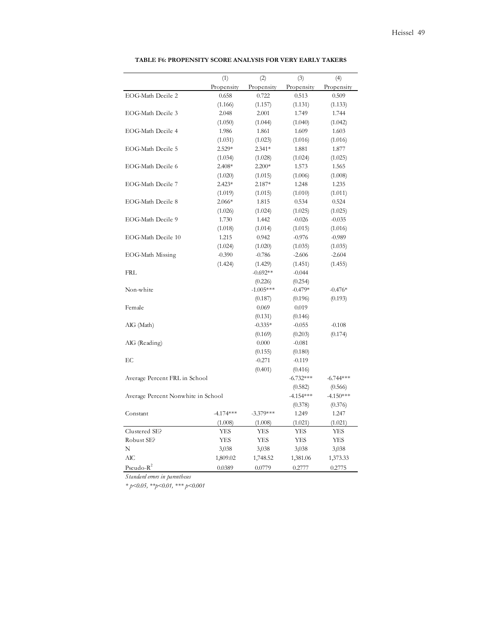|                                    | (1)                 | (2)                    | (3)                    | (4)                 |
|------------------------------------|---------------------|------------------------|------------------------|---------------------|
|                                    | Propensity          | Propensity             | Propensity             | Propensity          |
| EOG-Math Decile 2                  | 0.658               | 0.722                  | 0.513                  | 0.509               |
|                                    | (1.166)             | (1.157)                | (1.131)                | (1.133)             |
| EOG-Math Decile 3                  | 2.048               | 2.001                  | 1.749                  | 1.744               |
|                                    | (1.050)             | (1.044)                | (1.040)                | (1.042)             |
| EOG-Math Decile 4                  | 1.986               | 1.861                  | 1.609                  | 1.603               |
|                                    | (1.031)             | (1.023)                | (1.016)                | (1.016)             |
| EOG-Math Decile 5                  | 2.529*              | $2.341*$               | 1.881                  | 1.877               |
|                                    | (1.034)             | (1.028)                | (1.024)                | (1.025)             |
| EOG-Math Decile 6                  | 2.408*              | $2.200*$               | 1.573                  | 1.565               |
|                                    | (1.020)             | (1.015)                | (1.006)                | (1.008)             |
| EOG-Math Decile 7                  | $2.423*$            | 2.187*                 | 1.248                  | 1.235               |
|                                    | (1.019)             | (1.015)                | (1.010)                | (1.011)             |
| EOG-Math Decile 8                  | $2.066*$            | 1.815                  | 0.534                  | 0.524               |
|                                    |                     | (1.024)                | (1.025)                |                     |
| EOG-Math Decile 9                  | (1.026)<br>1.730    | 1.442                  | $-0.026$               | (1.025)<br>$-0.035$ |
|                                    |                     |                        |                        |                     |
| EOG-Math Decile 10                 | (1.018)<br>1.215    | (1.014)<br>0.942       | (1.015)<br>$-0.976$    | (1.016)<br>$-0.989$ |
|                                    |                     |                        |                        |                     |
|                                    | (1.024)<br>$-0.390$ | (1.020)<br>$-0.786$    | (1.035)<br>$-2.606$    | (1.035)<br>$-2.604$ |
| EOG-Math Missing                   |                     |                        |                        |                     |
| FRL                                | (1.424)             | (1.429)<br>$-0.692**$  | (1.451)<br>$-0.044$    | (1.455)             |
|                                    |                     |                        |                        |                     |
| Non-white                          |                     | (0.226)<br>$-1.005***$ | (0.254)<br>$-0.479*$   | $-0.476*$           |
|                                    |                     | (0.187)                | (0.196)                | (0.193)             |
| Female                             |                     | 0.069                  | 0.019                  |                     |
|                                    |                     |                        |                        |                     |
|                                    |                     | (0.131)<br>$-0.335*$   | (0.146)<br>$-0.055$    |                     |
| AIG (Math)                         |                     |                        |                        | $-0.108$            |
|                                    |                     | (0.169)<br>0.000       | (0.203)<br>$-0.081$    | (0.174)             |
| AIG (Reading)                      |                     |                        |                        |                     |
| EC                                 |                     | (0.155)<br>$-0.271$    | (0.180)<br>$-0.119$    |                     |
|                                    |                     |                        |                        |                     |
|                                    |                     | (0.401)                | (0.416)<br>$-6.732***$ | $-6.744***$         |
| Average Percent FRL in School      |                     |                        |                        |                     |
|                                    |                     |                        | (0.582)                | (0.566)             |
| Average Percent Nonwhite in School |                     |                        | $-4.154***$            | $-4.150***$         |
|                                    |                     |                        | (0.378)                | (0.376)             |
| Constant                           | $-4.174***$         | $-3.379***$            | 1.249                  | 1.247               |
|                                    | (1.008)             | (1.008)                | (1.021)                | (1.021)             |
| Clustered SE?                      | YES                 | YES                    | YES                    | YES                 |
| Robust SE?                         | YES                 | YES                    | <b>YES</b>             | YES                 |
| N                                  | 3,038               | 3,038                  | 3,038                  | 3,038               |
| AIС                                | 1,809.02            | 1,748.52               | 1,381.06               | 1,373.33            |
| Pseudo- $R^2$                      | 0.0389              | 0.0779                 | 0.2777                 | 0.2775              |

#### **TABLE F6: PROPENSITY SCORE ANALYSIS FOR VERY EARLY TAKERS**

*Standard errors in parentheses*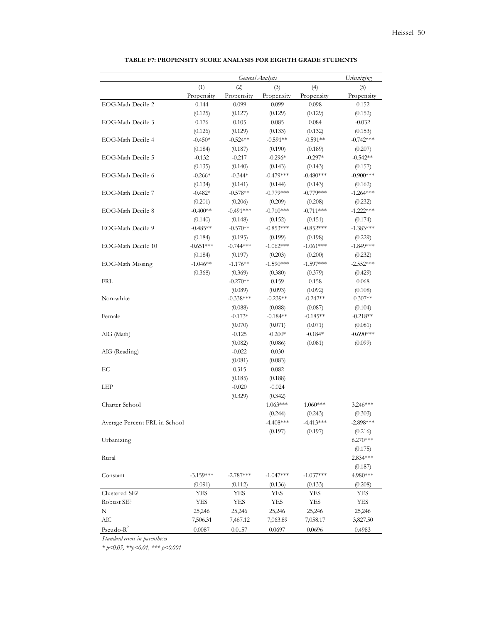|                               |             |             | General Analysis |             | Urbanizing   |
|-------------------------------|-------------|-------------|------------------|-------------|--------------|
|                               | (1)         | (2)         | (3)              | (4)         | (5)          |
|                               | Propensity  | Propensity  | Propensity       | Propensity  | Propensity   |
| EOG-Math Decile 2             | 0.144       | 0.099       | 0.099            | 0.098       | 0.152        |
|                               | (0.125)     | (0.127)     | (0.129)          | (0.129)     | (0.152)      |
| EOG-Math Decile 3             | 0.176       | 0.105       | 0.085            | 0.084       | $-0.032$     |
|                               | (0.126)     | (0.129)     | (0.133)          | (0.132)     | (0.153)      |
| EOG-Math Decile 4             | $-0.450*$   | $-0.524**$  | $-0.591**$       | $-0.591**$  | $-0.742***$  |
|                               | (0.184)     | (0.187)     | (0.190)          | (0.189)     | (0.207)      |
| EOG-Math Decile 5             | $-0.132$    | $-0.217$    | $-0.296*$        | $-0.297*$   | $-0.542**$   |
|                               | (0.135)     | (0.140)     | (0.143)          | (0.143)     | (0.157)      |
| EOG-Math Decile 6             | $-0.266*$   | $-0.344*$   | $-0.479***$      | $-0.480***$ | $-0.900$ *** |
|                               | (0.134)     | (0.141)     | (0.144)          | (0.143)     | (0.162)      |
| EOG-Math Decile 7             | $-0.482*$   | $-0.578**$  | $-0.779***$      | $-0.779***$ | $-1.264***$  |
|                               | (0.201)     | (0.206)     | (0.209)          | (0.208)     | (0.232)      |
| EOG-Math Decile 8             | $-0.400**$  | $-0.491***$ | $-0.710***$      | $-0.711***$ | $-1.222***$  |
|                               | (0.140)     | (0.148)     | (0.152)          | (0.151)     | (0.174)      |
| EOG-Math Decile 9             | $-0.485**$  | $-0.570**$  | $-0.853***$      | $-0.852***$ | $-1.383***$  |
|                               | (0.184)     | (0.195)     | (0.199)          | (0.198)     | (0.229)      |
| EOG-Math Decile 10            | $-0.651***$ | $-0.744***$ | $-1.062***$      | $-1.061***$ | $-1.849***$  |
|                               | (0.184)     | (0.197)     | (0.203)          | (0.200)     | (0.232)      |
| EOG-Math Missing              | $-1.046**$  | $-1.176**$  | $-1.590***$      | $-1.597***$ | $-2.552***$  |
|                               | (0.368)     | (0.369)     | (0.380)          | (0.379)     | (0.429)      |
| FRL                           |             | $-0.270**$  | 0.159            | 0.158       | 0.068        |
|                               |             | (0.089)     | (0.093)          | (0.092)     | (0.108)      |
| Non-white                     |             | $-0.338***$ | $-0.239**$       | $-0.242**$  | $0.307**$    |
|                               |             | (0.088)     | (0.088)          | (0.087)     | (0.104)      |
| Female                        |             | $-0.173*$   | $-0.184**$       | $-0.185**$  | $-0.218**$   |
|                               |             | (0.070)     | (0.071)          | (0.071)     | (0.081)      |
| AIG (Math)                    |             | $-0.125$    | $-0.200*$        | $-0.184*$   | $-0.690***$  |
|                               |             | (0.082)     | (0.086)          | (0.081)     | (0.099)      |
| AIG (Reading)                 |             | $-0.022$    | 0.030            |             |              |
|                               |             | (0.081)     | (0.083)          |             |              |
| EC                            |             | 0.315       | 0.082            |             |              |
|                               |             | (0.185)     | (0.188)          |             |              |
| LEP                           |             | $-0.020$    | $-0.024$         |             |              |
|                               |             | (0.329)     | (0.342)          |             |              |
| Charter School                |             |             | $1.063***$       | $1.060***$  | $3.246***$   |
|                               |             |             | (0.244)          | (0.243)     | (0.303)      |
| Average Percent FRL in School |             |             | -4.408***        | $-4.413***$ | -2.898***    |
|                               |             |             | (0.197)          | (0.197)     | (0.216)      |
| Urbanizing                    |             |             |                  |             | $6.270***$   |
|                               |             |             |                  |             | (0.175)      |
| Rural                         |             |             |                  |             | 2.834***     |
|                               |             |             |                  |             | (0.187)      |
| Constant                      | $-3.159***$ | $-2.787***$ | $-1.047***$      | $-1.037***$ | 4.980***     |
|                               | (0.091)     | (0.112)     | (0.136)          | (0.133)     | (0.208)      |
| Clustered SE?                 | YES         | YES         | YES              | YES         | YES          |
| Robust SE?                    | YES         | YES         | YES              | YES         | YES          |
| N                             | 25,246      | 25,246      | 25,246           | 25,246      | 25,246       |
| $\rm AIC$                     | 7,506.31    | 7,467.12    | 7,063.89         | 7,058.17    | 3,827.50     |
| $Pseudo-R2$                   | 0.0087      | 0.0157      | 0.0697           | 0.0696      | 0.4983       |

## **TABLE F7: PROPENSITY SCORE ANALYSIS FOR EIGHTH GRADE STUDENTS**

*Standard errors in parentheses*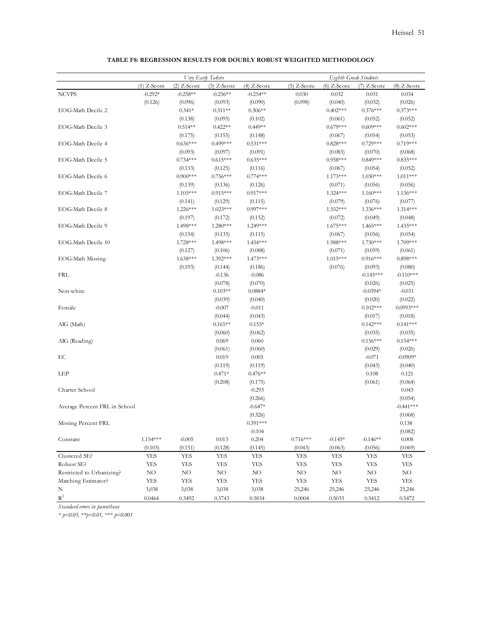|                               | Very Early Takers |               |               |               |               |               | Eighth Grade Students |               |  |
|-------------------------------|-------------------|---------------|---------------|---------------|---------------|---------------|-----------------------|---------------|--|
|                               | $(1)$ Z-Score     | $(2)$ Z-Score | $(3)$ Z-Score | $(4)$ Z-Score | $(5)$ Z-Score | $(6)$ Z-Score | $(7)$ Z-Score         | $(8)$ Z-Score |  |
| <b>NCVPS</b>                  | $-0.292*$         | $-0.258**$    | $-0.256**$    | $-0.254**$    | 0.030         | 0.032         | 0.031                 | 0.034         |  |
|                               | (0.126)           | (0.096)       | (0.093)       | (0.090)       | (0.098)       | (0.040)       | (0.032)               | (0.026)       |  |
| EOG-Math Decile 2             |                   | $0.341*$      | $0.311**$     | $0.306**$     |               | $0.402***$    | $0.376***$            | $0.373***$    |  |
|                               |                   | (0.138)       | (0.095)       | (0.102)       |               | (0.061)       | (0.052)               | (0.052)       |  |
| EOG-Math Decile 3             |                   | $0.514**$     | $0.422**$     | $0.449**$     |               | $0.679***$    | $0.609***$            | $0.602***$    |  |
|                               |                   | (0.175)       | (0.155)       | (0.148)       |               | (0.067)       | (0.054)               | (0.053)       |  |
| EOG-Math Decile 4             |                   | $0.636***$    | $0.499***$    | $0.531***$    |               | $0.828***$    | $0.729***$            | $0.719***$    |  |
|                               |                   | (0.093)       | (0.097)       | (0.091)       |               | (0.083)       | (0.070)               | (0.068)       |  |
| EOG-Math Decile 5             |                   | $0.734***$    | $0.615***$    | $0.635***$    |               | $0.958***$    | $0.849***$            | $0.835***$    |  |
|                               |                   | (0.133)       | (0.125)       | (0.116)       |               | (0.067)       | (0.054)               | (0.052)       |  |
| EOG-Math Decile 6             |                   | $0.900***$    | $0.756***$    | $0.774***$    |               | $1.173***$    | $1.030***$            | 1.011***      |  |
|                               |                   | (0.139)       | (0.136)       | (0.126)       |               | (0.071)       | (0.056)               | (0.056)       |  |
| EOG-Math Decile 7             |                   | $1.105***$    | $0.915***$    | $0.917***$    |               | 1.324***      | $1.160***$            | 1.136***      |  |
|                               |                   | (0.141)       | (0.129)       | (0.115)       |               | (0.079)       | (0.076)               | (0.077)       |  |
| EOG-Math Decile 8             |                   | $1.226***$    | $1.023***$    | $0.997***$    |               | 1.552***      | $1.336***$            | 1.314***      |  |
|                               |                   | (0.197)       | (0.172)       | (0.152)       |               | (0.072)       | (0.049)               | (0.048)       |  |
| EOG-Math Decile 9             |                   | 1.498***      | 1.280***      | 1.249***      |               | $1.675***$    | $1.465***$            | 1.435***      |  |
|                               |                   | (0.154)       | (0.135)       | (0.115)       |               | (0.067)       | (0.056)               | (0.054)       |  |
| EOG-Math Decile 10            |                   | 1.728***      | 1.498***      | 1.454***      |               | 1.988***      | $1.730***$            | 1.709***      |  |
|                               |                   | (0.127)       | (0.106)       | (0.088)       |               | (0.071)       | (0.059)               | (0.061)       |  |
| EOG-Math Missing              |                   | 1.638***      | 1.392***      | 1.473***      |               | 1.015***      | $0.916***$            | $0.898***$    |  |
|                               |                   | (0.193)       | (0.144)       | (0.186)       |               | (0.076)       | (0.093)               | (0.080)       |  |
| FRL                           |                   |               | $-0.136$      | $-0.086$      |               |               | $-0.145***$           | $-0.110***$   |  |
|                               |                   |               | (0.078)       | (0.070)       |               |               | (0.026)               | (0.025)       |  |
| Non-white                     |                   |               | $0.103**$     | $0.0884*$     |               |               | $-0.0394*$            | $-0.031$      |  |
|                               |                   |               | (0.039)       | (0.040)       |               |               | (0.020)               | (0.022)       |  |
| Female                        |                   |               | $-0.007$      | $-0.011$      |               |               | $0.102***$            | $0.0993***$   |  |
|                               |                   |               | (0.044)       | (0.043)       |               |               | (0.017)               | (0.018)       |  |
| AIG (Math)                    |                   |               | $0.165**$     | $0.155*$      |               |               | $0.142***$            | $0.141***$    |  |
|                               |                   |               | (0.060)       | (0.062)       |               |               | (0.035)               | (0.035)       |  |
| AIG (Reading)                 |                   |               | 0.069         | 0.060         |               |               | $0.156***$            | $0.154***$    |  |
|                               |                   |               | (0.061)       | (0.060)       |               |               | (0.029)               | (0.026)       |  |
| EC                            |                   |               | 0.019         | 0.005         |               |               | $-0.071$              | $-0.0909*$    |  |
|                               |                   |               | (0.119)       | (0.119)       |               |               | (0.043)               | (0.040)       |  |
| LEP                           |                   |               | $0.471*$      | $0.476**$     |               |               | 0.108                 | 0.121         |  |
|                               |                   |               | (0.208)       | (0.175)       |               |               | (0.061)               | (0.064)       |  |
| Charter School                |                   |               |               | $-0.293$      |               |               |                       | 0.043         |  |
|                               |                   |               |               | (0.266)       |               |               |                       | (0.054)       |  |
| Average Percent FRL in School |                   |               |               | $-0.647*$     |               |               |                       | $-0.441***$   |  |
|                               |                   |               |               | (0.326)       |               |               |                       | (0.068)       |  |
| Missing Percent FRL           |                   |               |               | $0.391***$    |               |               |                       | $0.138\,$     |  |
|                               |                   |               |               | $-0.104$      |               |               |                       | (0.082)       |  |
| Constant                      | $1.154***$        | $-0.005$      | 0.013         | 0.204         | $0.716***$    | $-0.145*$     | $-0.146**$            | 0.008         |  |
|                               | (0.103)           | (0.151)       | (0.128)       | (0.145)       | (0.043)       | (0.063)       | (0.056)               | (0.069)       |  |
| Clustered SE?                 | <b>YES</b>        | <b>YES</b>    | <b>YES</b>    | <b>YES</b>    | <b>YES</b>    | <b>YES</b>    | <b>YES</b>            | YES           |  |
| Robust SE?                    | <b>YES</b>        | <b>YES</b>    | <b>YES</b>    | YES           | <b>YES</b>    | <b>YES</b>    | YES                   | YES           |  |
| Restricted to Urbanizing?     | $\rm NO$          | $\rm NO$      | $\rm NO$      | $\rm NO$      | $\rm NO$      | $\rm NO$      | $\rm NO$              | $\rm NO$      |  |
| Matching Estimator?           | YES               | YES           | <b>YES</b>    | YES           | <b>YES</b>    | <b>YES</b>    | <b>YES</b>            | YES           |  |
| N                             | 3,038             | 3,038         | 3,038         | 3,038         | 25,246        | 25,246        | 25,246                | 25,246        |  |
| $\mbox{R}^2$                  | 0.0464            | 0.3492        | 0.3743        | 0.3834        | 0.0004        | 0.5033        | 0.5412                | 0.5472        |  |

### **TABLE F8: REGRESSION RESULTS FOR DOUBLY ROBUST WEIGHTED METHODOLOGY**

*Standard errors in parentheses*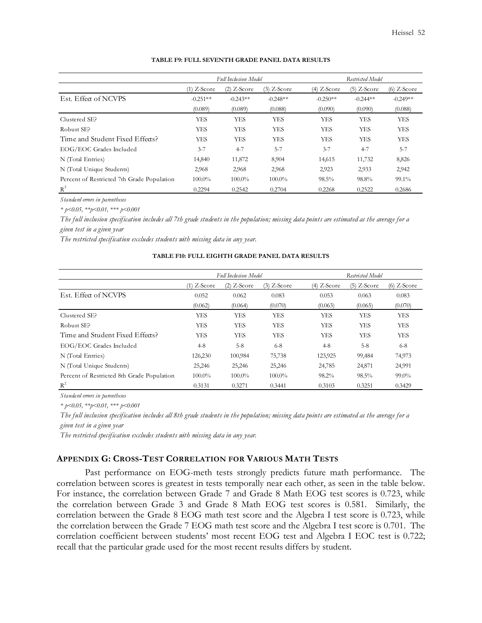|                                            |               | <b>Full Inclusion Model</b> |               |               | Restricted Model |               |  |
|--------------------------------------------|---------------|-----------------------------|---------------|---------------|------------------|---------------|--|
|                                            | $(1)$ Z-Score | $(2)$ Z-Score               | $(3)$ Z-Score | $(4)$ Z-Score | $(5)$ Z-Score    | $(6)$ Z-Score |  |
| Est. Effect of NCVPS                       | $-0.251**$    | $-0.243**$                  | $-0.248**$    | $-0.250**$    | $-0.244**$       | $-0.249**$    |  |
|                                            | (0.089)       | (0.089)                     | (0.088)       | (0.090)       | (0.090)          | (0.088)       |  |
| Clustered SE?                              | <b>YES</b>    | <b>YES</b>                  | <b>YES</b>    | <b>YES</b>    | YES              | YES           |  |
| Robust SE?                                 | <b>YES</b>    | <b>YES</b>                  | <b>YES</b>    | <b>YES</b>    | YES              | YES           |  |
| Time and Student Fixed Effects?            | <b>YES</b>    | <b>YES</b>                  | <b>YES</b>    | <b>YES</b>    | <b>YES</b>       | YES           |  |
| EOG/EOC Grades Included                    | $3 - 7$       | $4 - 7$                     | $5 - 7$       | $3 - 7$       | $4 - 7$          | $5 - 7$       |  |
| N (Total Entries)                          | 14,840        | 11,872                      | 8,904         | 14,615        | 11,732           | 8,826         |  |
| N (Total Unique Students)                  | 2,968         | 2,968                       | 2,968         | 2,923         | 2,933            | 2,942         |  |
| Percent of Restricted 7th Grade Population | $100.0\%$     | $100.0\%$                   | $100.0\%$     | $98.5\%$      | 98.8%            | 99.1%         |  |
| $R^2$                                      | 0.2294        | 0.2542                      | 0.2704        | 0.2268        | 0.2522           | 0.2686        |  |

#### **TABLE F9: FULL SEVENTH GRADE PANEL DATA RESULTS**

*Standard errors in parentheses*

*\* p<0.05, \*\*p<0.01, \*\*\* p<0.001*

*The full inclusion specification includes all 7th grade students in the population; missing data points are estimated as the average for a given test in a given year*

*The restricted specification excludes students with missing data in any year.* 

## **TABLE F10: FULL EIGHTH GRADE PANEL DATA RESULTS**

|                                            |               | <b>Full Inclusion Model</b> |               |               | Restricted Model |               |  |
|--------------------------------------------|---------------|-----------------------------|---------------|---------------|------------------|---------------|--|
|                                            | $(1)$ Z-Score | $(2)$ Z-Score               | $(3)$ Z-Score | $(4)$ Z-Score | $(5)$ Z-Score    | $(6)$ Z-Score |  |
| Est. Effect of NCVPS                       | 0.052         | 0.062                       | 0.083         | 0.053         | 0.063            | 0.083         |  |
|                                            | (0.062)       | (0.064)                     | (0.070)       | (0.063)       | (0.065)          | (0.070)       |  |
| Clustered SE?                              | <b>YES</b>    | <b>YES</b>                  | <b>YES</b>    | YES           | <b>YES</b>       | <b>YES</b>    |  |
| Robust SE?                                 | <b>YES</b>    | <b>YES</b>                  | <b>YES</b>    | YES           | <b>YES</b>       | <b>YES</b>    |  |
| Time and Student Fixed Effects?            | <b>YES</b>    | <b>YES</b>                  | <b>YES</b>    | YES           | <b>YES</b>       | <b>YES</b>    |  |
| EOG/EOC Grades Included                    | $4 - 8$       | $5 - 8$                     | $6 - 8$       | $4 - 8$       | $5 - 8$          | $6 - 8$       |  |
| N (Total Entries)                          | 126,230       | 100,984                     | 75,738        | 123,925       | 99,484           | 74,973        |  |
| N (Total Unique Students)                  | 25,246        | 25,246                      | 25,246        | 24,785        | 24,871           | 24,991        |  |
| Percent of Restricted 8th Grade Population | 100.0%        | $100.0\%$                   | $100.0\%$     | 98.2%         | $98.5\%$         | $99.0\%$      |  |
| $R^2$                                      | 0.3131        | 0.3271                      | 0.3441        | 0.3103        | 0.3251           | 0.3429        |  |

*Standard errors in parentheses*

*\* p<0.05, \*\*p<0.01, \*\*\* p<0.001*

*The full inclusion specification includes all 8th grade students in the population; missing data points are estimated as the average for a given test in a given year*

*The restricted specification excludes students with missing data in any year.* 

## **APPENDIX G: CROSS-TEST CORRELATION FOR VARIOUS MATH TESTS**

Past performance on EOG-meth tests strongly predicts future math performance. The correlation between scores is greatest in tests temporally near each other, as seen in the table below. For instance, the correlation between Grade 7 and Grade 8 Math EOG test scores is 0.723, while the correlation between Grade 3 and Grade 8 Math EOG test scores is 0.581. Similarly, the correlation between the Grade 8 EOG math test score and the Algebra I test score is 0.723, while the correlation between the Grade 7 EOG math test score and the Algebra I test score is 0.701. The correlation coefficient between students' most recent EOG test and Algebra I EOC test is 0.722; recall that the particular grade used for the most recent results differs by student.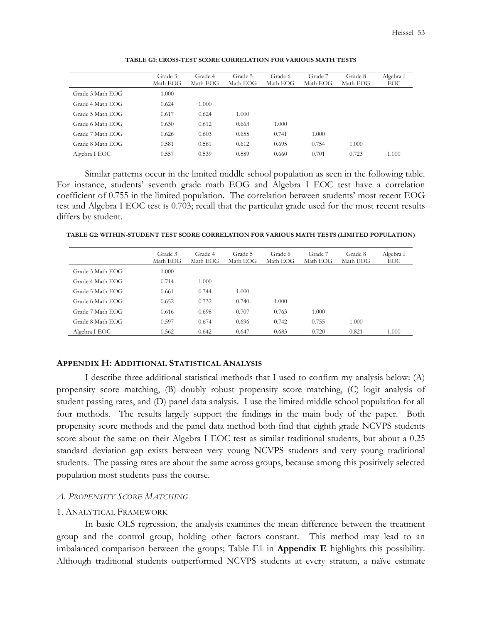|                  | Grade 3  | Grade 4  | Grade 5  | Grade 6  | Grade 7  | Grade 8  | Algebra I |
|------------------|----------|----------|----------|----------|----------|----------|-----------|
|                  | Math EOG | Math EOG | Math EOG | Math EOG | Math EOG | Math EOG | EOC       |
| Grade 3 Math EOG | 1.000    |          |          |          |          |          |           |
| Grade 4 Math EOG | 0.624    | 1.000    |          |          |          |          |           |
| Grade 5 Math EOG | 0.617    | 0.624    | 1.000    |          |          |          |           |
| Grade 6 Math EOG | 0.630    | 0.612    | 0.663    | 1.000    |          |          |           |
| Grade 7 Math EOG | 0.626    | 0.603    | 0.655    | 0.741    | 1.000    |          |           |
| Grade 8 Math EOG | 0.581    | 0.561    | 0.612    | 0.695    | 0.754    | 1.000    |           |
| Algebra I EOC    | 0.557    | 0.539    | 0.589    | 0.660    | 0.701    | 0.723    | 1.000     |

**TABLE G1: CROSS-TEST SCORE CORRELATION FOR VARIOUS MATH TESTS** 

Similar patterns occur in the limited middle school population as seen in the following table. For instance, students' seventh grade math EOG and Algebra I EOC test have a correlation coefficient of 0.755 in the limited population. The correlation between students' most recent EOG test and Algebra I EOC test is 0.703; recall that the particular grade used for the most recent results differs by student.

**TABLE G2: WITHIN-STUDENT TEST SCORE CORRELATION FOR VARIOUS MATH TESTS (LIMITED POPULATION)** 

|                  | Grade 3<br>Math EOG | Grade 4<br>Math EOG | Grade 5<br>Math EOG | Grade 6<br>Math EOG | Grade 7<br>Math EOG | Grade 8<br>Math EOG | Algebra I<br>EOC |
|------------------|---------------------|---------------------|---------------------|---------------------|---------------------|---------------------|------------------|
| Grade 3 Math EOG | 1.000               |                     |                     |                     |                     |                     |                  |
| Grade 4 Math EOG | 0.714               | 1.000               |                     |                     |                     |                     |                  |
| Grade 5 Math EOG | 0.661               | 0.744               | 1.000               |                     |                     |                     |                  |
| Grade 6 Math EOG | 0.652               | 0.732               | 0.740               | 1.000               |                     |                     |                  |
| Grade 7 Math EOG | 0.616               | 0.698               | 0.707               | 0.763               | 1.000               |                     |                  |
| Grade 8 Math EOG | 0.597               | 0.674               | 0.696               | 0.742               | 0.755               | 1.000               |                  |
| Algebra I EOC    | 0.562               | 0.642               | 0.647               | 0.683               | 0.720               | 0.821               | 1.000            |

# **APPENDIX H: ADDITIONAL STATISTICAL ANALYSIS**

I describe three additional statistical methods that I used to confirm my analysis below: (A) propensity score matching, (B) doubly robust propensity score matching, (C) logit analysis of student passing rates, and (D) panel data analysis. I use the limited middle school population for all four methods. The results largely support the findings in the main body of the paper. Both propensity score methods and the panel data method both find that eighth grade NCVPS students score about the same on their Algebra I EOC test as similar traditional students, but about a 0.25 standard deviation gap exists between very young NCVPS students and very young traditional students. The passing rates are about the same across groups, because among this positively selected population most students pass the course.

### *A. PROPENSITY SCORE MATCHING*

### 1. ANALYTICAL FRAMEWORK

In basic OLS regression, the analysis examines the mean difference between the treatment group and the control group, holding other factors constant. This method may lead to an imbalanced comparison between the groups; Table E1 in **Appendix E** highlights this possibility. Although traditional students outperformed NCVPS students at every stratum, a naïve estimate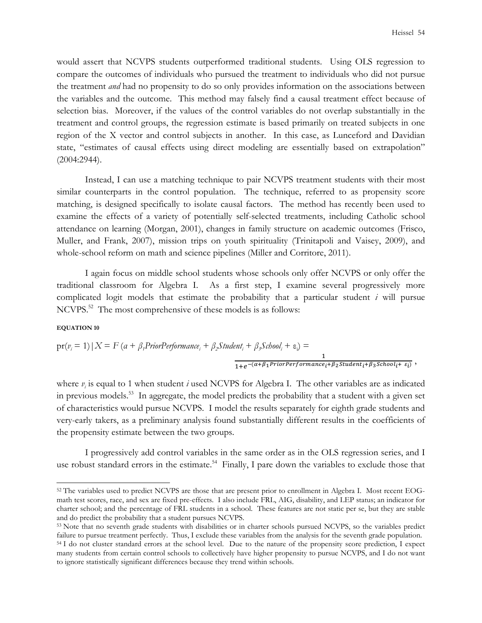would assert that NCVPS students outperformed traditional students. Using OLS regression to compare the outcomes of individuals who pursued the treatment to individuals who did not pursue the treatment *and* had no propensity to do so only provides information on the associations between the variables and the outcome. This method may falsely find a causal treatment effect because of selection bias. Moreover, if the values of the control variables do not overlap substantially in the treatment and control groups, the regression estimate is based primarily on treated subjects in one region of the X vector and control subjects in another. In this case, as Lunceford and Davidian state, "estimates of causal effects using direct modeling are essentially based on extrapolation" (2004:2944).

Instead, I can use a matching technique to pair NCVPS treatment students with their most similar counterparts in the control population. The technique, referred to as propensity score matching, is designed specifically to isolate causal factors. The method has recently been used to examine the effects of a variety of potentially self-selected treatments, including Catholic school attendance on learning (Morgan, 2001), changes in family structure on academic outcomes (Frisco, Muller, and Frank, 2007), mission trips on youth spirituality (Trinitapoli and Vaisey, 2009), and whole-school reform on math and science pipelines (Miller and Corritore, 2011).

 I again focus on middle school students whose schools only offer NCVPS or only offer the traditional classroom for Algebra I. As a first step, I examine several progressively more complicated logit models that estimate the probability that a particular student *i* will pursue NCVPS.<sup>52</sup> The most comprehensive of these models is as follows:

### **EQUATION 10**

 $\overline{a}$ 

$$
pr(v_i = 1) | X = F (a + \beta_1 PriorPerformance_i + \beta_2 Student_i + \beta_3 School_i + \varepsilon_i) =
$$
  

$$
\frac{1}{1 + e^{-(\alpha + \beta_1 PriorPerformance_i + \beta_2 Student_i + \beta_3 School_i + \varepsilon_i)}},
$$

where  $v_i$  is equal to 1 when student *i* used NCVPS for Algebra I. The other variables are as indicated in previous models.<sup>53</sup> In aggregate, the model predicts the probability that a student with a given set of characteristics would pursue NCVPS. I model the results separately for eighth grade students and very-early takers, as a preliminary analysis found substantially different results in the coefficients of the propensity estimate between the two groups.

I progressively add control variables in the same order as in the OLS regression series, and I use robust standard errors in the estimate.<sup>54</sup> Finally, I pare down the variables to exclude those that

<sup>52</sup> The variables used to predict NCVPS are those that are present prior to enrollment in Algebra I. Most recent EOGmath test scores, race, and sex are fixed pre-effects. I also include FRL, AIG, disability, and LEP status; an indicator for charter school; and the percentage of FRL students in a school. These features are not static per se, but they are stable and do predict the probability that a student pursues NCVPS.

<sup>&</sup>lt;sup>53</sup> Note that no seventh grade students with disabilities or in charter schools pursued NCVPS, so the variables predict failure to pursue treatment perfectly. Thus, I exclude these variables from the analysis for the seventh grade population.

<sup>&</sup>lt;sup>54</sup> I do not cluster standard errors at the school level. Due to the nature of the propensity score prediction, I expect many students from certain control schools to collectively have higher propensity to pursue NCVPS, and I do not want to ignore statistically significant differences because they trend within schools.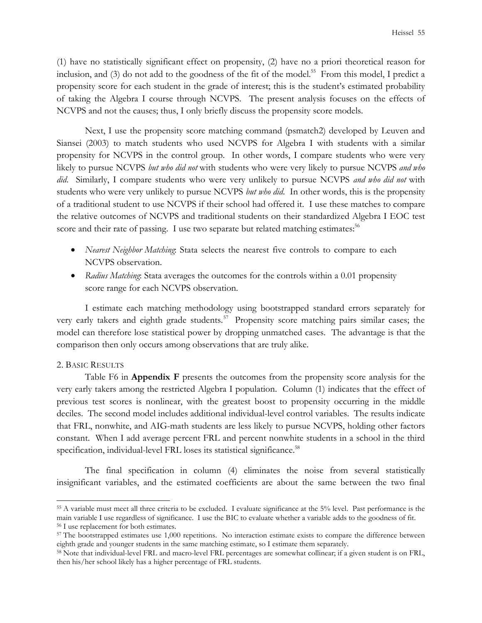(1) have no statistically significant effect on propensity, (2) have no a priori theoretical reason for inclusion, and (3) do not add to the goodness of the fit of the model.<sup>55</sup> From this model, I predict a propensity score for each student in the grade of interest; this is the student's estimated probability of taking the Algebra I course through NCVPS. The present analysis focuses on the effects of NCVPS and not the causes; thus, I only briefly discuss the propensity score models.

Next, I use the propensity score matching command (psmatch2) developed by Leuven and Siansei (2003) to match students who used NCVPS for Algebra I with students with a similar propensity for NCVPS in the control group. In other words, I compare students who were very likely to pursue NCVPS *but who did not* with students who were very likely to pursue NCVPS *and who did*. Similarly, I compare students who were very unlikely to pursue NCVPS *and who did not* with students who were very unlikely to pursue NCVPS *but who did*. In other words, this is the propensity of a traditional student to use NCVPS if their school had offered it. I use these matches to compare the relative outcomes of NCVPS and traditional students on their standardized Algebra I EOC test score and their rate of passing. I use two separate but related matching estimates: $56$ 

- *Nearest Neighbor Matching*: Stata selects the nearest five controls to compare to each NCVPS observation.
- *Radius Matching*: Stata averages the outcomes for the controls within a 0.01 propensity score range for each NCVPS observation.

I estimate each matching methodology using bootstrapped standard errors separately for very early takers and eighth grade students.<sup>57</sup> Propensity score matching pairs similar cases; the model can therefore lose statistical power by dropping unmatched cases. The advantage is that the comparison then only occurs among observations that are truly alike.

# 2. BASIC RESULTS

 $\overline{a}$ 

Table F6 in **Appendix F** presents the outcomes from the propensity score analysis for the very early takers among the restricted Algebra I population. Column (1) indicates that the effect of previous test scores is nonlinear, with the greatest boost to propensity occurring in the middle deciles. The second model includes additional individual-level control variables. The results indicate that FRL, nonwhite, and AIG-math students are less likely to pursue NCVPS, holding other factors constant. When I add average percent FRL and percent nonwhite students in a school in the third specification, individual-level FRL loses its statistical significance.<sup>58</sup>

The final specification in column (4) eliminates the noise from several statistically insignificant variables, and the estimated coefficients are about the same between the two final

<sup>55</sup> A variable must meet all three criteria to be excluded. I evaluate significance at the 5% level. Past performance is the main variable I use regardless of significance. I use the BIC to evaluate whether a variable adds to the goodness of fit. <sup>56</sup> I use replacement for both estimates.

<sup>&</sup>lt;sup>57</sup> The bootstrapped estimates use 1,000 repetitions. No interaction estimate exists to compare the difference between eighth grade and younger students in the same matching estimate, so I estimate them separately.

<sup>58</sup> Note that individual-level FRL and macro-level FRL percentages are somewhat collinear; if a given student is on FRL, then his/her school likely has a higher percentage of FRL students.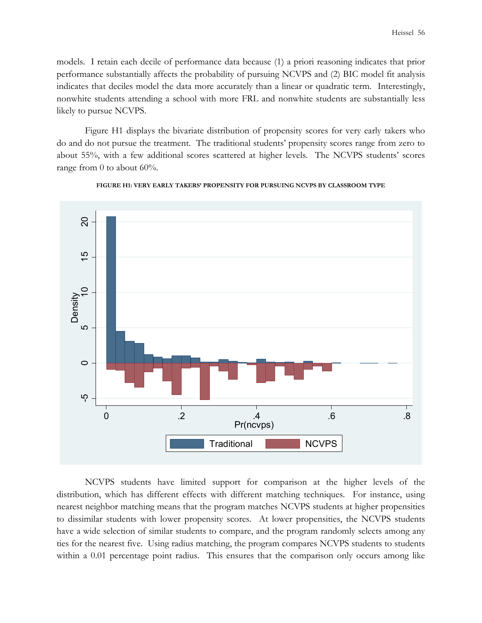models. I retain each decile of performance data because (1) a priori reasoning indicates that prior performance substantially affects the probability of pursuing NCVPS and (2) BIC model fit analysis indicates that deciles model the data more accurately than a linear or quadratic term. Interestingly, nonwhite students attending a school with more FRL and nonwhite students are substantially less likely to pursue NCVPS.

Figure H1 displays the bivariate distribution of propensity scores for very early takers who do and do not pursue the treatment. The traditional students' propensity scores range from zero to about 55%, with a few additional scores scattered at higher levels. The NCVPS students' scores range from 0 to about 60%.



### **FIGURE H1: VERY EARLY TAKERS' PROPENSITY FOR PURSUING NCVPS BY CLASSROOM TYPE**

NCVPS students have limited support for comparison at the higher levels of the distribution, which has different effects with different matching techniques. For instance, using nearest neighbor matching means that the program matches NCVPS students at higher propensities to dissimilar students with lower propensity scores. At lower propensities, the NCVPS students have a wide selection of similar students to compare, and the program randomly selects among any ties for the nearest five. Using radius matching, the program compares NCVPS students to students When the method of the method of the method of the method of the method of the distribution, which has different effects with different matching techniques. For instance, using the method of the method of the comparison of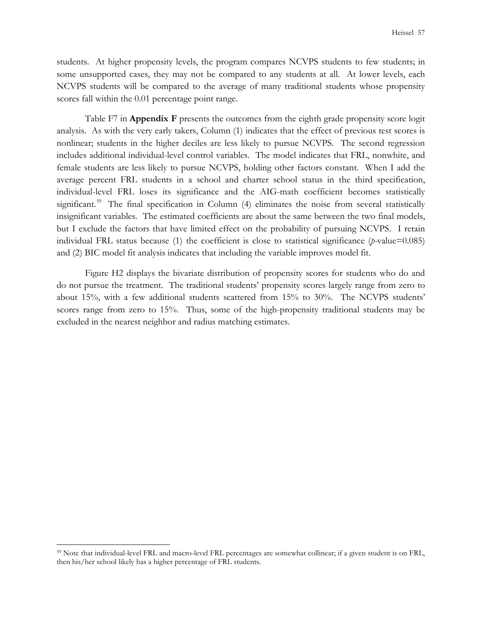students. At higher propensity levels, the program compares NCVPS students to few students; in some unsupported cases, they may not be compared to any students at all. At lower levels, each NCVPS students will be compared to the average of many traditional students whose propensity scores fall within the 0.01 percentage point range.

Table F7 in **Appendix F** presents the outcomes from the eighth grade propensity score logit analysis. As with the very early takers, Column (1) indicates that the effect of previous test scores is nonlinear; students in the higher deciles are less likely to pursue NCVPS. The second regression includes additional individual-level control variables. The model indicates that FRL, nonwhite, and female students are less likely to pursue NCVPS, holding other factors constant. When I add the average percent FRL students in a school and charter school status in the third specification, individual-level FRL loses its significance and the AIG-math coefficient becomes statistically significant.<sup>59</sup> The final specification in Column (4) eliminates the noise from several statistically insignificant variables. The estimated coefficients are about the same between the two final models, but I exclude the factors that have limited effect on the probability of pursuing NCVPS. I retain individual FRL status because (1) the coefficient is close to statistical significance (*p-*value=0.085) and (2) BIC model fit analysis indicates that including the variable improves model fit.

Figure H2 displays the bivariate distribution of propensity scores for students who do and do not pursue the treatment. The traditional students' propensity scores largely range from zero to about 15%, with a few additional students scattered from 15% to 30%. The NCVPS students' scores range from zero to 15%. Thus, some of the high-propensity traditional students may be excluded in the nearest neighbor and radius matching estimates.

<sup>59</sup> Note that individual-level FRL and macro-level FRL percentages are somewhat collinear; if a given student is on FRL, then his/her school likely has a higher percentage of FRL students.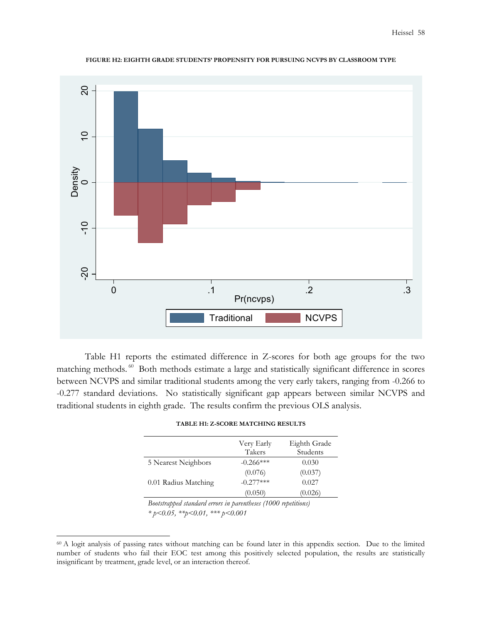

#### **FIGURE H2: EIGHTH GRADE STUDENTS' PROPENSITY FOR PURSUING NCVPS BY CLASSROOM TYPE**

 Table H1 reports the estimated difference in Z-scores for both age groups for the two matching methods.<sup>60</sup> Both methods estimate a large and statistically significant difference in scores between NCVPS and similar traditional students among the very early takers, ranging from -0.266 to -0.277 standard deviations. No statistically significant gap appears between similar NCVPS and traditional students in eighth grade. The results confirm the previous OLS analysis.

|                      | Very Early    | Eighth Grade |
|----------------------|---------------|--------------|
|                      | Takers        | Students     |
| 5 Nearest Neighbors  | $-0.266***$   | 0.030        |
|                      | (0.076)       | (0.037)      |
| 0.01 Radius Matching | $-(0.277***)$ | 0.027        |
|                      | (0.050)       | (0.026)      |

| <b>TABLE H1: Z-SCORE MATCHING RESULTS</b> |  |
|-------------------------------------------|--|
|-------------------------------------------|--|

*Bootstrapped standard errors in parentheses (1000 repetitions) \* p<0.05, \*\*p<0.01, \*\*\* p<0.001* 

<sup>&</sup>lt;sup>60</sup> A logit analysis of passing rates without matching can be found later in this appendix section. Due to the limited number of students who fail their EOC test among this positively selected population, the results are statistically insignificant by treatment, grade level, or an interaction thereof.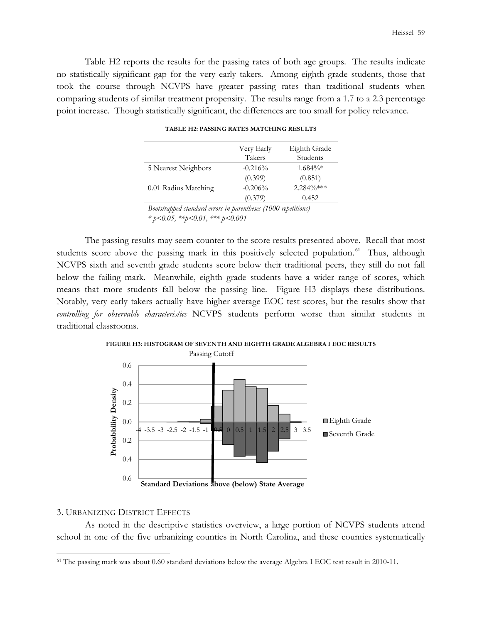Table H2 reports the results for the passing rates of both age groups. The results indicate no statistically significant gap for the very early takers. Among eighth grade students, those that took the course through NCVPS have greater passing rates than traditional students when comparing students of similar treatment propensity. The results range from a 1.7 to a 2.3 percentage point increase. Though statistically significant, the differences are too small for policy relevance.

|                      | Very Early<br>Takers | Eighth Grade<br>Students |
|----------------------|----------------------|--------------------------|
| 5 Nearest Neighbors  | $-0.216%$            | $1.684\%*$               |
|                      | (0.399)              | (0.851)                  |
| 0.01 Radius Matching | $-0.206%$            | $2.284\%***$             |
|                      | (0.379)              | 0.452                    |

*Bootstrapped standard errors in parentheses (1000 repetitions) \* p<0.05, \*\*p<0.01, \*\*\* p<0.001* 

The passing results may seem counter to the score results presented above. Recall that most students score above the passing mark in this positively selected population.<sup>61</sup> Thus, although NCVPS sixth and seventh grade students score below their traditional peers, they still do not fall below the failing mark. Meanwhile, eighth grade students have a wider range of scores, which means that more students fall below the passing line. Figure H3 displays these distributions. Notably, very early takers actually have higher average EOC test scores, but the results show that *controlling for observable characteristics* NCVPS students perform worse than similar students in traditional classrooms.





## 3. URBANIZING DISTRICT EFFECTS

 $\overline{a}$ 

As noted in the descriptive statistics overview, a large portion of NCVPS students attend school in one of the five urbanizing counties in North Carolina, and these counties systematically

<sup>61</sup> The passing mark was about 0.60 standard deviations below the average Algebra I EOC test result in 2010-11.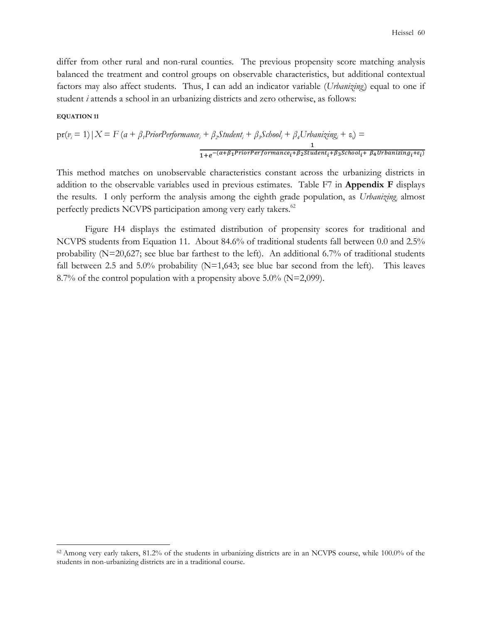differ from other rural and non-rural counties. The previous propensity score matching analysis balanced the treatment and control groups on observable characteristics, but additional contextual factors may also affect students. Thus, I can add an indicator variable (*Urbanizing<sup>i</sup>* ) equal to one if student *i* attends a school in an urbanizing districts and zero otherwise, as follows:

## **EQUATION 11**

 $\overline{a}$ 

$$
pr(v_i = 1) | X = F (a + \beta_1 PriorPerformance_i + \beta_2 Student_i + \beta_3 School_i + \beta_4 Urbanizing_i + \varepsilon_i) = \frac{1}{1 + e^{-(\alpha + \beta_1 PriorPerformance_i + \beta_2 Student_i + \beta_3 School_i + \beta_4 Urbanizing_i + \varepsilon_i)}}
$$

This method matches on unobservable characteristics constant across the urbanizing districts in addition to the observable variables used in previous estimates. Table F7 in **Appendix F** displays the results. I only perform the analysis among the eighth grade population, as *Urbanizing*<sub>*i*</sub> almost perfectly predicts NCVPS participation among very early takers.<sup>62</sup>

Figure H4 displays the estimated distribution of propensity scores for traditional and NCVPS students from Equation 11. About 84.6% of traditional students fall between 0.0 and 2.5% probability (N=20,627; see blue bar farthest to the left). An additional 6.7% of traditional students fall between 2.5 and 5.0% probability  $(N=1,643)$ ; see blue bar second from the left). This leaves 8.7% of the control population with a propensity above  $5.0\%$  (N=2,099).

<sup>62</sup> Among very early takers, 81.2% of the students in urbanizing districts are in an NCVPS course, while 100.0% of the students in non-urbanizing districts are in a traditional course.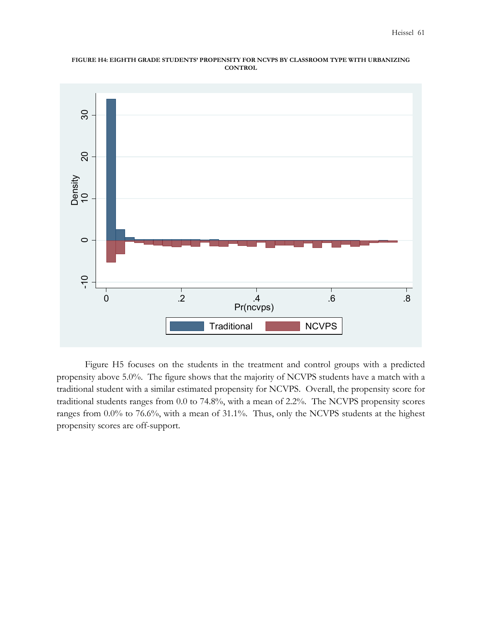### **FIGURE H4: EIGHTH GRADE STUDENTS' PROPENSITY FOR NCVPS BY CLASSROOM TYPE WITH URBANIZING CONTROL**



Figure H5 focuses on the students in the treatment and control groups with a predicted propensity above 5.0%. The figure shows that the majority of NCVPS students have a match with a traditional student with a similar estimated propensity for NCVPS. Overall, the propensity score for traditional students ranges from 0.0 to 74.8%, with a mean of 2.2%. The NCVPS propensity scores ranges from 0.0% to 76.6%, with a mean of 31.1%. Thus, only the NCVPS students at the highest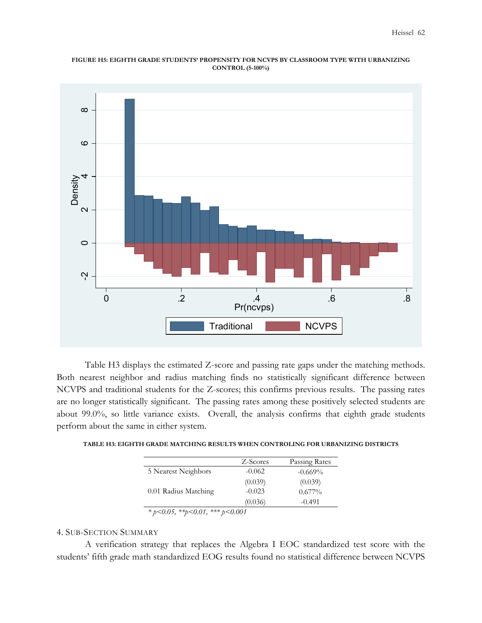### **FIGURE H5: EIGHTH GRADE STUDENTS' PROPENSITY FOR NCVPS BY CLASSROOM TYPE WITH URBANIZING CONTROL (5-100%)**



 Table H3 displays the estimated Z-score and passing rate gaps under the matching methods. Both nearest neighbor and radius matching finds no statistically significant difference between NCVPS and traditional students for the Z-scores; this confirms previous results. The passing rates are no longer statistically significant. The passing rates among these positively selected students are about 99.0%, so little variance exists. Overall, the analysis confirms that eighth grade students perform about the same in either system.

|                      | Z-Scores | Passing Rates |
|----------------------|----------|---------------|
| 5 Nearest Neighbors  | $-0.062$ | $-0.669\%$    |
|                      | (0.039)  | (0.039)       |
| 0.01 Radius Matching | $-0.023$ | $0.677\%$     |
|                      | (0.036)  | $-0.491$      |

*<sup>\*</sup> p<0.05, \*\*p<0.01, \*\*\* p<0.001* 

# 4. SUB-SECTION SUMMARY

A verification strategy that replaces the Algebra I EOC standardized test score with the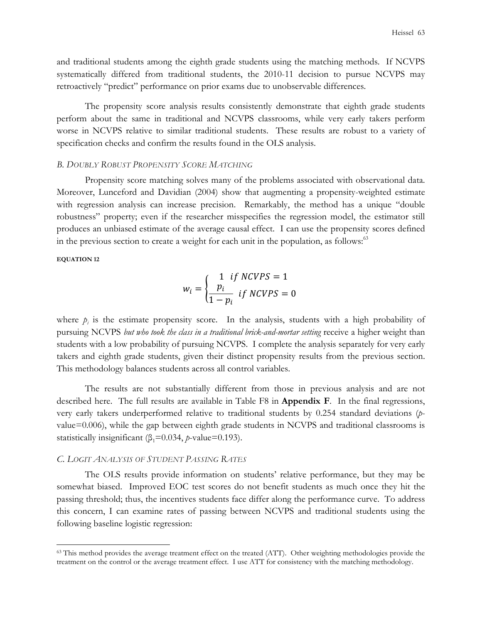and traditional students among the eighth grade students using the matching methods. If NCVPS systematically differed from traditional students, the 2010-11 decision to pursue NCVPS may retroactively "predict" performance on prior exams due to unobservable differences.

The propensity score analysis results consistently demonstrate that eighth grade students perform about the same in traditional and NCVPS classrooms, while very early takers perform worse in NCVPS relative to similar traditional students. These results are robust to a variety of specification checks and confirm the results found in the OLS analysis.

# *B. DOUBLY ROBUST PROPENSITY SCORE MATCHING*

Propensity score matching solves many of the problems associated with observational data. Moreover, Lunceford and Davidian (2004) show that augmenting a propensity-weighted estimate with regression analysis can increase precision. Remarkably, the method has a unique "double robustness" property; even if the researcher misspecifies the regression model, the estimator still produces an unbiased estimate of the average causal effect. I can use the propensity scores defined in the previous section to create a weight for each unit in the population, as follows:<sup>63</sup>

## **EQUATION 12**

 $\overline{a}$ 

$$
w_i = \begin{cases} \frac{1}{pi} & if \ NCVPS = 1\\ \frac{p_i}{1 - p_i} & if \ NCVPS = 0 \end{cases}
$$

where  $p_i$  is the estimate propensity score. In the analysis, students with a high probability of pursuing NCVPS *but who took the class in a traditional brick-and-mortar setting* receive a higher weight than students with a low probability of pursuing NCVPS. I complete the analysis separately for very early takers and eighth grade students, given their distinct propensity results from the previous section. This methodology balances students across all control variables.

The results are not substantially different from those in previous analysis and are not described here. The full results are available in Table F8 in **Appendix F**. In the final regressions, very early takers underperformed relative to traditional students by 0.254 standard deviations (*p*value=0.006), while the gap between eighth grade students in NCVPS and traditional classrooms is statistically insignificant ( $\beta_1$ =0.034, *p*-value=0.193).

## *C. LOGIT ANALYSIS OF STUDENT PASSING RATES*

The OLS results provide information on students' relative performance, but they may be somewhat biased. Improved EOC test scores do not benefit students as much once they hit the passing threshold; thus, the incentives students face differ along the performance curve. To address this concern, I can examine rates of passing between NCVPS and traditional students using the following baseline logistic regression:

<sup>&</sup>lt;sup>63</sup> This method provides the average treatment effect on the treated (ATT). Other weighting methodologies provide the treatment on the control or the average treatment effect. I use ATT for consistency with the matching methodology.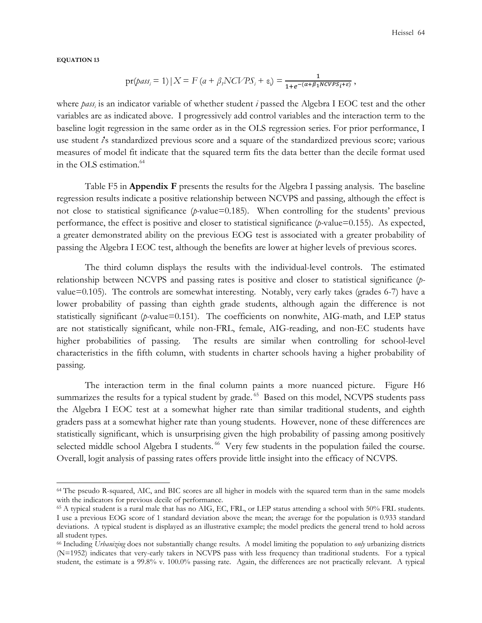**EQUATION 13**

 $\overline{a}$ 

$$
\text{pr}(pass_i = 1) \, | \, X = F\left(a + \beta_t NCVPS_i + \varepsilon_i\right) = \frac{1}{1 + e^{-(\alpha + \beta_1 NCVPS_i + \varepsilon)}},
$$

where *pass<sup>i</sup>* is an indicator variable of whether student *i* passed the Algebra I EOC test and the other variables are as indicated above. I progressively add control variables and the interaction term to the baseline logit regression in the same order as in the OLS regression series. For prior performance, I use student *i*'s standardized previous score and a square of the standardized previous score; various measures of model fit indicate that the squared term fits the data better than the decile format used in the OLS estimation.<sup>64</sup>

Table F5 in **Appendix F** presents the results for the Algebra I passing analysis. The baseline regression results indicate a positive relationship between NCVPS and passing, although the effect is not close to statistical significance (*p-*value=0.185). When controlling for the students' previous performance, the effect is positive and closer to statistical significance (*p-*value=0.155). As expected, a greater demonstrated ability on the previous EOG test is associated with a greater probability of passing the Algebra I EOC test, although the benefits are lower at higher levels of previous scores.

The third column displays the results with the individual-level controls. The estimated relationship between NCVPS and passing rates is positive and closer to statistical significance (*p*value=0.105). The controls are somewhat interesting. Notably, very early takes (grades 6-7) have a lower probability of passing than eighth grade students, although again the difference is not statistically significant (*p-*value=0.151). The coefficients on nonwhite, AIG-math, and LEP status are not statistically significant, while non-FRL, female, AIG-reading, and non-EC students have higher probabilities of passing. The results are similar when controlling for school-level characteristics in the fifth column, with students in charter schools having a higher probability of passing.

The interaction term in the final column paints a more nuanced picture. Figure H6 summarizes the results for a typical student by grade.<sup>65</sup> Based on this model, NCVPS students pass the Algebra I EOC test at a somewhat higher rate than similar traditional students, and eighth graders pass at a somewhat higher rate than young students. However, none of these differences are statistically significant, which is unsurprising given the high probability of passing among positively selected middle school Algebra I students.<sup>66</sup> Very few students in the population failed the course. Overall, logit analysis of passing rates offers provide little insight into the efficacy of NCVPS.

<sup>64</sup> The pseudo R-squared, AIC, and BIC scores are all higher in models with the squared term than in the same models with the indicators for previous decile of performance.

<sup>65</sup> A typical student is a rural male that has no AIG, EC, FRL, or LEP status attending a school with 50% FRL students. I use a previous EOG score of 1 standard deviation above the mean; the average for the population is 0.933 standard deviations. A typical student is displayed as an illustrative example; the model predicts the general trend to hold across all student types.

<sup>66</sup> Including *Urbanizing* does not substantially change results. A model limiting the population to *only* urbanizing districts (N=1952) indicates that very-early takers in NCVPS pass with less frequency than traditional students. For a typical student, the estimate is a 99.8% v. 100.0% passing rate. Again, the differences are not practically relevant. A typical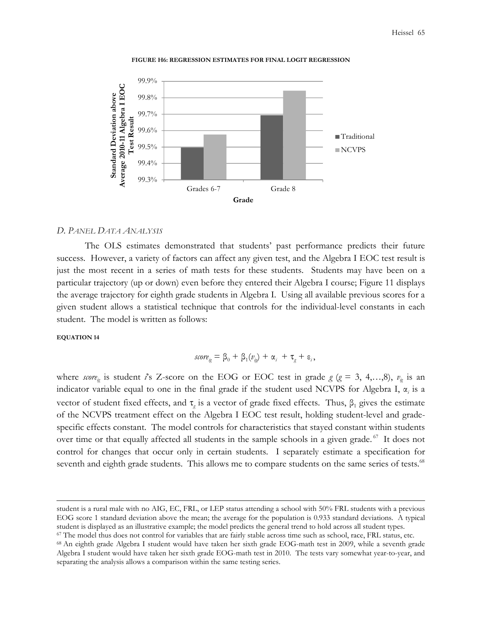![](_page_71_Figure_1.jpeg)

![](_page_71_Figure_2.jpeg)

### *D. PANEL DATA ANALYSIS*

The OLS estimates demonstrated that students' past performance predicts their future success. However, a variety of factors can affect any given test, and the Algebra I EOC test result is just the most recent in a series of math tests for these students. Students may have been on a particular trajectory (up or down) even before they entered their Algebra I course; Figure 11 displays the average trajectory for eighth grade students in Algebra I. Using all available previous scores for a given student allows a statistical technique that controls for the individual-level constants in each student. The model is written as follows:

### **EQUATION 14**

 $\overline{a}$ 

$$
\text{score}_{ig} = \beta_0 + \beta_1(v_{ig}) + \alpha_i + \tau_g + \varepsilon_i,
$$

where *score*<sub>ig</sub> is student *i*'s Z-score on the EOG or EOC test in grade  $g$  ( $g = 3, 4,...,8$ ),  $v_g$  is an indicator variable equal to one in the final grade if the student used NCVPS for Algebra I,  $\alpha_i$  is a vector of student fixed effects, and  $\tau_g$  is a vector of grade fixed effects. Thus,  $\beta_1$  gives the estimate of the NCVPS treatment effect on the Algebra I EOC test result, holding student-level and gradespecific effects constant. The model controls for characteristics that stayed constant within students over time or that equally affected all students in the sample schools in a given grade.<sup>67</sup> It does not control for changes that occur only in certain students. I separately estimate a specification for seventh and eighth grade students. This allows me to compare students on the same series of tests.<sup>68</sup>

student is a rural male with no AIG, EC, FRL, or LEP status attending a school with 50% FRL students with a previous EOG score 1 standard deviation above the mean; the average for the population is 0.933 standard deviations. A typical student is displayed as an illustrative example; the model predicts the general trend to hold across all student types.

<sup>67</sup> The model thus does not control for variables that are fairly stable across time such as school, race, FRL status, etc.

<sup>68</sup> An eighth grade Algebra I student would have taken her sixth grade EOG-math test in 2009, while a seventh grade Algebra I student would have taken her sixth grade EOG-math test in 2010. The tests vary somewhat year-to-year, and separating the analysis allows a comparison within the same testing series.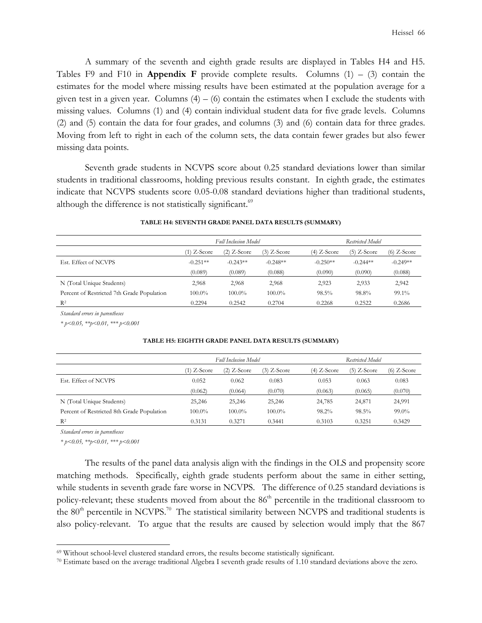A summary of the seventh and eighth grade results are displayed in Tables H4 and H5. Tables F9 and F10 in **Appendix F** provide complete results. Columns (1) – (3) contain the estimates for the model where missing results have been estimated at the population average for a given test in a given year. Columns  $(4) - (6)$  contain the estimates when I exclude the students with missing values. Columns (1) and (4) contain individual student data for five grade levels. Columns (2) and (5) contain the data for four grades, and columns (3) and (6) contain data for three grades. Moving from left to right in each of the column sets, the data contain fewer grades but also fewer missing data points.

 Seventh grade students in NCVPS score about 0.25 standard deviations lower than similar students in traditional classrooms, holding previous results constant. In eighth grade, the estimates indicate that NCVPS students score 0.05-0.08 standard deviations higher than traditional students, although the difference is not statistically significant.<sup>69</sup>

|                                            | <b>Full Inclusion Model</b> |               |               | <b>Restricted Model</b> |               |               |
|--------------------------------------------|-----------------------------|---------------|---------------|-------------------------|---------------|---------------|
|                                            | (1) Z-Score                 | $(2)$ Z-Score | $(3)$ Z-Score | $(4)$ Z-Score           | $(5)$ Z-Score | $(6)$ Z-Score |
| Est. Effect of NCVPS                       | $-0.251**$                  | $-0.243**$    | $-0.248**$    | $-0.250**$              | $-0.244**$    | $-0.249**$    |
|                                            | (0.089)                     | (0.089)       | (0.088)       | (0.090)                 | (0.090)       | (0.088)       |
| N (Total Unique Students)                  | 2,968                       | 2,968         | 2,968         | 2,923                   | 2,933         | 2,942         |
| Percent of Restricted 7th Grade Population | $100.0\%$                   | $100.0\%$     | 100.0%        | $98.5\%$                | 98.8%         | $99.1\%$      |
| $R^2$                                      | 0.2294                      | 0.2542        | 0.2704        | 0.2268                  | 0.2522        | 0.2686        |

## **TABLE H4: SEVENTH GRADE PANEL DATA RESULTS (SUMMARY)**

*Standard errors in parentheses* 

*\* p<0.05, \*\*p<0.01, \*\*\* p<0.001* 

|                                            | <b>Full Inclusion Model</b> |               |               |               | Restricted Model |               |  |
|--------------------------------------------|-----------------------------|---------------|---------------|---------------|------------------|---------------|--|
|                                            | $(1)$ Z-Score               | $(2)$ Z-Score | $(3)$ Z-Score | $(4)$ Z-Score | $(5)$ Z-Score    | $(6)$ Z-Score |  |
| Est. Effect of NCVPS                       | 0.052                       | 0.062         | 0.083         | 0.053         | 0.063            | 0.083         |  |
|                                            | (0.062)                     | (0.064)       | (0.070)       | (0.063)       | (0.065)          | (0.070)       |  |
| N (Total Unique Students)                  | 25,246                      | 25,246        | 25,246        | 24,785        | 24,871           | 24,991        |  |
| Percent of Restricted 8th Grade Population | $100.0\%$                   | $100.0\%$     | 100.0%        | $98.2\%$      | $98.5\%$         | $99.0\%$      |  |
| $R^2$                                      | 0.3131                      | 0.3271        | 0.3441        | 0.3103        | 0.3251           | 0.3429        |  |

## **TABLE H5: EIGHTH GRADE PANEL DATA RESULTS (SUMMARY)**

*Standard errors in parentheses* 

 $\overline{a}$ 

*\* p<0.05, \*\*p<0.01, \*\*\* p<0.001* 

The results of the panel data analysis align with the findings in the OLS and propensity score matching methods. Specifically, eighth grade students perform about the same in either setting, while students in seventh grade fare worse in NCVPS. The difference of 0.25 standard deviations is policy-relevant; these students moved from about the 86<sup>th</sup> percentile in the traditional classroom to the 80<sup>th</sup> percentile in NCVPS.<sup>70</sup> The statistical similarity between NCVPS and traditional students is also policy-relevant. To argue that the results are caused by selection would imply that the 867

<sup>69</sup> Without school-level clustered standard errors, the results become statistically significant.

 $70$  Estimate based on the average traditional Algebra I seventh grade results of 1.10 standard deviations above the zero.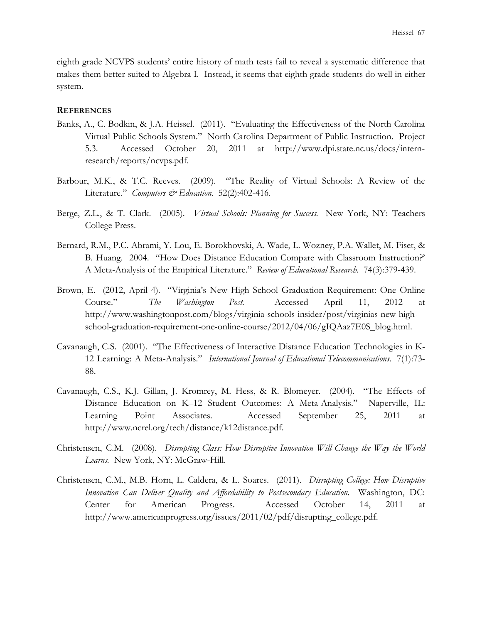eighth grade NCVPS students' entire history of math tests fail to reveal a systematic difference that makes them better-suited to Algebra I. Instead, it seems that eighth grade students do well in either system.

## **REFERENCES**

- Banks, A., C. Bodkin, & J.A. Heissel. (2011). "Evaluating the Effectiveness of the North Carolina Virtual Public Schools System." North Carolina Department of Public Instruction. Project 5.3. Accessed October 20, 2011 at http://www.dpi.state.nc.us/docs/internresearch/reports/ncvps.pdf.
- Barbour, M.K., & T.C. Reeves. (2009). "The Reality of Virtual Schools: A Review of the Literature." *Computers & Education.* 52(2):402-416.
- Berge, Z.L., & T. Clark. (2005). *Virtual Schools: Planning for Success.* New York, NY: Teachers College Press.
- Bernard, R.M., P.C. Abrami, Y. Lou, E. Borokhovski, A. Wade, L. Wozney, P.A. Wallet, M. Fiset, & B. Huang. 2004. "How Does Distance Education Compare with Classroom Instruction?' A Meta-Analysis of the Empirical Literature." *Review of Educational Research.* 74(3):379-439.
- Brown, E. (2012, April 4). "Virginia's New High School Graduation Requirement: One Online Course." *The Washington Post.* Accessed April 11, 2012 at http://www.washingtonpost.com/blogs/virginia-schools-insider/post/virginias-new-highschool-graduation-requirement-one-online-course/2012/04/06/gIQAaz7E0S\_blog.html.
- Cavanaugh, C.S. (2001). "The Effectiveness of Interactive Distance Education Technologies in K-12 Learning: A Meta-Analysis." *International Journal of Educational Telecommunications.* 7(1):73- 88.
- Cavanaugh, C.S., K.J. Gillan, J. Kromrey, M. Hess, & R. Blomeyer. (2004). "The Effects of Distance Education on K–12 Student Outcomes: A Meta-Analysis." Naperville, IL: Learning Point Associates. Accessed September 25, 2011 at http://www.ncrel.org/tech/distance/k12distance.pdf.
- Christensen, C.M. (2008). *Disrupting Class: How Disruptive Innovation Will Change the Way the World Learns.* New York, NY: McGraw-Hill.
- Christensen, C.M., M.B. Horn, L. Caldera, & L. Soares. (2011). *Disrupting College: How Disruptive Innovation Can Deliver Quality and Affordability to Postsecondary Education.* Washington, DC: Center for American Progress. Accessed October 14, 2011 at http://www.americanprogress.org/issues/2011/02/pdf/disrupting\_college.pdf.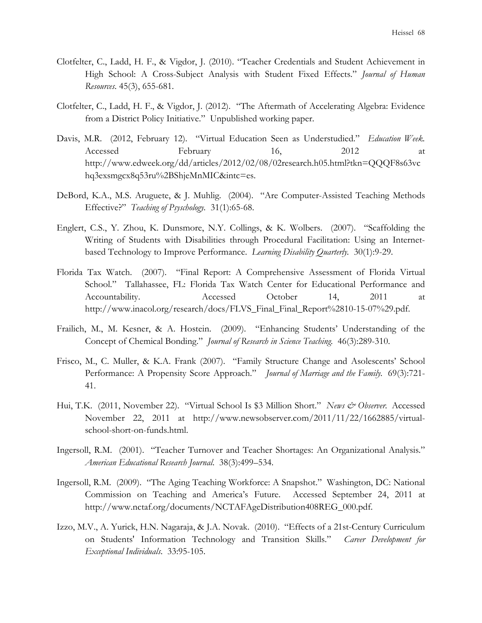- Clotfelter, C., Ladd, H. F., & Vigdor, J. (2010). "Teacher Credentials and Student Achievement in High School: A Cross-Subject Analysis with Student Fixed Effects." *Journal of Human Resources*. 45(3), 655-681.
- Clotfelter, C., Ladd, H. F., & Vigdor, J. (2012). "The Aftermath of Accelerating Algebra: Evidence from a District Policy Initiative." Unpublished working paper.
- Davis, M.R. (2012, February 12). "Virtual Education Seen as Understudied." *Education Week.* Accessed February 16, 2012 at http://www.edweek.org/dd/articles/2012/02/08/02research.h05.html?tkn=QQQF8s63vc hq3exsmgcx8q53ru%2BShjeMnMIC&intc=es.
- DeBord, K.A., M.S. Aruguete, & J. Muhlig. (2004). "Are Computer-Assisted Teaching Methods Effective?" *Teaching of Psyschology.* 31(1):65-68.
- Englert, C.S., Y. Zhou, K. Dunsmore, N.Y. Collings, & K. Wolbers. (2007). "Scaffolding the Writing of Students with Disabilities through Procedural Facilitation: Using an Internetbased Technology to Improve Performance. *Learning Disability Quarterly.* 30(1):9-29.
- Florida Tax Watch. (2007). "Final Report: A Comprehensive Assessment of Florida Virtual School." Tallahassee, FL: Florida Tax Watch Center for Educational Performance and Accountability. Accessed October 14, 2011 at http://www.inacol.org/research/docs/FLVS\_Final\_Final\_Report%2810-15-07%29.pdf.
- Frailich, M., M. Kesner, & A. Hostein. (2009). "Enhancing Students' Understanding of the Concept of Chemical Bonding." *Journal of Research in Science Teaching.* 46(3):289-310.
- Frisco, M., C. Muller, & K.A. Frank (2007). "Family Structure Change and Asolescents' School Performance: A Propensity Score Approach." *Journal of Marriage and the Family.* 69(3):721- 41.
- Hui, T.K. (2011, November 22). "Virtual School Is \$3 Million Short." *News & Observer.* Accessed November 22, 2011 at http://www.newsobserver.com/2011/11/22/1662885/virtualschool-short-on-funds.html.
- Ingersoll, R.M. (2001). "Teacher Turnover and Teacher Shortages: An Organizational Analysis." *American Educational Research Journal*. 38(3):499–534.
- Ingersoll, R.M. (2009). "The Aging Teaching Workforce: A Snapshot." Washington, DC: National Commission on Teaching and America's Future. Accessed September 24, 2011 at http://www.nctaf.org/documents/NCTAFAgeDistribution408REG\_000.pdf.
- Izzo, M.V., A. Yurick, H.N. Nagaraja, & J.A. Novak. (2010). "Effects of a 21st-Century Curriculum on Students' Information Technology and Transition Skills." *Career Development for Exceptional Individuals*. 33:95-105.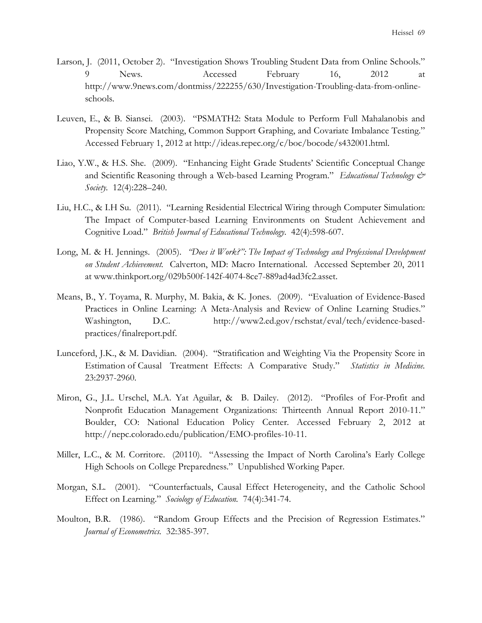- Larson, J. (2011, October 2). "Investigation Shows Troubling Student Data from Online Schools." 9 News. Accessed February 16, 2012 at http://www.9news.com/dontmiss/222255/630/Investigation-Troubling-data-from-onlineschools.
- Leuven, E., & B. Siansei. (2003). "PSMATH2: Stata Module to Perform Full Mahalanobis and Propensity Score Matching, Common Support Graphing, and Covariate Imbalance Testing." Accessed February 1, 2012 at http://ideas.repec.org/c/boc/bocode/s432001.html.
- Liao, Y.W., & H.S. She. (2009). "Enhancing Eight Grade Students' Scientific Conceptual Change and Scientific Reasoning through a Web-based Learning Program." *Educational Technology & Society.* 12(4):228–240.
- Liu, H.C., & I.H Su. (2011). "Learning Residential Electrical Wiring through Computer Simulation: The Impact of Computer-based Learning Environments on Student Achievement and Cognitive Load." *British Journal of Educational Technology*. 42(4):598-607.
- Long, M. & H. Jennings. (2005). *"Does it Work?": The Impact of Technology and Professional Development on Student Achievement.* Calverton, MD: Macro International. Accessed September 20, 2011 at www.thinkport.org/029b500f-142f-4074-8ce7-889ad4ad3fc2.asset.
- Means, B., Y. Toyama, R. Murphy, M. Bakia, & K. Jones. (2009). "Evaluation of Evidence-Based Practices in Online Learning: A Meta-Analysis and Review of Online Learning Studies." Washington, D.C. http://www2.ed.gov/rschstat/eval/tech/evidence-basedpractices/finalreport.pdf.
- Lunceford, J.K., & M. Davidian. (2004). "Stratification and Weighting Via the Propensity Score in Estimation of Causal Treatment Effects: A Comparative Study." *Statistics in Medicine.*  23:2937-2960.
- Miron, G., J.L. Urschel, M.A. Yat Aguilar, & B. Dailey. (2012). "Profiles of For-Profit and Nonprofit Education Management Organizations: Thirteenth Annual Report 2010-11." Boulder, CO: National Education Policy Center. Accessed February 2, 2012 at http://nepc.colorado.edu/publication/EMO-profiles-10-11.
- Miller, L.C., & M. Corritore. (20110). "Assessing the Impact of North Carolina's Early College High Schools on College Preparedness." Unpublished Working Paper.
- Morgan, S.L. (2001). "Counterfactuals, Causal Effect Heterogeneity, and the Catholic School Effect on Learning." *Sociology of Education.* 74(4):341-74.
- Moulton, B.R. (1986). "Random Group Effects and the Precision of Regression Estimates." *Journal of Econometrics.* 32:385-397.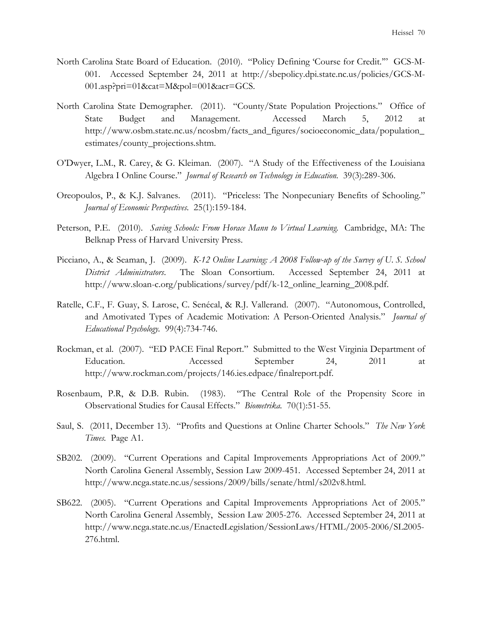- North Carolina State Board of Education. (2010). "Policy Defining 'Course for Credit.'" GCS-M-001. Accessed September 24, 2011 at http://sbepolicy.dpi.state.nc.us/policies/GCS-M-001.asp?pri=01&cat=M&pol=001&acr=GCS.
- North Carolina State Demographer. (2011). "County/State Population Projections." Office of State Budget and Management. Accessed March 5, 2012 at http://www.osbm.state.nc.us/ncosbm/facts\_and\_figures/socioeconomic\_data/population\_ estimates/county\_projections.shtm.
- O'Dwyer, L.M., R. Carey, & G. Kleiman. (2007). "A Study of the Effectiveness of the Louisiana Algebra I Online Course." *Journal of Research on Technology in Education.* 39(3):289-306.
- Oreopoulos, P., & K.J. Salvanes. (2011). "Priceless: The Nonpecuniary Benefits of Schooling." *Journal of Economic Perspectives.* 25(1):159-184.
- Peterson, P.E. (2010). *Saving Schools: From Horace Mann to Virtual Learning.* Cambridge, MA: The Belknap Press of Harvard University Press.
- Picciano, A., & Seaman, J. (2009). *K-12 Online Learning: A 2008 Follow-up of the Survey of U. S. School District Administrators*. The Sloan Consortium. Accessed September 24, 2011 at http://www.sloan-c.org/publications/survey/pdf/k-12\_online\_learning\_2008.pdf.
- Ratelle, C.F., F. Guay, S. Larose, C. Senécal, & R.J. Vallerand. (2007). "Autonomous, Controlled, and Amotivated Types of Academic Motivation: A Person-Oriented Analysis." *Journal of Educational Psychology.* 99(4):734-746.
- Rockman, et al. (2007). "ED PACE Final Report." Submitted to the West Virginia Department of Education. Accessed September 24, 2011 at http://www.rockman.com/projects/146.ies.edpace/finalreport.pdf.
- Rosenbaum, P.R, & D.B. Rubin. (1983). "The Central Role of the Propensity Score in Observational Studies for Causal Effects." *Biometrika.* 70(1):51-55.
- Saul, S. (2011, December 13). "Profits and Questions at Online Charter Schools." *The New York Times.* Page A1.
- SB202. (2009). "Current Operations and Capital Improvements Appropriations Act of 2009." North Carolina General Assembly, Session Law 2009-451. Accessed September 24, 2011 at http://www.ncga.state.nc.us/sessions/2009/bills/senate/html/s202v8.html.
- SB622. (2005). "Current Operations and Capital Improvements Appropriations Act of 2005." North Carolina General Assembly, Session Law 2005-276. Accessed September 24, 2011 at http://www.ncga.state.nc.us/EnactedLegislation/SessionLaws/HTML/2005-2006/SL2005- 276.html.